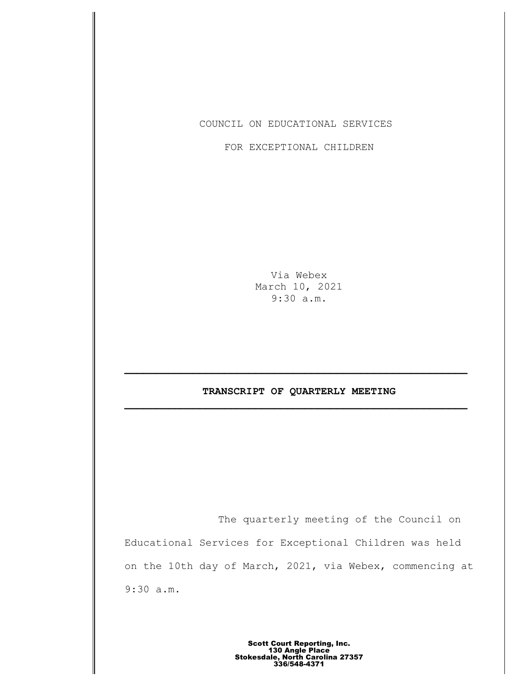COUNCIL ON EDUCATIONAL SERVICES

FOR EXCEPTIONAL CHILDREN

Via Webex March 10, 2021 9:30 a.m.

# **TRANSCRIPT OF QUARTERLY MEETING \_\_\_\_\_\_\_\_\_\_\_\_\_\_\_\_\_\_\_\_\_\_\_\_\_\_\_\_\_\_\_\_\_\_\_\_\_\_\_\_\_\_\_\_\_\_\_\_\_\_\_\_\_\_\_**

The quarterly meeting of the Council on Educational Services for Exceptional Children was held on the 10th day of March, 2021, via Webex, commencing at 9:30 a.m.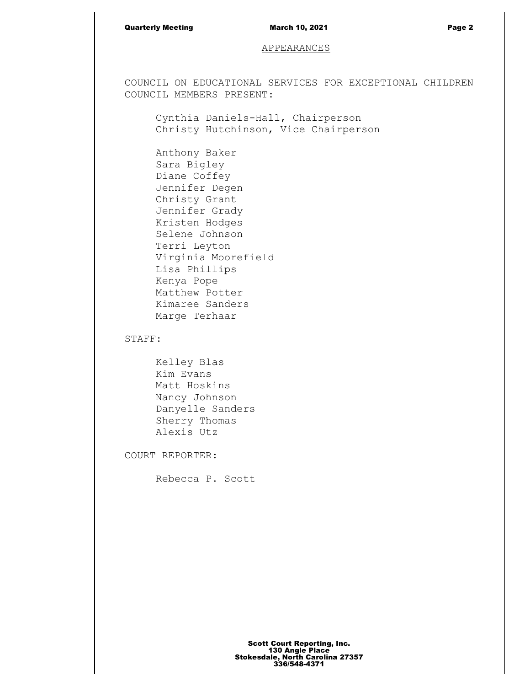## Quarterly Meeting March 10, 2021 Page 2

# APPEARANCES

COUNCIL ON EDUCATIONAL SERVICES FOR EXCEPTIONAL CHILDREN COUNCIL MEMBERS PRESENT:

Cynthia Daniels-Hall, Chairperson Christy Hutchinson, Vice Chairperson

Anthony Baker Sara Bigley Diane Coffey Jennifer Degen Christy Grant Jennifer Grady Kristen Hodges Selene Johnson Terri Leyton Virginia Moorefield Lisa Phillips Kenya Pope Matthew Potter Kimaree Sanders Marge Terhaar

STAFF:

Kelley Blas Kim Evans Matt Hoskins Nancy Johnson Danyelle Sanders Sherry Thomas Alexis Utz

COURT REPORTER:

Rebecca P. Scott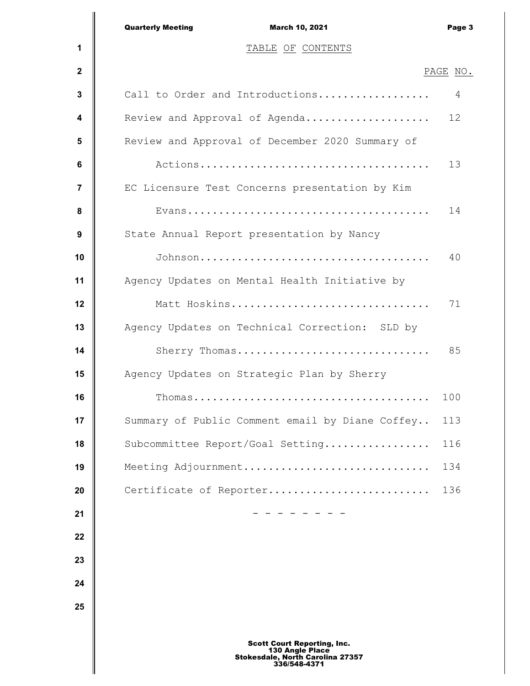|             | <b>Quarterly Meeting</b><br>March 10, 2021                                                                       | Page 3   |
|-------------|------------------------------------------------------------------------------------------------------------------|----------|
| 1           | TABLE OF CONTENTS                                                                                                |          |
| $\mathbf 2$ |                                                                                                                  | PAGE NO. |
| 3           | Call to Order and Introductions                                                                                  | 4        |
| 4           | Review and Approval of Agenda                                                                                    | 12       |
| 5           | Review and Approval of December 2020 Summary of                                                                  |          |
| 6           |                                                                                                                  | 13       |
| 7           | EC Licensure Test Concerns presentation by Kim                                                                   |          |
| 8           |                                                                                                                  | 14       |
| 9           | State Annual Report presentation by Nancy                                                                        |          |
| 10          |                                                                                                                  | 40       |
| 11          | Agency Updates on Mental Health Initiative by                                                                    |          |
| 12          | Matt Hoskins                                                                                                     | 71       |
| 13          | Agency Updates on Technical Correction: SLD by                                                                   |          |
| 14          | Sherry Thomas                                                                                                    | 85       |
| 15          | Agency Updates on Strategic Plan by Sherry                                                                       |          |
| 16          | Thomas                                                                                                           | 100      |
| 17          | Summary of Public Comment email by Diane Coffey                                                                  | 113      |
| 18          | Subcommittee Report/Goal Setting                                                                                 | 116      |
| 19          | Meeting Adjournment                                                                                              | 134      |
| 20          | Certificate of Reporter                                                                                          | 136      |
| 21          |                                                                                                                  |          |
| 22          |                                                                                                                  |          |
| 23          |                                                                                                                  |          |
| 24          |                                                                                                                  |          |
| 25          |                                                                                                                  |          |
|             |                                                                                                                  |          |
|             | <b>Scott Court Reporting, Inc.</b><br>130 Angle Place<br><b>Stokesdale, North Carolina 27357</b><br>336/548-4371 |          |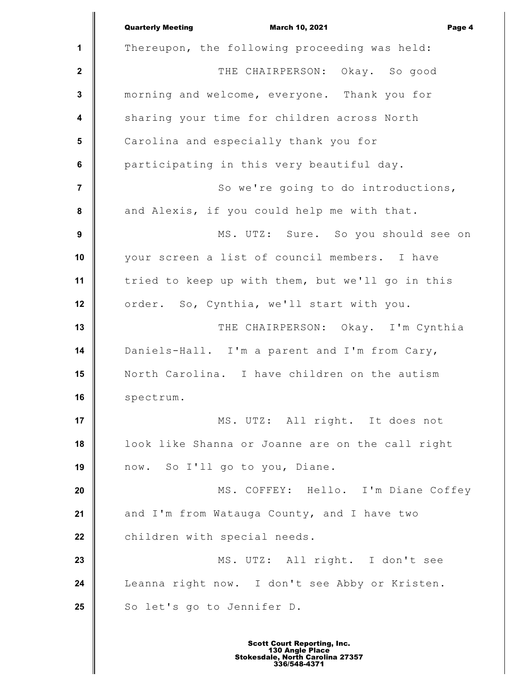**1 2 3 4 5 6 7 8 9 10 11 12 13 14 15 16 17 18 19 20 21 22 23 24 25** Quarterly Meeting **Contract Contract Contract March 10, 2021 Page 4** Thereupon, the following proceeding was held: THE CHAIRPERSON: Okay. So good morning and welcome, everyone. Thank you for sharing your time for children across North Carolina and especially thank you for participating in this very beautiful day. So we're going to do introductions, and Alexis, if you could help me with that. MS. UTZ: Sure. So you should see on your screen a list of council members. I have tried to keep up with them, but we'll go in this order. So, Cynthia, we'll start with you. THE CHAIRPERSON: Okay. I'm Cynthia Daniels-Hall. I'm a parent and I'm from Cary, North Carolina. I have children on the autism spectrum. MS. UTZ: All right. It does not look like Shanna or Joanne are on the call right now. So I'll go to you, Diane. MS. COFFEY: Hello. I'm Diane Coffey and I'm from Watauga County, and I have two children with special needs. MS. UTZ: All right. I don't see Leanna right now. I don't see Abby or Kristen. So let's go to Jennifer D.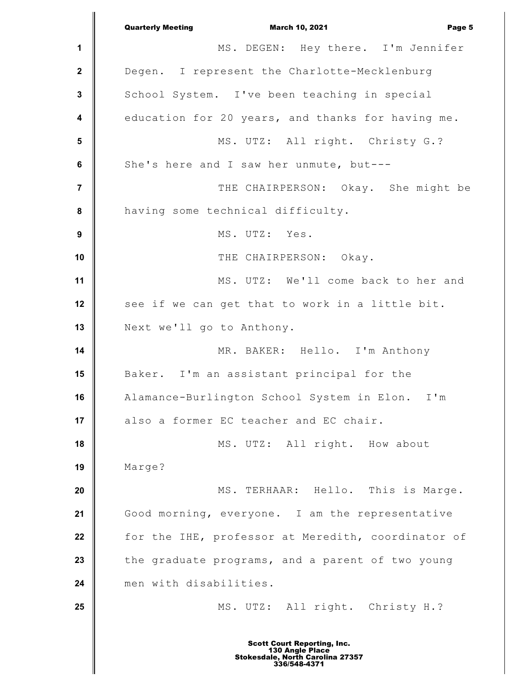**1 2 3 4 5 6 7 8 9 10 11 12 13 14 15 16 17 18 19 20 21 22 23 24 25** Quarterly Meeting March 10, 2021 Page 5 MS. DEGEN: Hey there. I'm Jennifer Degen. I represent the Charlotte-Mecklenburg School System. I've been teaching in special education for 20 years, and thanks for having me. MS. UTZ: All right. Christy G.? She's here and I saw her unmute, but--- THE CHAIRPERSON: Okay. She might be having some technical difficulty. MS. UTZ: Yes. THE CHAIRPERSON: Okay. MS. UTZ: We'll come back to her and see if we can get that to work in a little bit. Next we'll go to Anthony. MR. BAKER: Hello. I'm Anthony Baker. I'm an assistant principal for the Alamance-Burlington School System in Elon. I'm also a former EC teacher and EC chair. MS. UTZ: All right. How about Marge? MS. TERHAAR: Hello. This is Marge. Good morning, everyone. I am the representative for the IHE, professor at Meredith, coordinator of the graduate programs, and a parent of two young men with disabilities. MS. UTZ: All right. Christy H.? Scott Court Reporting, Inc. 130 Angle Place Stokesdale, North Carolina 27357 336/548-4371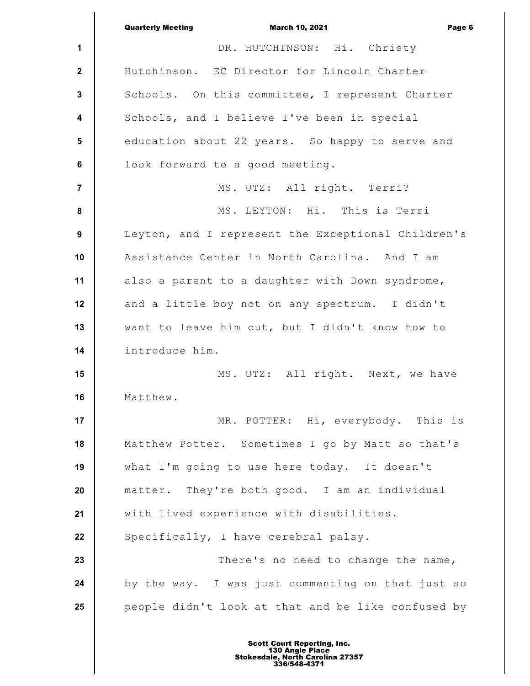|                         | <b>Quarterly Meeting</b><br><b>March 10, 2021</b><br>Page 6 |
|-------------------------|-------------------------------------------------------------|
| 1                       | DR. HUTCHINSON: Hi. Christy                                 |
| $\mathbf{2}$            | Hutchinson. EC Director for Lincoln Charter                 |
| $\mathbf{3}$            | Schools. On this committee, I represent Charter             |
| $\overline{\mathbf{4}}$ | Schools, and I believe I've been in special                 |
| 5                       | education about 22 years. So happy to serve and             |
| $\bf 6$                 | look forward to a good meeting.                             |
| $\overline{7}$          | MS. UTZ: All right. Terri?                                  |
| $\pmb{8}$               | MS. LEYTON: Hi. This is Terri                               |
| $\boldsymbol{9}$        | Leyton, and I represent the Exceptional Children's          |
| 10                      | Assistance Center in North Carolina. And I am               |
| 11                      | also a parent to a daughter with Down syndrome,             |
| 12                      | and a little boy not on any spectrum. I didn't              |
| 13                      | want to leave him out, but I didn't know how to             |
| 14                      | introduce him.                                              |
| 15                      | MS. UTZ: All right. Next, we have                           |
| 16                      | Matthew.                                                    |
| 17                      | MR. POTTER: Hi, everybody. This is                          |
| 18                      | Matthew Potter. Sometimes I go by Matt so that's            |
| 19                      | what I'm going to use here today. It doesn't                |
| 20                      | matter. They're both good. I am an individual               |
| 21                      | with lived experience with disabilities.                    |
| 22                      | Specifically, I have cerebral palsy.                        |
| 23                      | There's no need to change the name,                         |
| 24                      | by the way. I was just commenting on that just so           |
| 25                      | people didn't look at that and be like confused by          |
|                         |                                                             |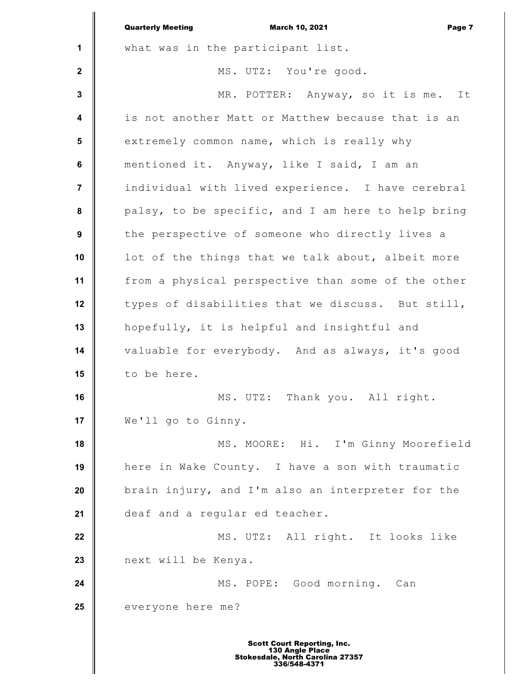|                  | <b>Quarterly Meeting</b><br><b>March 10, 2021</b><br>Page 7 |
|------------------|-------------------------------------------------------------|
| $\mathbf{1}$     | what was in the participant list.                           |
| $\mathbf{2}$     | MS. UTZ: You're good.                                       |
| $\mathbf{3}$     | MR. POTTER: Anyway, so it is me. It                         |
| $\boldsymbol{4}$ | is not another Matt or Matthew because that is an           |
| 5                | extremely common name, which is really why                  |
| 6                | mentioned it. Anyway, like I said, I am an                  |
| $\overline{7}$   | individual with lived experience. I have cerebral           |
| 8                | palsy, to be specific, and I am here to help bring          |
| 9                | the perspective of someone who directly lives a             |
| 10               | lot of the things that we talk about, albeit more           |
| 11               | from a physical perspective than some of the other          |
| 12               | types of disabilities that we discuss. But still,           |
| 13               | hopefully, it is helpful and insightful and                 |
| 14               | valuable for everybody. And as always, it's good            |
| 15               | to be here.                                                 |
| 16               | MS. UTZ: Thank you. All right.                              |
| 17               | We'll go to Ginny.                                          |
| 18               | MS. MOORE: Hi. I'm Ginny Moorefield                         |
| 19               | here in Wake County. I have a son with traumatic            |
| 20               | brain injury, and I'm also an interpreter for the           |
| 21               | deaf and a regular ed teacher.                              |
| 22               | MS. UTZ: All right. It looks like                           |
| 23               | next will be Kenya.                                         |
| 24               | MS. POPE: Good morning. Can                                 |
| 25               | everyone here me?                                           |
|                  |                                                             |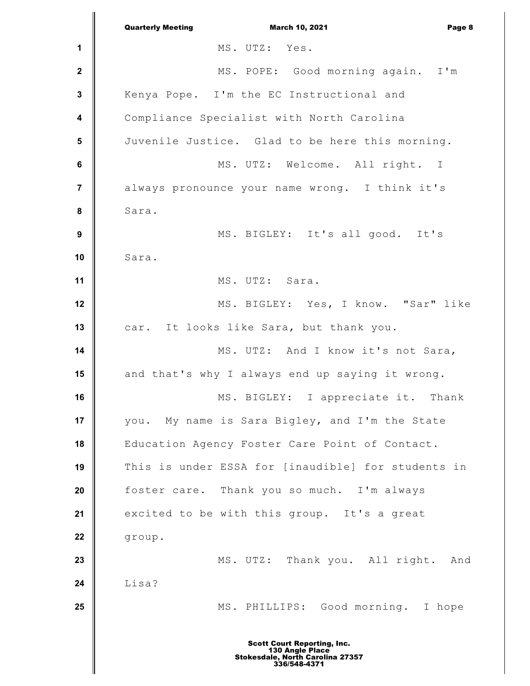**1 2 3 4 5 6 7 8 9 10 11 12 13 14 15 16 17 18 19 20 21 22 23 24 25** Quarterly Meeting March 10, 2021 Page 8 MS. UTZ: Yes. MS. POPE: Good morning again. I'm Kenya Pope. I'm the EC Instructional and Compliance Specialist with North Carolina Juvenile Justice. Glad to be here this morning. MS. UTZ: Welcome. All right. I always pronounce your name wrong. I think it's Sara. MS. BIGLEY: It's all good. It's Sara. MS. UTZ: Sara. MS. BIGLEY: Yes, I know. "Sar" like car. It looks like Sara, but thank you. MS. UTZ: And I know it's not Sara, and that's why I always end up saying it wrong. MS. BIGLEY: I appreciate it. Thank you. My name is Sara Bigley, and I'm the State Education Agency Foster Care Point of Contact. This is under ESSA for [inaudible] for students in foster care. Thank you so much. I'm always excited to be with this group. It's a great group. MS. UTZ: Thank you. All right. And Lisa? MS. PHILLIPS: Good morning. I hope Scott Court Reporting, Inc. 130 Angle Place Stokesdale, North Carolina 27357 336/548-4371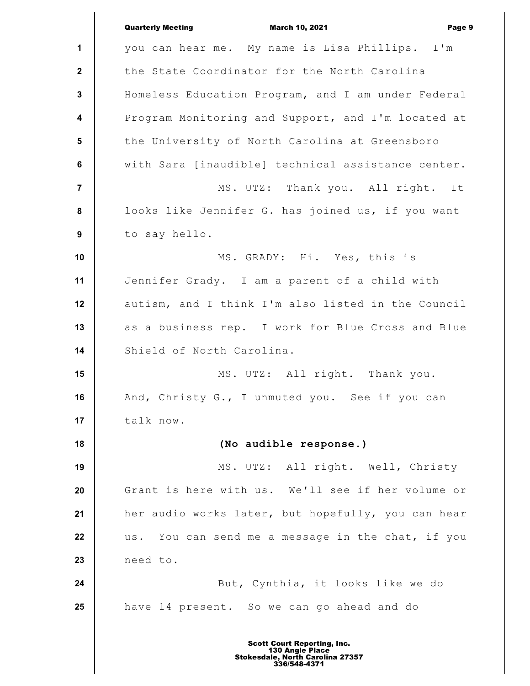|                         | <b>Quarterly Meeting</b><br><b>March 10, 2021</b><br>Page 9 |
|-------------------------|-------------------------------------------------------------|
| 1                       | you can hear me. My name is Lisa Phillips. I'm              |
| $\mathbf{2}$            | the State Coordinator for the North Carolina                |
| $\mathbf{3}$            | Homeless Education Program, and I am under Federal          |
| $\overline{\mathbf{4}}$ | Program Monitoring and Support, and I'm located at          |
| $5\phantom{1}$          | the University of North Carolina at Greensboro              |
| $\bf 6$                 | with Sara [inaudible] technical assistance center.          |
| $\overline{7}$          | MS. UTZ: Thank you. All right. It                           |
| $\pmb{8}$               | looks like Jennifer G. has joined us, if you want           |
| $\boldsymbol{9}$        | to say hello.                                               |
| 10                      | MS. GRADY: Hi. Yes, this is                                 |
| 11                      | Jennifer Grady. I am a parent of a child with               |
| 12                      | autism, and I think I'm also listed in the Council          |
| 13                      | as a business rep. I work for Blue Cross and Blue           |
| 14                      | Shield of North Carolina.                                   |
| 15                      | MS. UTZ: All right. Thank you.                              |
| 16                      | And, Christy G., I unmuted you. See if you can              |
| 17                      | talk now.                                                   |
| 18                      | (No audible response.)                                      |
| 19                      | MS. UTZ: All right. Well, Christy                           |
| 20                      | Grant is here with us. We'll see if her volume or           |
| 21                      | her audio works later, but hopefully, you can hear          |
| 22                      | You can send me a message in the chat, if you<br>us.        |
| 23                      | need to.                                                    |
| 24                      | But, Cynthia, it looks like we do                           |
| 25                      | have 14 present. So we can go ahead and do                  |
|                         |                                                             |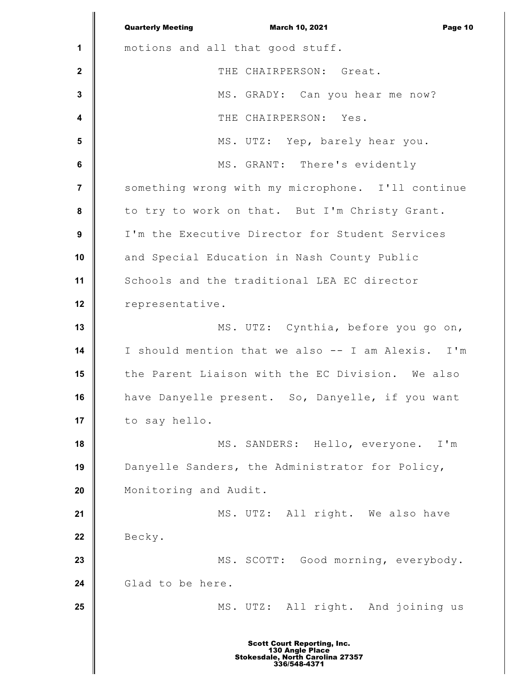**1 2 3 4 5 6 7 8 9 10 11 12 13 14 15 16 17 18 19 20 21 22 23 24 25** Quarterly Meeting March 10, 2021 Page 10 motions and all that good stuff. THE CHAIRPERSON: Great. MS. GRADY: Can you hear me now? THE CHAIRPERSON: Yes. MS. UTZ: Yep, barely hear you. MS. GRANT: There's evidently something wrong with my microphone. I'll continue to try to work on that. But I'm Christy Grant. I'm the Executive Director for Student Services and Special Education in Nash County Public Schools and the traditional LEA EC director representative. MS. UTZ: Cynthia, before you go on, I should mention that we also -- I am Alexis. I'm the Parent Liaison with the EC Division. We also have Danyelle present. So, Danyelle, if you want to say hello. MS. SANDERS: Hello, everyone. I'm Danyelle Sanders, the Administrator for Policy, Monitoring and Audit. MS. UTZ: All right. We also have Becky. MS. SCOTT: Good morning, everybody. Glad to be here. MS. UTZ: All right. And joining us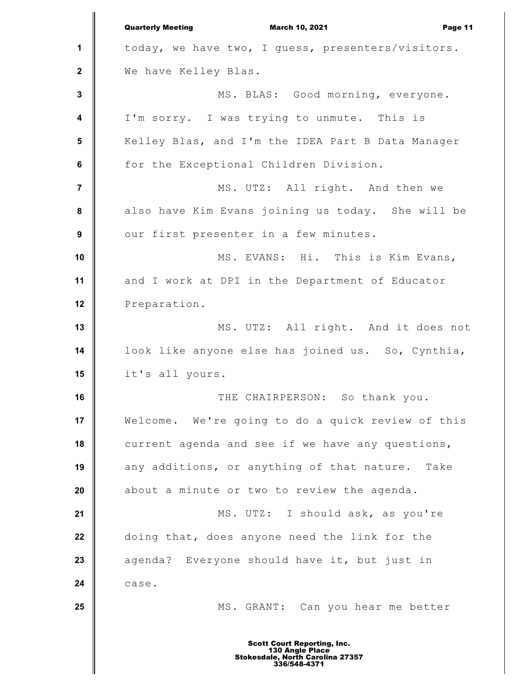**1 2 3 4 5 6 7 8 9 10 11 12 13 14 15 16 17 18 19 20 21 22 23 24 25** Quarterly Meeting March 10, 2021 Page 11 today, we have two, I guess, presenters/visitors. We have Kelley Blas. MS. BLAS: Good morning, everyone. I'm sorry. I was trying to unmute. This is Kelley Blas, and I'm the IDEA Part B Data Manager for the Exceptional Children Division. MS. UTZ: All right. And then we also have Kim Evans joining us today. She will be our first presenter in a few minutes. MS. EVANS: Hi. This is Kim Evans, and I work at DPI in the Department of Educator Preparation. MS. UTZ: All right. And it does not look like anyone else has joined us. So, Cynthia, it's all yours. THE CHAIRPERSON: So thank you. Welcome. We're going to do a quick review of this current agenda and see if we have any questions, any additions, or anything of that nature. Take about a minute or two to review the agenda. MS. UTZ: I should ask, as you're doing that, does anyone need the link for the agenda? Everyone should have it, but just in case. MS. GRANT: Can you hear me better Scott Court Reporting, Inc. 130 Angle Place Stokesdale, North Carolina 27357 336/548-4371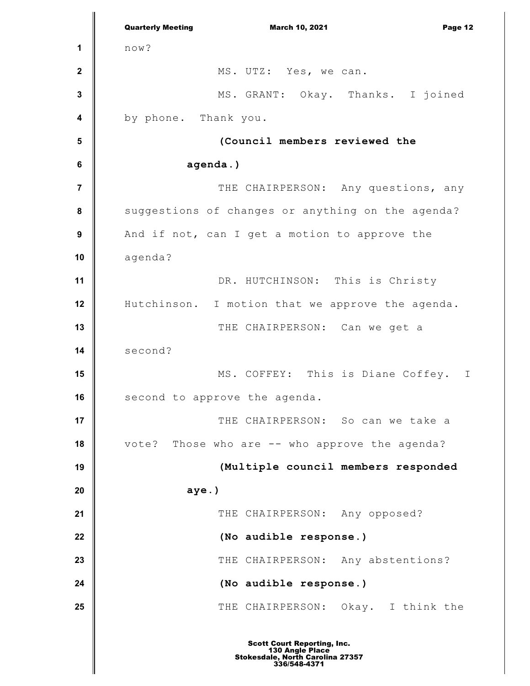**1 2 3 4 5 6 7 8 9 10 11 12 13 14 15 16 17 18 19 20 21 22 23 24 25** Quarterly Meeting March 10, 2021 Page 12 now? MS. UTZ: Yes, we can. MS. GRANT: Okay. Thanks. I joined by phone. Thank you. **(Council members reviewed the agenda.)** THE CHAIRPERSON: Any questions, any suggestions of changes or anything on the agenda? And if not, can I get a motion to approve the agenda? DR. HUTCHINSON: This is Christy Hutchinson. I motion that we approve the agenda. THE CHAIRPERSON: Can we get a second? MS. COFFEY: This is Diane Coffey. I second to approve the agenda. THE CHAIRPERSON: So can we take a vote? Those who are -- who approve the agenda? **(Multiple council members responded aye.)** THE CHAIRPERSON: Any opposed? **(No audible response.)** THE CHAIRPERSON: Any abstentions? **(No audible response.)** THE CHAIRPERSON: Okay. I think the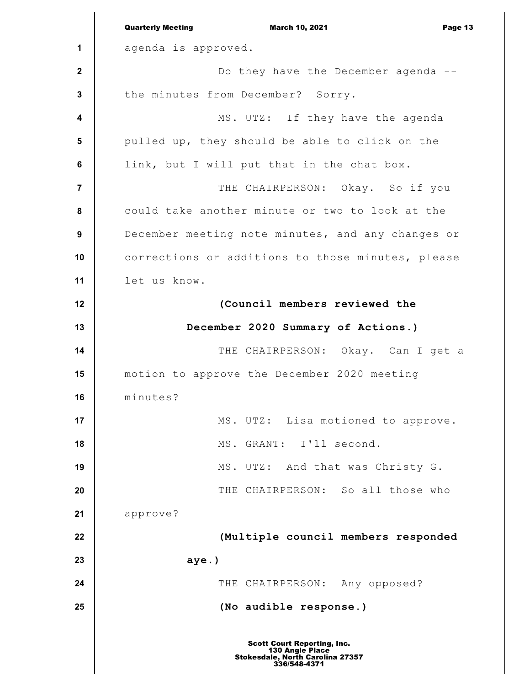**1 2 3 4 5 6 7 8 9 10 11 12 13 14 15 16 17 18 19 20 21 22 23 24 25** Quarterly Meeting March 10, 2021 Page 13 agenda is approved. Do they have the December agenda - the minutes from December? Sorry. MS. UTZ: If they have the agenda pulled up, they should be able to click on the link, but I will put that in the chat box. THE CHAIRPERSON: Okay. So if you could take another minute or two to look at the December meeting note minutes, and any changes or corrections or additions to those minutes, please let us know. **(Council members reviewed the December 2020 Summary of Actions.)** THE CHAIRPERSON: Okay. Can I get a motion to approve the December 2020 meeting minutes? MS. UTZ: Lisa motioned to approve. MS. GRANT: I'll second. MS. UTZ: And that was Christy G. THE CHAIRPERSON: So all those who approve? **(Multiple council members responded aye.)** THE CHAIRPERSON: Any opposed? **(No audible response.)**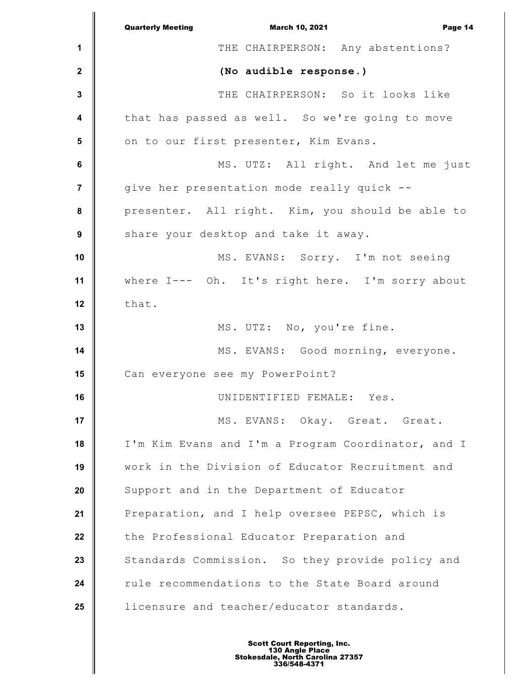|                         | <b>March 10, 2021</b><br><b>Quarterly Meeting</b><br>Page 14 |
|-------------------------|--------------------------------------------------------------|
| 1                       | THE CHAIRPERSON: Any abstentions?                            |
| $\boldsymbol{2}$        | (No audible response.)                                       |
| $\mathbf 3$             | THE CHAIRPERSON: So it looks like                            |
| 4                       | that has passed as well. So we're going to move              |
| 5                       | on to our first presenter, Kim Evans.                        |
| 6                       | MS. UTZ: All right. And let me just                          |
| $\overline{\mathbf{7}}$ | give her presentation mode really quick --                   |
| 8                       | presenter. All right. Kim, you should be able to             |
| $\boldsymbol{9}$        | share your desktop and take it away.                         |
| 10                      | MS. EVANS: Sorry. I'm not seeing                             |
| 11                      | where I--- Oh. It's right here. I'm sorry about              |
| 12                      | that.                                                        |
| 13                      | MS. UTZ: No, you're fine.                                    |
| 14                      | MS. EVANS: Good morning, everyone.                           |
| 15                      | Can everyone see my PowerPoint?                              |
| 16                      | UNIDENTIFIED FEMALE: Yes.                                    |
| 17                      | MS. EVANS: Okay. Great. Great.                               |
| 18                      | I'm Kim Evans and I'm a Program Coordinator, and I           |
| 19                      | work in the Division of Educator Recruitment and             |
| 20                      | Support and in the Department of Educator                    |
| 21                      | Preparation, and I help oversee PEPSC, which is              |
| 22                      | the Professional Educator Preparation and                    |
| 23                      | Standards Commission. So they provide policy and             |
| 24                      | rule recommendations to the State Board around               |
| 25                      | licensure and teacher/educator standards.                    |
|                         |                                                              |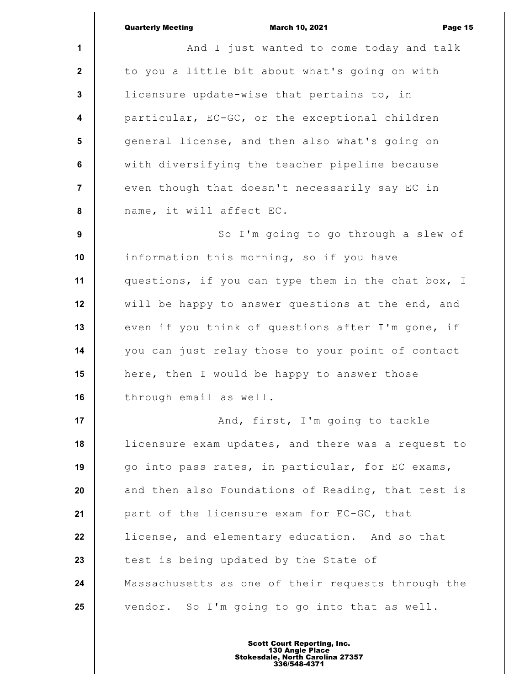|                | <b>Quarterly Meeting</b><br><b>March 10, 2021</b><br>Page 15 |
|----------------|--------------------------------------------------------------|
| 1              | And I just wanted to come today and talk                     |
| $\mathbf{2}$   | to you a little bit about what's going on with               |
| 3              | licensure update-wise that pertains to, in                   |
| 4              | particular, EC-GC, or the exceptional children               |
| $5\phantom{1}$ | general license, and then also what's going on               |
| $\bf 6$        | with diversifying the teacher pipeline because               |
| 7              | even though that doesn't necessarily say EC in               |
| 8              | name, it will affect EC.                                     |
| 9              | So I'm going to go through a slew of                         |
| 10             | information this morning, so if you have                     |
| 11             | questions, if you can type them in the chat box, I           |
| 12             | will be happy to answer questions at the end, and            |
| 13             | even if you think of questions after I'm gone, if            |
| 14             | you can just relay those to your point of contact            |
| 15             | here, then I would be happy to answer those                  |
| 16             | through email as well.                                       |
| 17             | And, first, I'm going to tackle                              |
| 18             | licensure exam updates, and there was a request to           |
| 19             | go into pass rates, in particular, for EC exams,             |
| 20             | and then also Foundations of Reading, that test is           |
| 21             | part of the licensure exam for EC-GC, that                   |
| 22             | license, and elementary education. And so that               |
| 23             | test is being updated by the State of                        |
| 24             | Massachusetts as one of their requests through the           |
| 25             | vendor. So I'm going to go into that as well.                |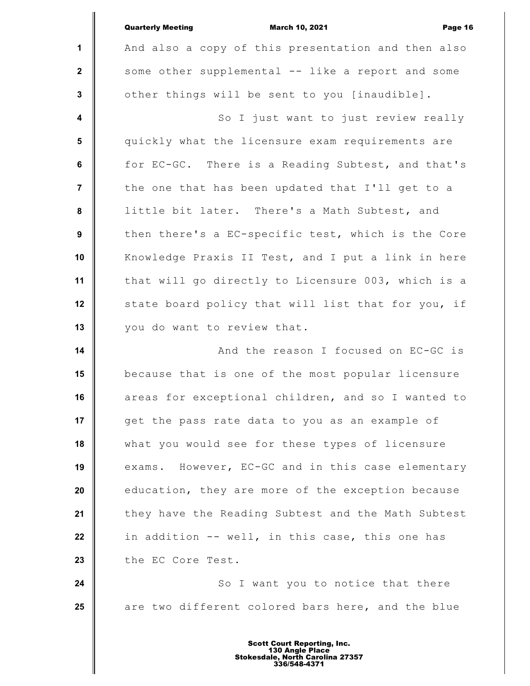|                         | <b>Quarterly Meeting</b><br><b>March 10, 2021</b><br>Page 16 |
|-------------------------|--------------------------------------------------------------|
| $\mathbf{1}$            | And also a copy of this presentation and then also           |
| $\mathbf{2}$            | some other supplemental -- like a report and some            |
| $\mathbf{3}$            | other things will be sent to you [inaudible].                |
| $\boldsymbol{4}$        | So I just want to just review really                         |
| $\overline{\mathbf{5}}$ | quickly what the licensure exam requirements are             |
| 6                       | for EC-GC. There is a Reading Subtest, and that's            |
| $\overline{7}$          | the one that has been updated that I'll get to a             |
| 8                       | little bit later. There's a Math Subtest, and                |
| 9                       | then there's a EC-specific test, which is the Core           |
| 10                      | Knowledge Praxis II Test, and I put a link in here           |
| 11                      | that will go directly to Licensure 003, which is a           |
| 12                      | state board policy that will list that for you, if           |
| 13                      | you do want to review that.                                  |
| 14                      | And the reason I focused on EC-GC is                         |
| 15                      | because that is one of the most popular licensure            |
| 16                      | areas for exceptional children, and so I wanted to           |
| 17                      | get the pass rate data to you as an example of               |
| 18                      | what you would see for these types of licensure              |
| 19                      | exams. However, EC-GC and in this case elementary            |
| 20                      | education, they are more of the exception because            |
| 21                      | they have the Reading Subtest and the Math Subtest           |
| 22                      | in addition -- well, in this case, this one has              |
| 23                      | the EC Core Test.                                            |
| 24                      | So I want you to notice that there                           |
| 25                      | are two different colored bars here, and the blue            |
|                         |                                                              |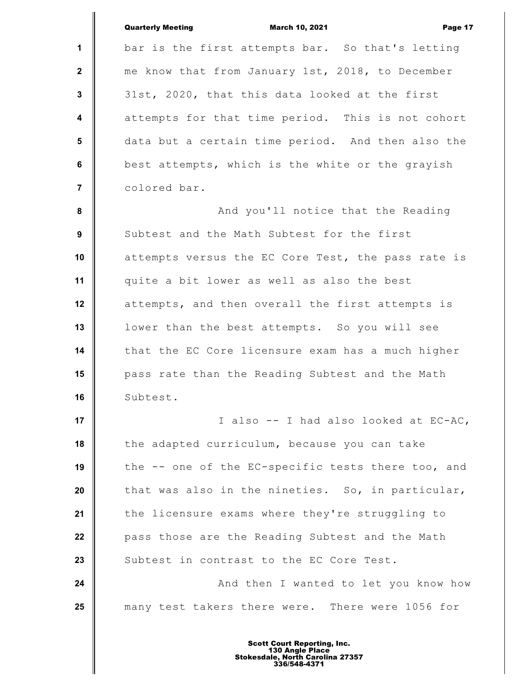|                         | <b>Quarterly Meeting</b><br><b>March 10, 2021</b><br>Page 17 |
|-------------------------|--------------------------------------------------------------|
| $\mathbf{1}$            | bar is the first attempts bar. So that's letting             |
| $\mathbf{2}$            | me know that from January 1st, 2018, to December             |
| $\mathbf 3$             | 31st, 2020, that this data looked at the first               |
| $\overline{\mathbf{4}}$ | attempts for that time period. This is not cohort            |
| 5                       | data but a certain time period. And then also the            |
| 6                       | best attempts, which is the white or the grayish             |
| $\overline{7}$          | colored bar.                                                 |
| 8                       | And you'll notice that the Reading                           |
| 9                       | Subtest and the Math Subtest for the first                   |
| 10                      | attempts versus the EC Core Test, the pass rate is           |
| 11                      | quite a bit lower as well as also the best                   |
| 12                      | attempts, and then overall the first attempts is             |
| 13                      | lower than the best attempts. So you will see                |
| 14                      | that the EC Core licensure exam has a much higher            |
| 15                      | pass rate than the Reading Subtest and the Math              |
| 16                      | Subtest.                                                     |
| 17                      | I also -- I had also looked at EC-AC,                        |
| 18                      | the adapted curriculum, because you can take                 |
| 19                      | the -- one of the EC-specific tests there too, and           |
| 20                      | that was also in the nineties. So, in particular,            |
| 21                      | the licensure exams where they're struggling to              |
| 22                      | pass those are the Reading Subtest and the Math              |
| 23                      | Subtest in contrast to the EC Core Test.                     |
| 24                      | And then I wanted to let you know how                        |
| 25                      | many test takers there were. There were 1056 for             |
|                         |                                                              |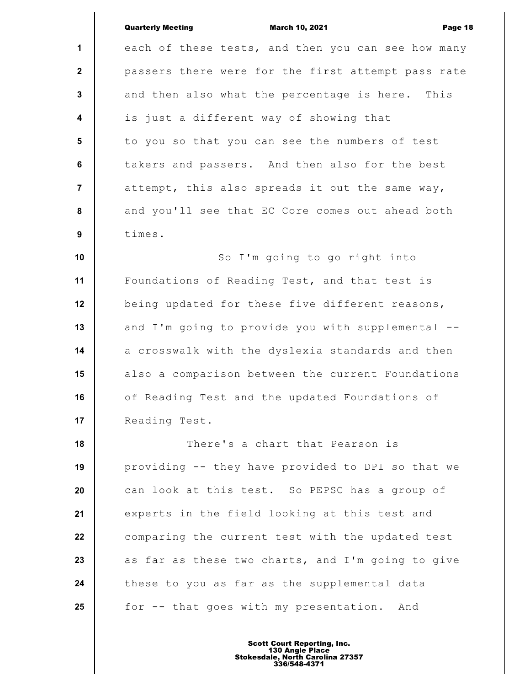|                  | <b>Quarterly Meeting</b><br><b>March 10, 2021</b><br>Page 18 |
|------------------|--------------------------------------------------------------|
| 1                | each of these tests, and then you can see how many           |
| $\mathbf{2}$     | passers there were for the first attempt pass rate           |
| 3                | and then also what the percentage is here.<br>This           |
| $\boldsymbol{4}$ | is just a different way of showing that                      |
| $5\phantom{1}$   | to you so that you can see the numbers of test               |
| $\bf 6$          | takers and passers. And then also for the best               |
| $\overline{7}$   | attempt, this also spreads it out the same way,              |
| $\pmb{8}$        | and you'll see that EC Core comes out ahead both             |
| $\boldsymbol{9}$ | times.                                                       |
| 10               | So I'm going to go right into                                |
| 11               | Foundations of Reading Test, and that test is                |
| 12               | being updated for these five different reasons,              |
| 13               | and I'm going to provide you with supplemental --            |
| 14               | a crosswalk with the dyslexia standards and then             |
| 15               | also a comparison between the current Foundations            |
| 16               | of Reading Test and the updated Foundations of               |
| 17               | Reading Test.                                                |
| 18               | There's a chart that Pearson is                              |
| 19               | providing -- they have provided to DPI so that we            |
| 20               | can look at this test. So PEPSC has a group of               |
| 21               | experts in the field looking at this test and                |
| 22               | comparing the current test with the updated test             |
| 23               | as far as these two charts, and I'm going to give            |
| 24               | these to you as far as the supplemental data                 |
| 25               | for -- that goes with my presentation.<br>And                |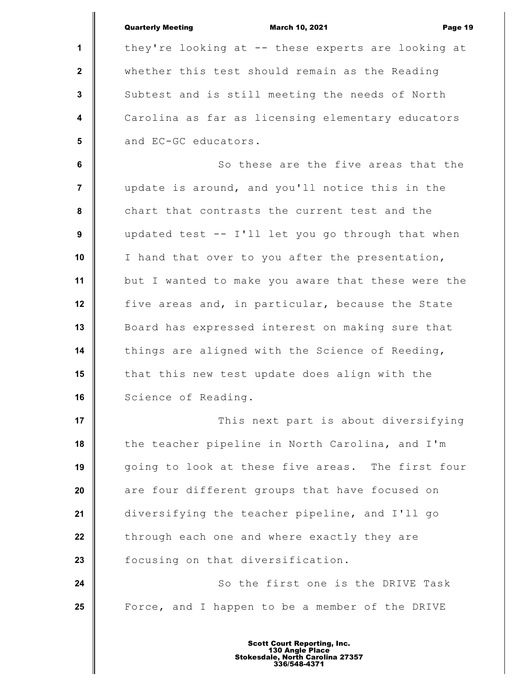**1 2 3 4 5 6 7 8 9 10 11 12 13 14 15 16 17 18 19 20 21 22 23 24 25** Quarterly Meeting March 10, 2021 Page 19 they're looking at -- these experts are looking at whether this test should remain as the Reading Subtest and is still meeting the needs of North Carolina as far as licensing elementary educators and EC-GC educators. So these are the five areas that the update is around, and you'll notice this in the chart that contrasts the current test and the updated test -- I'll let you go through that when I hand that over to you after the presentation, but I wanted to make you aware that these were the five areas and, in particular, because the State Board has expressed interest on making sure that things are aligned with the Science of Reeding, that this new test update does align with the Science of Reading. This next part is about diversifying the teacher pipeline in North Carolina, and I'm going to look at these five areas. The first four are four different groups that have focused on diversifying the teacher pipeline, and I'll go through each one and where exactly they are focusing on that diversification. So the first one is the DRIVE Task Force, and I happen to be a member of the DRIVE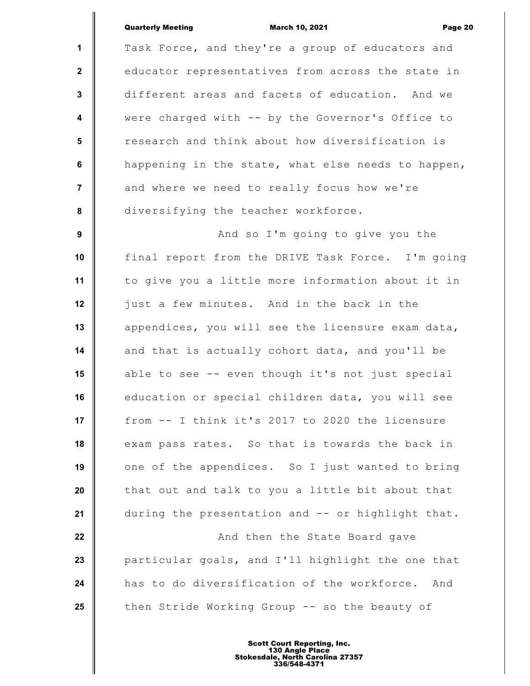### Quarterly Meeting March 10, 2021 Page 20

**1 2 3 4 5 6 7 8 9 10 11 12 13 14 15 16 17 18 19 20 21 22 23 24 25** Task Force, and they're a group of educators and educator representatives from across the state in different areas and facets of education. And we were charged with -- by the Governor's Office to research and think about how diversification is happening in the state, what else needs to happen, and where we need to really focus how we're diversifying the teacher workforce. And so I'm going to give you the final report from the DRIVE Task Force. I'm going to give you a little more information about it in just a few minutes. And in the back in the appendices, you will see the licensure exam data, and that is actually cohort data, and you'll be able to see -- even though it's not just special education or special children data, you will see from -- I think it's 2017 to 2020 the licensure exam pass rates. So that is towards the back in one of the appendices. So I just wanted to bring that out and talk to you a little bit about that during the presentation and -- or highlight that. And then the State Board gave particular goals, and I'll highlight the one that has to do diversification of the workforce. And then Stride Working Group -- so the beauty of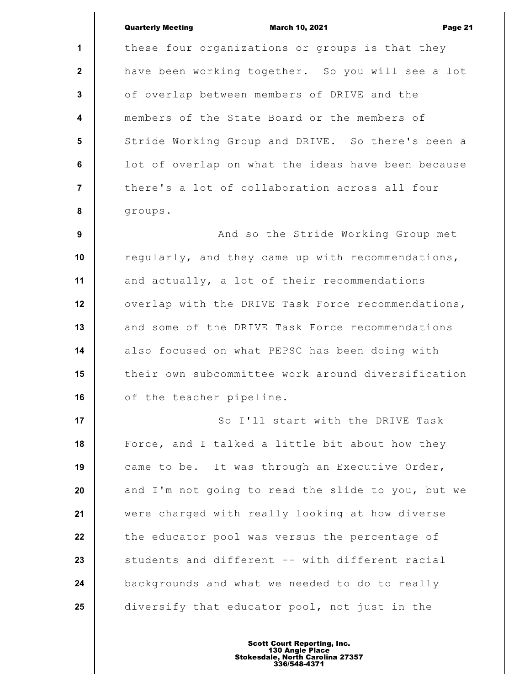|                  | <b>Quarterly Meeting</b><br><b>March 10, 2021</b><br>Page 21 |
|------------------|--------------------------------------------------------------|
| $\mathbf 1$      | these four organizations or groups is that they              |
| $\mathbf{2}$     | have been working together. So you will see a lot            |
| $\mathbf{3}$     | of overlap between members of DRIVE and the                  |
| $\boldsymbol{4}$ | members of the State Board or the members of                 |
| 5                | Stride Working Group and DRIVE. So there's been a            |
| 6                | lot of overlap on what the ideas have been because           |
| $\overline{7}$   | there's a lot of collaboration across all four               |
| 8                | groups.                                                      |
| 9                | And so the Stride Working Group met                          |
| 10               | regularly, and they came up with recommendations,            |
| 11               | and actually, a lot of their recommendations                 |
| 12               | overlap with the DRIVE Task Force recommendations,           |
| 13               | and some of the DRIVE Task Force recommendations             |
| 14               | also focused on what PEPSC has been doing with               |
| 15               | their own subcommittee work around diversification           |
| 16               | of the teacher pipeline.                                     |
| 17               | So I'll start with the DRIVE Task                            |
| 18               | Force, and I talked a little bit about how they              |
| 19               | came to be. It was through an Executive Order,               |
| 20               | and I'm not going to read the slide to you, but we           |
| 21               | were charged with really looking at how diverse              |
| 22               | the educator pool was versus the percentage of               |
| 23               | students and different -- with different racial              |
| 24               | backgrounds and what we needed to do to really               |
| 25               | diversify that educator pool, not just in the                |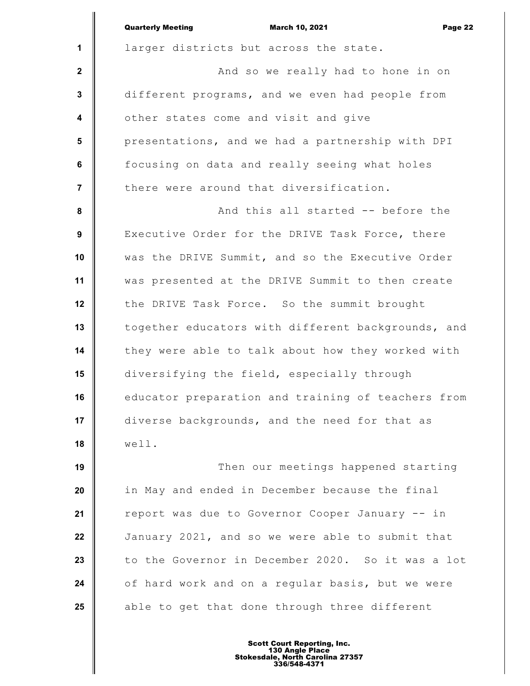|                         | <b>Quarterly Meeting</b><br><b>March 10, 2021</b><br>Page 22 |
|-------------------------|--------------------------------------------------------------|
| $\mathbf{1}$            | larger districts but across the state.                       |
| $\mathbf{2}$            | And so we really had to hone in on                           |
| $\mathbf{3}$            | different programs, and we even had people from              |
| 4                       | other states come and visit and give                         |
| $5\phantom{.0}$         | presentations, and we had a partnership with DPI             |
| 6                       | focusing on data and really seeing what holes                |
| $\overline{\mathbf{r}}$ | there were around that diversification.                      |
| 8                       | And this all started -- before the                           |
| 9                       | Executive Order for the DRIVE Task Force, there              |
| 10                      | was the DRIVE Summit, and so the Executive Order             |
| 11                      | was presented at the DRIVE Summit to then create             |
| 12                      | the DRIVE Task Force. So the summit brought                  |
| 13                      | together educators with different backgrounds, and           |
| 14                      | they were able to talk about how they worked with            |
| 15                      | diversifying the field, especially through                   |
| 16                      | educator preparation and training of teachers from           |
| 17                      | diverse backgrounds, and the need for that as                |
| 18                      | well.                                                        |
| 19                      | Then our meetings happened starting                          |
| 20                      | in May and ended in December because the final               |
| 21                      | report was due to Governor Cooper January -- in              |
| 22                      | January 2021, and so we were able to submit that             |
| 23                      | to the Governor in December 2020. So it was a lot            |
| 24                      | of hard work and on a regular basis, but we were             |
| 25                      | able to get that done through three different                |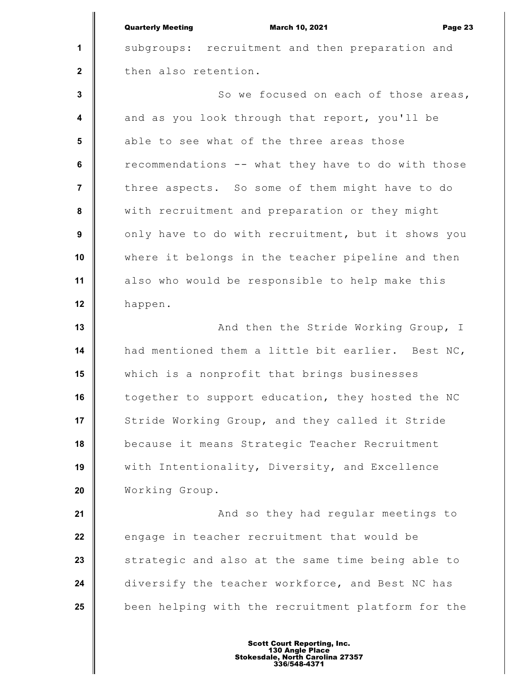|                         | <b>Quarterly Meeting</b><br><b>March 10, 2021</b><br>Page 23 |
|-------------------------|--------------------------------------------------------------|
| 1                       | subgroups: recruitment and then preparation and              |
| $\mathbf{2}$            | then also retention.                                         |
| $\mathbf{3}$            | So we focused on each of those areas,                        |
| $\overline{\mathbf{4}}$ | and as you look through that report, you'll be               |
| $5\phantom{.0}$         | able to see what of the three areas those                    |
| 6                       | recommendations -- what they have to do with those           |
| $\overline{7}$          | three aspects. So some of them might have to do              |
| 8                       | with recruitment and preparation or they might               |
| 9                       | only have to do with recruitment, but it shows you           |
| 10                      | where it belongs in the teacher pipeline and then            |
| 11                      | also who would be responsible to help make this              |
| 12                      | happen.                                                      |
| 13                      | And then the Stride Working Group, I                         |
| 14                      | had mentioned them a little bit earlier. Best NC,            |
| 15                      | which is a nonprofit that brings businesses                  |
| 16                      | together to support education, they hosted the NC            |
| 17                      | Stride Working Group, and they called it Stride              |
| 18                      | because it means Strategic Teacher Recruitment               |
| 19                      | with Intentionality, Diversity, and Excellence               |
| 20                      | Working Group.                                               |
| 21                      | And so they had regular meetings to                          |
| 22                      | engage in teacher recruitment that would be                  |
| 23                      | strategic and also at the same time being able to            |
| 24                      | diversify the teacher workforce, and Best NC has             |
| 25                      | been helping with the recruitment platform for the           |
|                         |                                                              |

I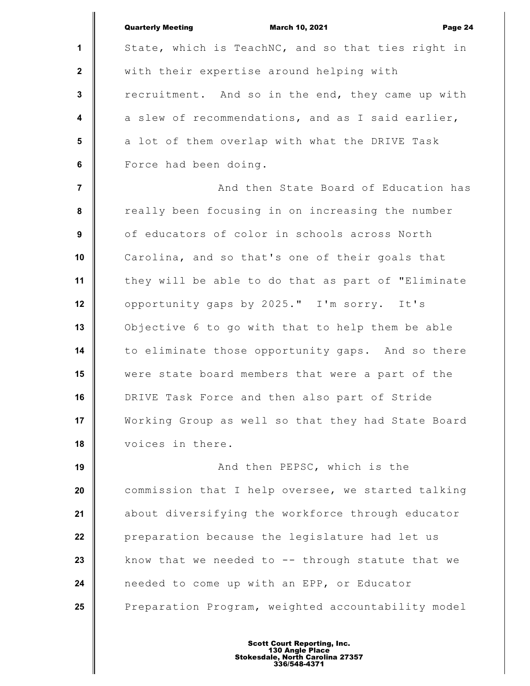|                  | <b>Quarterly Meeting</b><br><b>March 10, 2021</b><br>Page 24 |
|------------------|--------------------------------------------------------------|
| 1                | State, which is TeachNC, and so that ties right in           |
| $\mathbf{2}$     | with their expertise around helping with                     |
| $\mathbf{3}$     | recruitment. And so in the end, they came up with            |
| $\boldsymbol{4}$ | a slew of recommendations, and as I said earlier,            |
| 5                | a lot of them overlap with what the DRIVE Task               |
| 6                | Force had been doing.                                        |
| $\overline{7}$   | And then State Board of Education has                        |
| 8                | really been focusing in on increasing the number             |
| 9                | of educators of color in schools across North                |
| 10               | Carolina, and so that's one of their goals that              |
| 11               | they will be able to do that as part of "Eliminate           |
| 12               | opportunity gaps by 2025." I'm sorry. It's                   |
| 13               | Objective 6 to go with that to help them be able             |
| 14               | to eliminate those opportunity gaps. And so there            |
| 15               | were state board members that were a part of the             |
| 16               | DRIVE Task Force and then also part of Stride                |
| 17               | Working Group as well so that they had State Board           |
| 18               | voices in there.                                             |
| 19               | And then PEPSC, which is the                                 |
| 20               | commission that I help oversee, we started talking           |
| 21               | about diversifying the workforce through educator            |
| 22               | preparation because the legislature had let us               |
| 23               | know that we needed to $-$ - through statute that we         |
| 24               | needed to come up with an EPP, or Educator                   |
| 25               | Preparation Program, weighted accountability model           |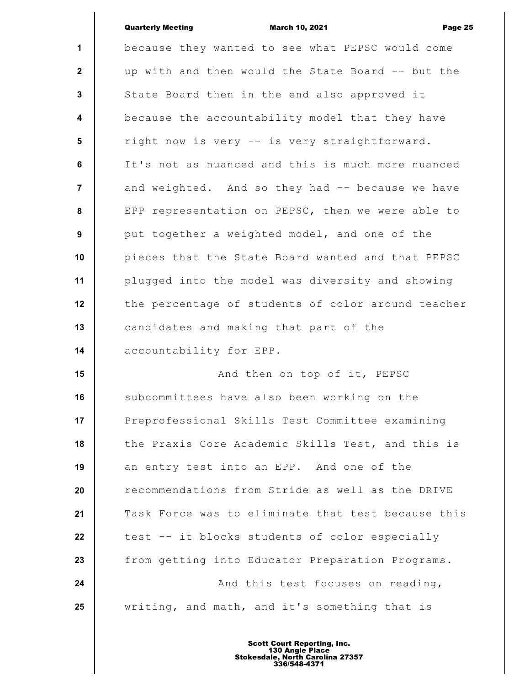|                         | <b>Quarterly Meeting</b><br><b>March 10, 2021</b><br>Page 25 |
|-------------------------|--------------------------------------------------------------|
| 1                       | because they wanted to see what PEPSC would come             |
| $\mathbf{2}$            | up with and then would the State Board -- but the            |
| $\mathbf{3}$            | State Board then in the end also approved it                 |
| $\overline{\mathbf{4}}$ | because the accountability model that they have              |
| 5                       | right now is very -- is very straightforward.                |
| 6                       | It's not as nuanced and this is much more nuanced            |
| $\overline{7}$          | and weighted. And so they had -- because we have             |
| 8                       | EPP representation on PEPSC, then we were able to            |
| 9                       | put together a weighted model, and one of the                |
| 10                      | pieces that the State Board wanted and that PEPSC            |
| 11                      | plugged into the model was diversity and showing             |
| 12                      | the percentage of students of color around teacher           |
| 13                      | candidates and making that part of the                       |
| 14                      | accountability for EPP.                                      |
| 15                      | And then on top of it, PEPSC                                 |
| 16                      | subcommittees have also been working on the                  |
| 17                      | Preprofessional Skills Test Committee examining              |
| 18                      | the Praxis Core Academic Skills Test, and this is            |
| 19                      | an entry test into an EPP. And one of the                    |
| 20                      | recommendations from Stride as well as the DRIVE             |
| 21                      | Task Force was to eliminate that test because this           |
| 22                      | test -- it blocks students of color especially               |
| 23                      | from getting into Educator Preparation Programs.             |
| 24                      | And this test focuses on reading,                            |
| 25                      | writing, and math, and it's something that is                |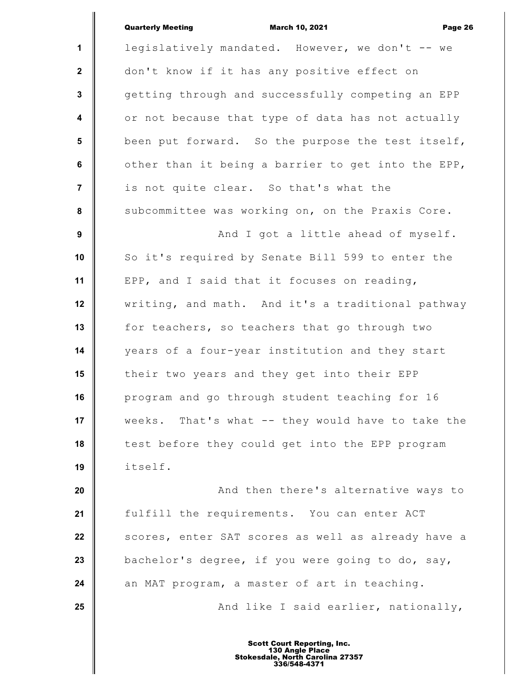|                  | <b>Quarterly Meeting</b><br><b>March 10, 2021</b><br>Page 26 |
|------------------|--------------------------------------------------------------|
| $\mathbf 1$      | legislatively mandated. However, we don't -- we              |
| $\mathbf{2}$     | don't know if it has any positive effect on                  |
| $\mathbf{3}$     | getting through and successfully competing an EPP            |
| $\boldsymbol{4}$ | or not because that type of data has not actually            |
| $5\phantom{.0}$  | been put forward. So the purpose the test itself,            |
| 6                | other than it being a barrier to get into the EPP,           |
| $\overline{7}$   | is not quite clear. So that's what the                       |
| 8                | subcommittee was working on, on the Praxis Core.             |
| 9                | And I got a little ahead of myself.                          |
| 10               | So it's required by Senate Bill 599 to enter the             |
| 11               | EPP, and I said that it focuses on reading,                  |
| 12               | writing, and math. And it's a traditional pathway            |
| 13               | for teachers, so teachers that go through two                |
| 14               | years of a four-year institution and they start              |
| 15               | their two years and they get into their EPP                  |
| 16               | program and go through student teaching for 16               |
| 17               | weeks. That's what -- they would have to take the            |
| 18               | test before they could get into the EPP program              |
| 19               | itself.                                                      |
| 20               | And then there's alternative ways to                         |
| 21               | fulfill the requirements. You can enter ACT                  |
| 22               | scores, enter SAT scores as well as already have a           |
| 23               | bachelor's degree, if you were going to do, say,             |
| 24               | an MAT program, a master of art in teaching.                 |
| 25               | And like I said earlier, nationally,                         |
|                  |                                                              |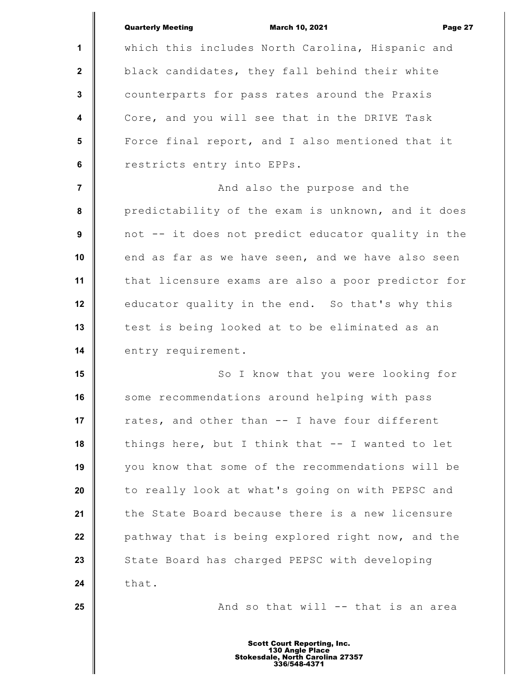|                         | <b>Quarterly Meeting</b><br><b>March 10, 2021</b><br>Page 27 |
|-------------------------|--------------------------------------------------------------|
| $\mathbf 1$             | which this includes North Carolina, Hispanic and             |
| $\mathbf{2}$            | black candidates, they fall behind their white               |
| 3                       | counterparts for pass rates around the Praxis                |
| $\overline{\mathbf{4}}$ | Core, and you will see that in the DRIVE Task                |
| $5\phantom{.0}$         | Force final report, and I also mentioned that it             |
| 6                       | restricts entry into EPPs.                                   |
| $\overline{7}$          | And also the purpose and the                                 |
| 8                       | predictability of the exam is unknown, and it does           |
| 9                       | not -- it does not predict educator quality in the           |
| 10                      | end as far as we have seen, and we have also seen            |
| 11                      | that licensure exams are also a poor predictor for           |
| 12                      | educator quality in the end. So that's why this              |
| 13                      | test is being looked at to be eliminated as an               |
| 14                      | entry requirement.                                           |
| 15                      | So I know that you were looking for                          |
| 16                      | some recommendations around helping with pass                |
| 17                      | rates, and other than -- I have four different               |
| 18                      | things here, but I think that -- I wanted to let             |
| 19                      | you know that some of the recommendations will be            |
| 20                      | to really look at what's going on with PEPSC and             |
| 21                      | the State Board because there is a new licensure             |
| 22                      | pathway that is being explored right now, and the            |
| 23                      | State Board has charged PEPSC with developing                |
| 24                      | that.                                                        |
| 25                      | And so that will -- that is an area                          |
|                         |                                                              |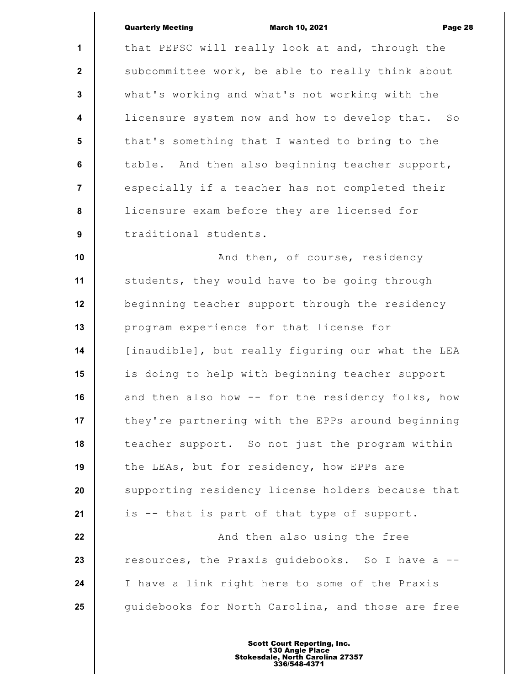|                         | <b>Quarterly Meeting</b> | <b>March 10, 2021</b>                            | Page 28 |
|-------------------------|--------------------------|--------------------------------------------------|---------|
|                         |                          |                                                  |         |
| $\mathbf{1}$            |                          | that PEPSC will really look at and, through the  |         |
| $\overline{2}$          |                          | subcommittee work, be able to really think about |         |
| $\mathbf{3}$            |                          | what's working and what's not working with the   |         |
| $\overline{\mathbf{4}}$ |                          | licensure system now and how to develop that.    | SO      |
| 5                       |                          | that's something that I wanted to bring to the   |         |
| 6                       |                          | table. And then also beginning teacher support,  |         |

licensure exam before they are licensed for traditional students.

especially if a teacher has not completed their

 **7**

 **8**

 **9**

**25**

**10 11 12 13 14 15 16 17 18 19 20 21 22 23 24** And then, of course, residency students, they would have to be going through beginning teacher support through the residency program experience for that license for [inaudible], but really figuring our what the LEA is doing to help with beginning teacher support and then also how -- for the residency folks, how they're partnering with the EPPs around beginning teacher support. So not just the program within the LEAs, but for residency, how EPPs are supporting residency license holders because that is -- that is part of that type of support. And then also using the free resources, the Praxis guidebooks. So I have a -- I have a link right here to some of the Praxis

guidebooks for North Carolina, and those are free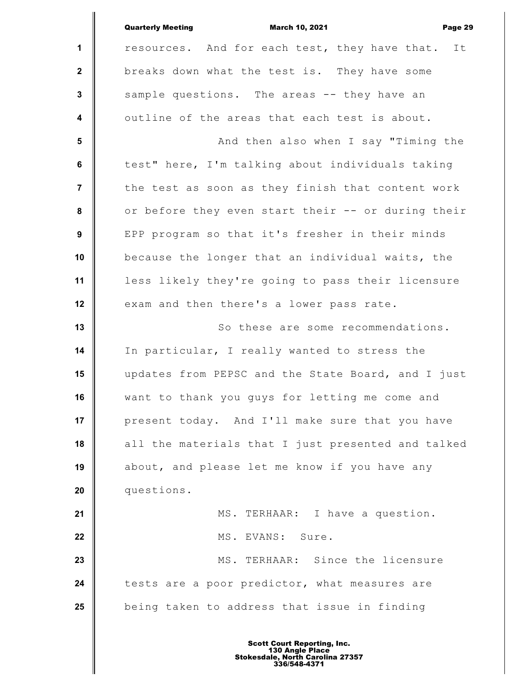|                  | <b>Quarterly Meeting</b><br><b>March 10, 2021</b><br>Page 29 |
|------------------|--------------------------------------------------------------|
| $\mathbf{1}$     | resources. And for each test, they have that. It             |
| $\mathbf{2}$     | breaks down what the test is. They have some                 |
| $\mathbf{3}$     | sample questions. The areas -- they have an                  |
| $\boldsymbol{4}$ | outline of the areas that each test is about.                |
| 5                | And then also when I say "Timing the                         |
| 6                | test" here, I'm talking about individuals taking             |
| $\overline{7}$   | the test as soon as they finish that content work            |
| $\pmb{8}$        | or before they even start their -- or during their           |
| 9                | EPP program so that it's fresher in their minds              |
| 10               | because the longer that an individual waits, the             |
| 11               | less likely they're going to pass their licensure            |
| 12               | exam and then there's a lower pass rate.                     |
| 13               | So these are some recommendations.                           |
| 14               | In particular, I really wanted to stress the                 |
| 15               | updates from PEPSC and the State Board, and I just           |
| 16               | want to thank you guys for letting me come and               |
| 17               | present today. And I'll make sure that you have              |
| 18               | all the materials that I just presented and talked           |
| 19               | about, and please let me know if you have any                |
| 20               | questions.                                                   |
| 21               | MS. TERHAAR: I have a question.                              |
| 22               | MS. EVANS: Sure.                                             |
| 23               | MS. TERHAAR: Since the licensure                             |
| 24               | tests are a poor predictor, what measures are                |
| 25               | being taken to address that issue in finding                 |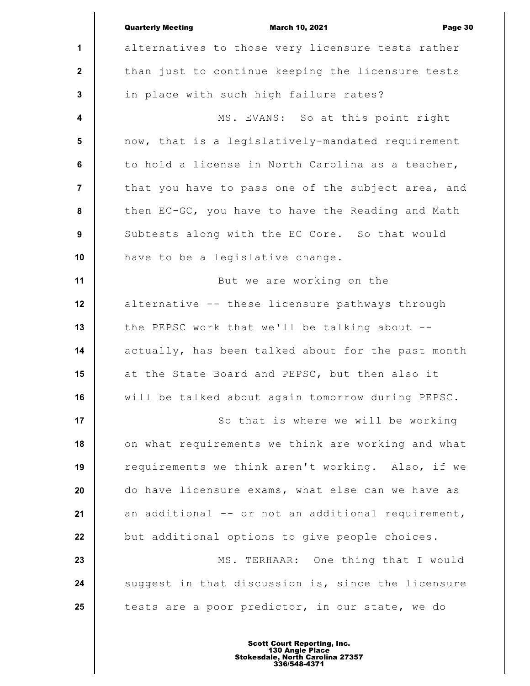|                         | <b>Quarterly Meeting</b><br><b>March 10, 2021</b><br>Page 30 |
|-------------------------|--------------------------------------------------------------|
| $\mathbf{1}$            | alternatives to those very licensure tests rather            |
| $\mathbf{2}$            | than just to continue keeping the licensure tests            |
| 3                       | in place with such high failure rates?                       |
| $\overline{\mathbf{4}}$ | MS. EVANS: So at this point right                            |
| $5\phantom{.0}$         | now, that is a legislatively-mandated requirement            |
| 6                       | to hold a license in North Carolina as a teacher,            |
| $\overline{7}$          | that you have to pass one of the subject area, and           |
| 8                       | then EC-GC, you have to have the Reading and Math            |
| 9                       | Subtests along with the EC Core. So that would               |
| 10                      | have to be a legislative change.                             |
| 11                      | But we are working on the                                    |
| 12                      | alternative -- these licensure pathways through              |
| 13                      | the PEPSC work that we'll be talking about --                |
| 14                      | actually, has been talked about for the past month           |
| 15                      | at the State Board and PEPSC, but then also it               |
| 16                      | will be talked about again tomorrow during PEPSC.            |
| 17                      | So that is where we will be working                          |
| 18                      | on what requirements we think are working and what           |
| 19                      | requirements we think aren't working. Also, if we            |
| 20                      | do have licensure exams, what else can we have as            |
| 21                      | an additional -- or not an additional requirement,           |
| 22                      | but additional options to give people choices.               |
| 23                      | MS. TERHAAR: One thing that I would                          |
| 24                      | suggest in that discussion is, since the licensure           |
| 25                      | tests are a poor predictor, in our state, we do              |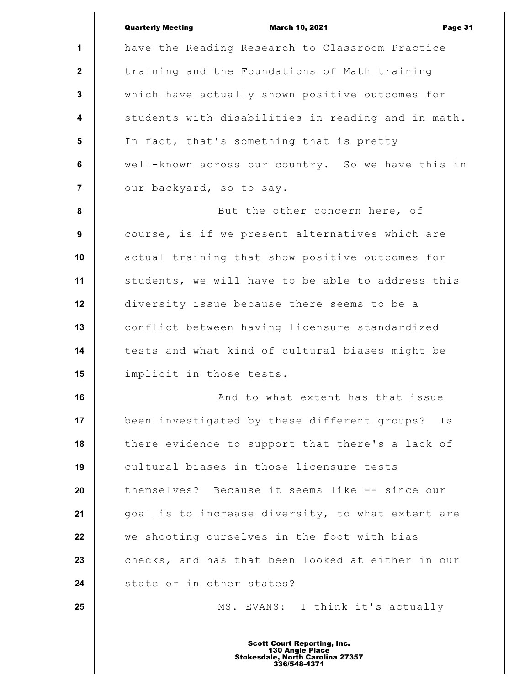|                         | <b>Quarterly Meeting</b><br><b>March 10, 2021</b><br>Page 31 |
|-------------------------|--------------------------------------------------------------|
| 1                       | have the Reading Research to Classroom Practice              |
| $\mathbf{2}$            | training and the Foundations of Math training                |
| $\mathbf 3$             | which have actually shown positive outcomes for              |
| $\overline{\mathbf{4}}$ | students with disabilities in reading and in math.           |
| 5                       | In fact, that's something that is pretty                     |
| 6                       | well-known across our country. So we have this in            |
| $\overline{7}$          | our backyard, so to say.                                     |
| 8                       | But the other concern here, of                               |
| 9                       | course, is if we present alternatives which are              |
| 10                      | actual training that show positive outcomes for              |
| 11                      | students, we will have to be able to address this            |
| 12                      | diversity issue because there seems to be a                  |
| 13                      | conflict between having licensure standardized               |
| 14                      | tests and what kind of cultural biases might be              |
| 15                      | implicit in those tests.                                     |
| 16                      | And to what extent has that issue                            |
| 17                      | been investigated by these different groups?<br>Is           |
| 18                      | there evidence to support that there's a lack of             |
| 19                      | cultural biases in those licensure tests                     |
| 20                      | themselves? Because it seems like -- since our               |
| 21                      | goal is to increase diversity, to what extent are            |
| 22                      | we shooting ourselves in the foot with bias                  |
| 23                      | checks, and has that been looked at either in our            |
| 24                      | state or in other states?                                    |
| 25                      | MS. EVANS: I think it's actually                             |
|                         |                                                              |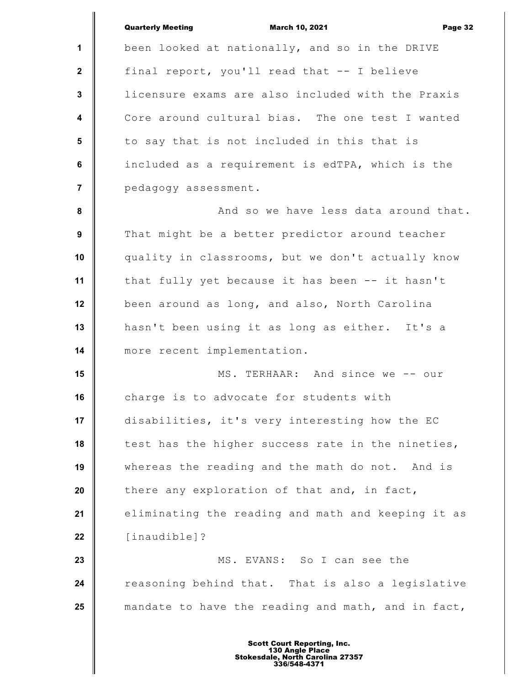|                  | <b>Quarterly Meeting</b><br><b>March 10, 2021</b><br>Page 32 |
|------------------|--------------------------------------------------------------|
| 1                | been looked at nationally, and so in the DRIVE               |
| $\mathbf{2}$     | final report, you'll read that -- I believe                  |
| $\mathbf{3}$     | licensure exams are also included with the Praxis            |
| $\boldsymbol{4}$ | Core around cultural bias. The one test I wanted             |
| 5                | to say that is not included in this that is                  |
| $6\phantom{a}$   | included as a requirement is edTPA, which is the             |
| $\overline{7}$   | pedagogy assessment.                                         |
| 8                | And so we have less data around that.                        |
| 9                | That might be a better predictor around teacher              |
| 10               | quality in classrooms, but we don't actually know            |
| 11               | that fully yet because it has been -- it hasn't              |
| 12               | been around as long, and also, North Carolina                |
| 13               | hasn't been using it as long as either. It's a               |
| 14               | more recent implementation.                                  |
| 15               | MS. TERHAAR: And since we -- our                             |
| 16               | charge is to advocate for students with                      |
| 17               | disabilities, it's very interesting how the EC               |
| 18               | test has the higher success rate in the nineties,            |
| 19               | whereas the reading and the math do not. And is              |
| 20               | there any exploration of that and, in fact,                  |
| 21               | eliminating the reading and math and keeping it as           |
| 22               | [inaudible]?                                                 |
| 23               | MS. EVANS: So I can see the                                  |
| 24               | reasoning behind that. That is also a legislative            |
| 25               | mandate to have the reading and math, and in fact,           |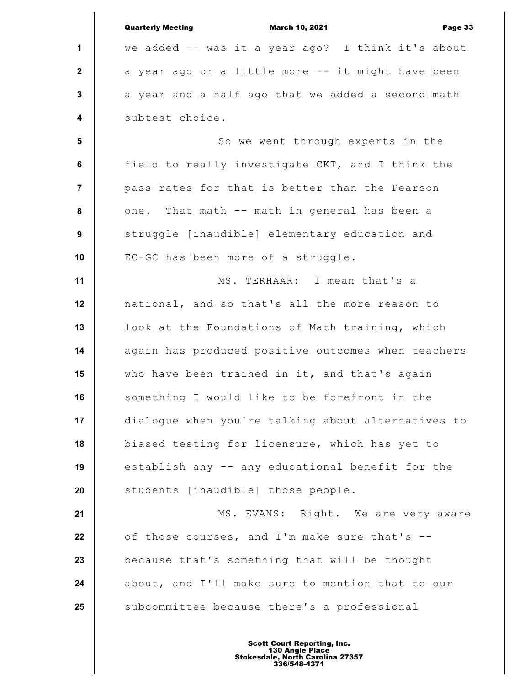|                         | <b>Quarterly Meeting</b><br>Page 33<br><b>March 10, 2021</b> |
|-------------------------|--------------------------------------------------------------|
| 1                       | we added -- was it a year ago? I think it's about            |
| $\overline{2}$          | a year ago or a little more -- it might have been            |
| $\mathbf 3$             | a year and a half ago that we added a second math            |
| $\overline{\mathbf{4}}$ | subtest choice.                                              |
| $5\phantom{1}$          | So we went through experts in the                            |
| $\bf 6$                 | field to really investigate CKT, and I think the             |
| $\overline{7}$          | pass rates for that is better than the Pearson               |
| 8                       | one. That math -- math in general has been a                 |
| $\boldsymbol{9}$        | struggle [inaudible] elementary education and                |
| 10                      | EC-GC has been more of a struggle.                           |
| 11                      | MS. TERHAAR: I mean that's a                                 |
| 12                      | national, and so that's all the more reason to               |
| 13                      | look at the Foundations of Math training, which              |
| 14                      | again has produced positive outcomes when teachers           |
| 15                      | who have been trained in it, and that's again                |
| 16                      | something I would like to be forefront in the                |
| 17                      | dialogue when you're talking about alternatives to           |
| 18                      | biased testing for licensure, which has yet to               |
| 19                      | establish any -- any educational benefit for the             |
| 20                      | students [inaudible] those people.                           |
| 21                      | MS. EVANS: Right. We are very aware                          |
| 22                      | of those courses, and I'm make sure that's --                |
| 23                      | because that's something that will be thought                |
| 24                      | about, and I'll make sure to mention that to our             |
| 25                      | subcommittee because there's a professional                  |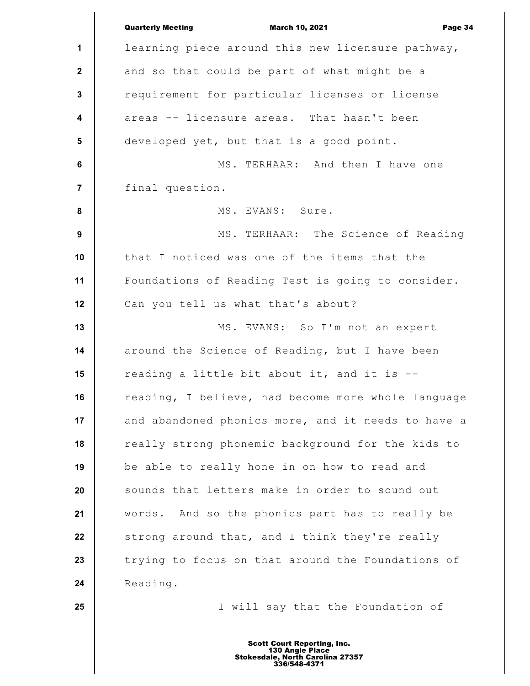|                         | <b>Quarterly Meeting</b><br><b>March 10, 2021</b><br>Page 34 |
|-------------------------|--------------------------------------------------------------|
| 1                       | learning piece around this new licensure pathway,            |
| $\mathbf{2}$            | and so that could be part of what might be a                 |
| $\mathbf 3$             | requirement for particular licenses or license               |
| $\overline{\mathbf{4}}$ | areas -- licensure areas. That hasn't been                   |
| $5\phantom{.0}$         | developed yet, but that is a good point.                     |
| $\bf 6$                 | MS. TERHAAR: And then I have one                             |
| $\overline{7}$          | final question.                                              |
| 8                       | MS. EVANS: Sure.                                             |
| 9                       | MS. TERHAAR: The Science of Reading                          |
| 10                      | that I noticed was one of the items that the                 |
| 11                      | Foundations of Reading Test is going to consider.            |
| 12                      | Can you tell us what that's about?                           |
| 13                      | MS. EVANS: So I'm not an expert                              |
| 14                      | around the Science of Reading, but I have been               |
| 15                      | reading a little bit about it, and it is --                  |
| 16                      | reading, I believe, had become more whole language           |
| 17                      | and abandoned phonics more, and it needs to have a           |
| 18                      | really strong phonemic background for the kids to            |
| 19                      | be able to really hone in on how to read and                 |
| 20                      | sounds that letters make in order to sound out               |
| 21                      | words. And so the phonics part has to really be              |
| 22                      | strong around that, and I think they're really               |
| 23                      | trying to focus on that around the Foundations of            |
| 24                      | Reading.                                                     |
| 25                      | I will say that the Foundation of                            |
|                         |                                                              |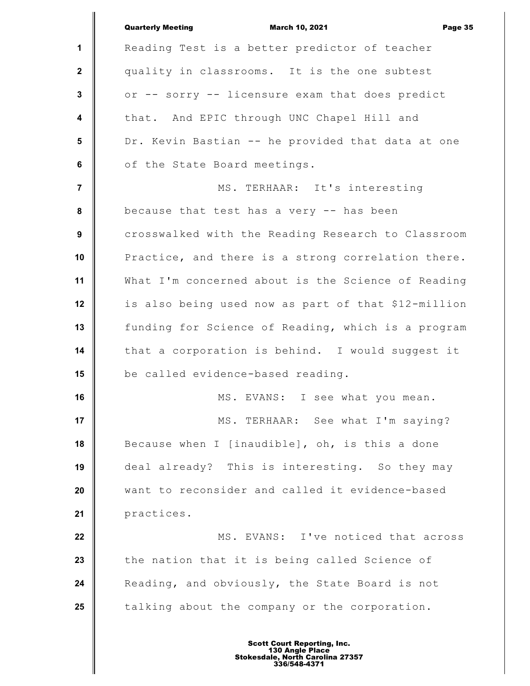|                         | <b>Quarterly Meeting</b><br><b>March 10, 2021</b><br>Page 35 |
|-------------------------|--------------------------------------------------------------|
| 1                       | Reading Test is a better predictor of teacher                |
| $\mathbf{2}$            | quality in classrooms. It is the one subtest                 |
| $\mathbf{3}$            | or -- sorry -- licensure exam that does predict              |
| $\overline{\mathbf{4}}$ | that. And EPIC through UNC Chapel Hill and                   |
| $5\phantom{.0}$         | Dr. Kevin Bastian -- he provided that data at one            |
| $6\phantom{a}$          | of the State Board meetings.                                 |
| $\overline{7}$          | MS. TERHAAR: It's interesting                                |
| 8                       | because that test has a very -- has been                     |
| 9                       | crosswalked with the Reading Research to Classroom           |
| 10                      | Practice, and there is a strong correlation there.           |
| 11                      | What I'm concerned about is the Science of Reading           |
| 12                      | is also being used now as part of that \$12-million          |
| 13                      | funding for Science of Reading, which is a program           |
| 14                      | that a corporation is behind. I would suggest it             |
| 15                      | be called evidence-based reading.                            |
| 16                      | MS. EVANS: I see what you mean.                              |
| 17                      | MS. TERHAAR: See what I'm saying?                            |
| 18                      | Because when I [inaudible], oh, is this a done               |
| 19                      | deal already? This is interesting. So they may               |
| 20                      | want to reconsider and called it evidence-based              |
| 21                      | practices.                                                   |
| 22                      | MS. EVANS: I've noticed that across                          |
| 23                      | the nation that it is being called Science of                |
| 24                      | Reading, and obviously, the State Board is not               |
| 25                      | talking about the company or the corporation.                |
|                         |                                                              |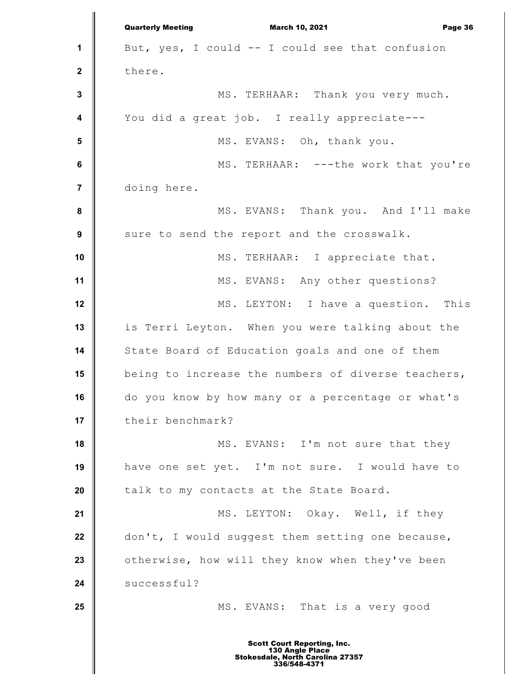**1 2 3 4 5 6 7 8 9 10 11 12 13 14 15 16 17 18 19 20 21 22 23 24 25** Quarterly Meeting March 10, 2021 Page 36 But, yes, I could -- I could see that confusion there. MS. TERHAAR: Thank you very much. You did a great job. I really appreciate--- MS. EVANS: Oh, thank you. MS. TERHAAR: ---the work that you're doing here. MS. EVANS: Thank you. And I'll make sure to send the report and the crosswalk. MS. TERHAAR: I appreciate that. MS. EVANS: Any other questions? MS. LEYTON: I have a question. This is Terri Leyton. When you were talking about the State Board of Education goals and one of them being to increase the numbers of diverse teachers, do you know by how many or a percentage or what's their benchmark? MS. EVANS: I'm not sure that they have one set yet. I'm not sure. I would have to talk to my contacts at the State Board. MS. LEYTON: Okay. Well, if they don't, I would suggest them setting one because, otherwise, how will they know when they've been successful? MS. EVANS: That is a very good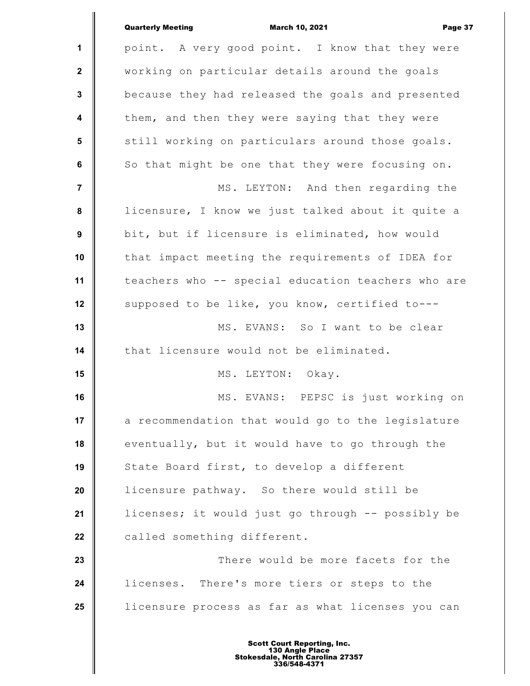|                         | <b>Quarterly Meeting</b><br><b>March 10, 2021</b><br>Page 37 |
|-------------------------|--------------------------------------------------------------|
| 1                       | point. A very good point. I know that they were              |
| $\mathbf{2}$            | working on particular details around the goals               |
| 3                       | because they had released the goals and presented            |
| $\overline{\mathbf{4}}$ | them, and then they were saying that they were               |
| 5                       | still working on particulars around those goals.             |
| 6                       | So that might be one that they were focusing on.             |
| $\overline{7}$          | MS. LEYTON: And then regarding the                           |
| 8                       | licensure, I know we just talked about it quite a            |
| 9                       | bit, but if licensure is eliminated, how would               |
| 10                      | that impact meeting the requirements of IDEA for             |
| 11                      | teachers who -- special education teachers who are           |
| 12                      | supposed to be like, you know, certified to---               |
| 13                      | MS. EVANS: So I want to be clear                             |
| 14                      | that licensure would not be eliminated.                      |
| 15                      | MS. LEYTON: Okay.                                            |
| 16                      | MS. EVANS: PEPSC is just working on                          |
| 17                      | a recommendation that would go to the legislature            |
| 18                      | eventually, but it would have to go through the              |
| 19                      | State Board first, to develop a different                    |
| 20                      | licensure pathway. So there would still be                   |
| 21                      | licenses; it would just go through -- possibly be            |
| 22                      | called something different.                                  |
| 23                      | There would be more facets for the                           |
| 24                      | licenses. There's more tiers or steps to the                 |
| 25                      | licensure process as far as what licenses you can            |
|                         |                                                              |

I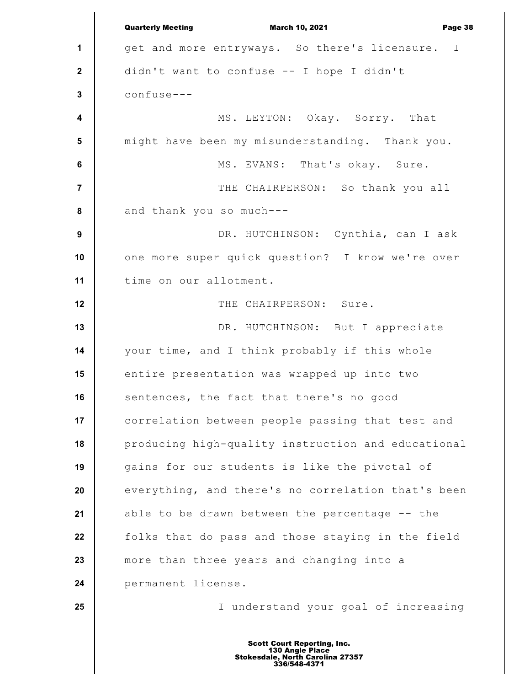**1 2 3 4 5 6 7 8 9 10 11 12 13 14 15 16 17 18 19 20 21 22 23 24 25** Quarterly Meeting March 10, 2021 Page 38 get and more entryways. So there's licensure. I didn't want to confuse -- I hope I didn't confuse--- MS. LEYTON: Okay. Sorry. That might have been my misunderstanding. Thank you. MS. EVANS: That's okay. Sure. THE CHAIRPERSON: So thank you all and thank you so much--- DR. HUTCHINSON: Cynthia, can I ask one more super quick question? I know we're over time on our allotment. THE CHAIRPERSON: Sure. DR. HUTCHINSON: But I appreciate your time, and I think probably if this whole entire presentation was wrapped up into two sentences, the fact that there's no good correlation between people passing that test and producing high-quality instruction and educational gains for our students is like the pivotal of everything, and there's no correlation that's been able to be drawn between the percentage -- the folks that do pass and those staying in the field more than three years and changing into a permanent license. I understand your goal of increasing Scott Court Reporting, Inc. 130 Angle Place Stokesdale, North Carolina 27357 336/548-4371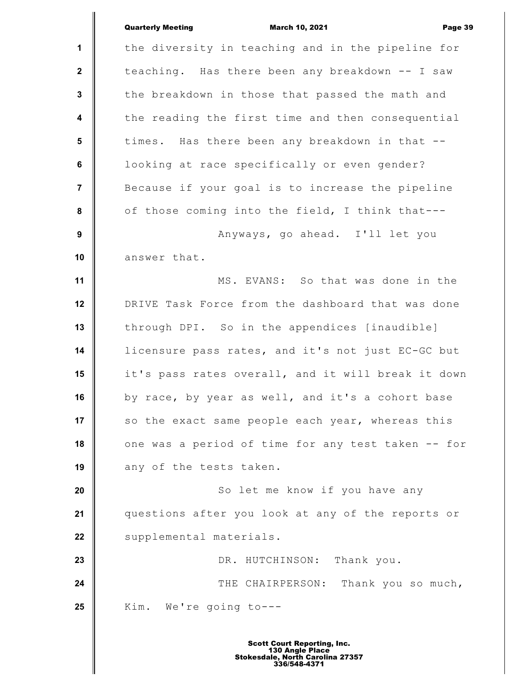|                         | <b>Quarterly Meeting</b><br><b>March 10, 2021</b><br>Page 39 |
|-------------------------|--------------------------------------------------------------|
| 1                       | the diversity in teaching and in the pipeline for            |
| $\mathbf{2}$            | teaching. Has there been any breakdown -- I saw              |
| $\mathbf{3}$            | the breakdown in those that passed the math and              |
| $\overline{\mathbf{4}}$ | the reading the first time and then consequential            |
| 5                       | times. Has there been any breakdown in that --               |
| 6                       | looking at race specifically or even gender?                 |
| $\overline{7}$          | Because if your goal is to increase the pipeline             |
| 8                       | of those coming into the field, I think that---              |
| 9                       | Anyways, go ahead. I'll let you                              |
| 10                      | answer that.                                                 |
| 11                      | MS. EVANS: So that was done in the                           |
| 12                      | DRIVE Task Force from the dashboard that was done            |
| 13                      | through DPI. So in the appendices [inaudible]                |
| 14                      | licensure pass rates, and it's not just EC-GC but            |
| 15                      | it's pass rates overall, and it will break it down           |
| 16                      | by race, by year as well, and it's a cohort base             |
| 17                      | so the exact same people each year, whereas this             |
| 18                      | one was a period of time for any test taken -- for           |
| 19                      | any of the tests taken.                                      |
| 20                      | So let me know if you have any                               |
| 21                      | questions after you look at any of the reports or            |
| 22                      | supplemental materials.                                      |
| 23                      | DR. HUTCHINSON: Thank you.                                   |
| 24                      | THE CHAIRPERSON: Thank you so much,                          |
| 25                      | Kim. We're going to---                                       |
|                         |                                                              |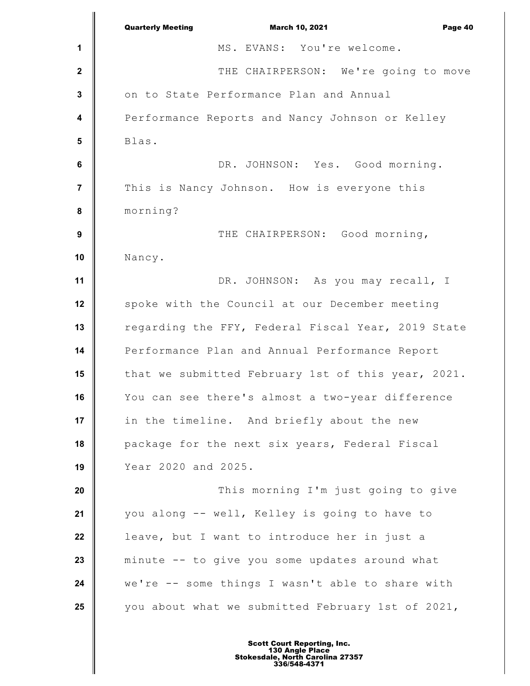|                         | <b>Quarterly Meeting</b><br><b>March 10, 2021</b><br>Page 40 |
|-------------------------|--------------------------------------------------------------|
| 1                       | MS. EVANS: You're welcome.                                   |
| $\mathbf 2$             | THE CHAIRPERSON: We're going to move                         |
| $\mathbf 3$             | on to State Performance Plan and Annual                      |
| $\overline{\mathbf{4}}$ | Performance Reports and Nancy Johnson or Kelley              |
| 5                       | Blas.                                                        |
| $\bf 6$                 | DR. JOHNSON: Yes. Good morning.                              |
| $\overline{7}$          | This is Nancy Johnson. How is everyone this                  |
| 8                       | morning?                                                     |
| $\boldsymbol{9}$        | THE CHAIRPERSON: Good morning,                               |
| 10                      | Nancy.                                                       |
| 11                      | DR. JOHNSON: As you may recall, I                            |
| 12                      | spoke with the Council at our December meeting               |
| 13                      | regarding the FFY, Federal Fiscal Year, 2019 State           |
| 14                      | Performance Plan and Annual Performance Report               |
| 15                      | that we submitted February 1st of this year, 2021.           |
| 16                      | You can see there's almost a two-year difference             |
| 17                      | in the timeline. And briefly about the new                   |
| 18                      | package for the next six years, Federal Fiscal               |
| 19                      | Year 2020 and 2025.                                          |
| 20                      | This morning I'm just going to give                          |
| 21                      | you along -- well, Kelley is going to have to                |
| 22                      | leave, but I want to introduce her in just a                 |
| 23                      | minute -- to give you some updates around what               |
| 24                      | we're -- some things I wasn't able to share with             |
| 25                      | you about what we submitted February 1st of 2021,            |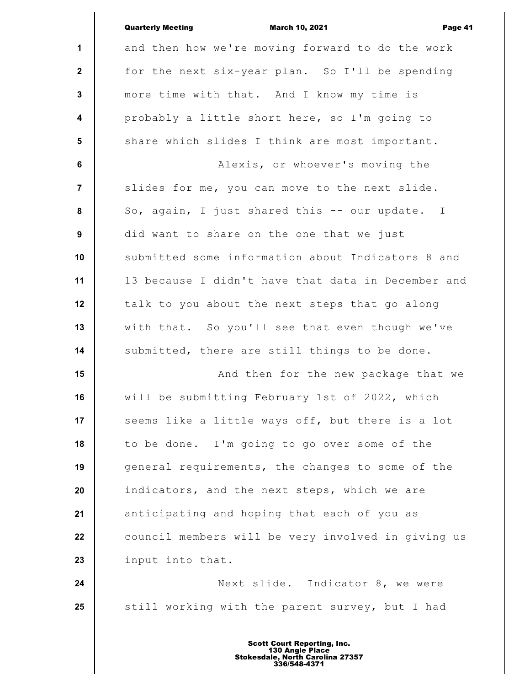|                 | <b>Quarterly Meeting</b><br><b>March 10, 2021</b><br>Page 41 |
|-----------------|--------------------------------------------------------------|
| 1               | and then how we're moving forward to do the work             |
| $\mathbf{2}$    | for the next six-year plan. So I'll be spending              |
| $\mathbf 3$     | more time with that. And I know my time is                   |
| 4               | probably a little short here, so I'm going to                |
| $5\phantom{.0}$ | share which slides I think are most important.               |
| $\bf 6$         | Alexis, or whoever's moving the                              |
| $\overline{7}$  | slides for me, you can move to the next slide.               |
| 8               | So, again, I just shared this -- our update. I               |
| 9               | did want to share on the one that we just                    |
| 10              | submitted some information about Indicators 8 and            |
| 11              | 13 because I didn't have that data in December and           |
| 12              | talk to you about the next steps that go along               |
| 13              | with that. So you'll see that even though we've              |
| 14              | submitted, there are still things to be done.                |
| 15              | And then for the new package that we                         |
| 16              | will be submitting February 1st of 2022, which               |
| 17              | seems like a little ways off, but there is a lot             |
| 18              | to be done. I'm going to go over some of the                 |
| 19              | general requirements, the changes to some of the             |
| 20              | indicators, and the next steps, which we are                 |
| 21              | anticipating and hoping that each of you as                  |
| 22              | council members will be very involved in giving us           |
| 23              | input into that.                                             |
| 24              | Next slide. Indicator 8, we were                             |
| 25              | still working with the parent survey, but I had              |
|                 |                                                              |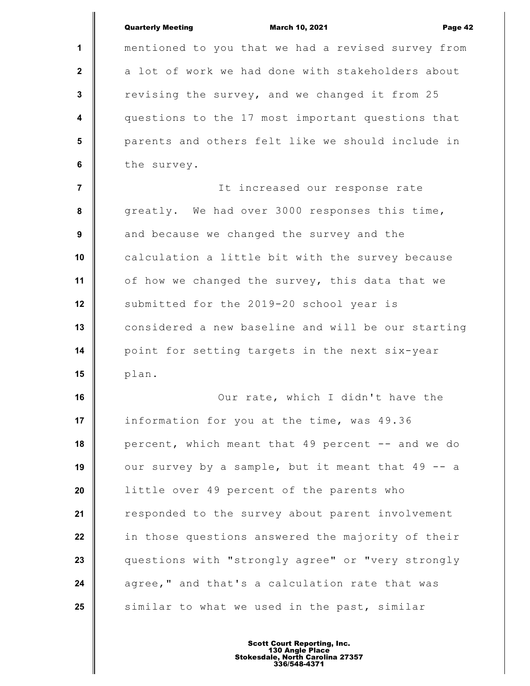|                | <b>Quarterly Meeting</b><br><b>March 10, 2021</b><br>Page 42 |
|----------------|--------------------------------------------------------------|
| 1              | mentioned to you that we had a revised survey from           |
| $\mathbf{2}$   | a lot of work we had done with stakeholders about            |
| 3              | revising the survey, and we changed it from 25               |
| 4              | questions to the 17 most important questions that            |
| $5\phantom{1}$ | parents and others felt like we should include in            |
| 6              | the survey.                                                  |
| $\overline{7}$ | It increased our response rate                               |
| 8              | greatly. We had over 3000 responses this time,               |
| 9              | and because we changed the survey and the                    |
| 10             | calculation a little bit with the survey because             |
| 11             | of how we changed the survey, this data that we              |
| 12             | submitted for the 2019-20 school year is                     |
| 13             | considered a new baseline and will be our starting           |
| 14             | point for setting targets in the next six-year               |
| 15             | plan.                                                        |
| 16             | Our rate, which I didn't have the                            |
| 17             | information for you at the time, was 49.36                   |
| 18             | percent, which meant that 49 percent -- and we do            |
| 19             | our survey by a sample, but it meant that 49 -- a            |
| 20             | little over 49 percent of the parents who                    |
| 21             | responded to the survey about parent involvement             |
| 22             | in those questions answered the majority of their            |
| 23             | questions with "strongly agree" or "very strongly            |
| 24             | agree," and that's a calculation rate that was               |
| 25             | similar to what we used in the past, similar                 |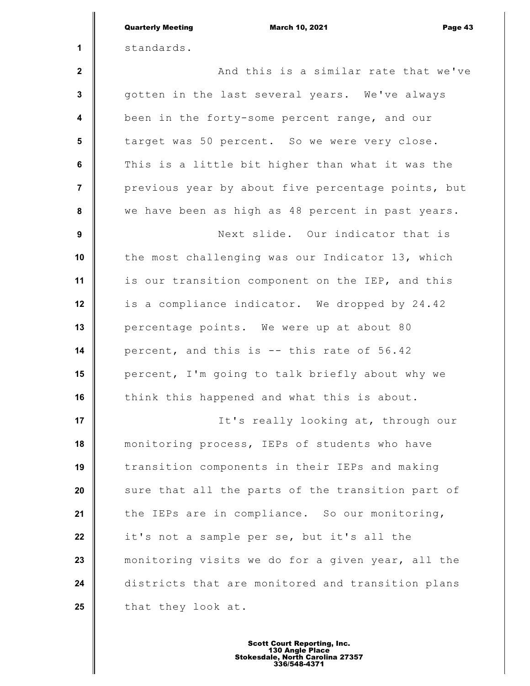|                         | <b>Quarterly Meeting</b><br><b>March 10, 2021</b><br>Page 43 |
|-------------------------|--------------------------------------------------------------|
| 1                       | standards.                                                   |
| $\mathbf{2}$            | And this is a similar rate that we've                        |
| $\mathbf{3}$            | gotten in the last several years. We've always               |
| $\overline{\mathbf{4}}$ | been in the forty-some percent range, and our                |
| 5                       | target was 50 percent. So we were very close.                |
| $\bf 6$                 | This is a little bit higher than what it was the             |
| $\overline{7}$          | previous year by about five percentage points, but           |
| $\pmb{8}$               | we have been as high as 48 percent in past years.            |
| 9                       | Next slide. Our indicator that is                            |
| 10                      | the most challenging was our Indicator 13, which             |
| 11                      | is our transition component on the IEP, and this             |
| 12                      | is a compliance indicator. We dropped by 24.42               |
| 13                      | percentage points. We were up at about 80                    |
| 14                      | percent, and this is -- this rate of 56.42                   |
| 15                      | percent, I'm going to talk briefly about why we              |
| 16                      | think this happened and what this is about.                  |
| 17                      | It's really looking at, through our                          |
| 18                      | monitoring process, IEPs of students who have                |
| 19                      | transition components in their IEPs and making               |
| 20                      | sure that all the parts of the transition part of            |
| 21                      | the IEPs are in compliance. So our monitoring,               |
| 22                      | it's not a sample per se, but it's all the                   |
| 23                      | monitoring visits we do for a given year, all the            |
| 24                      | districts that are monitored and transition plans            |
| 25                      | that they look at.                                           |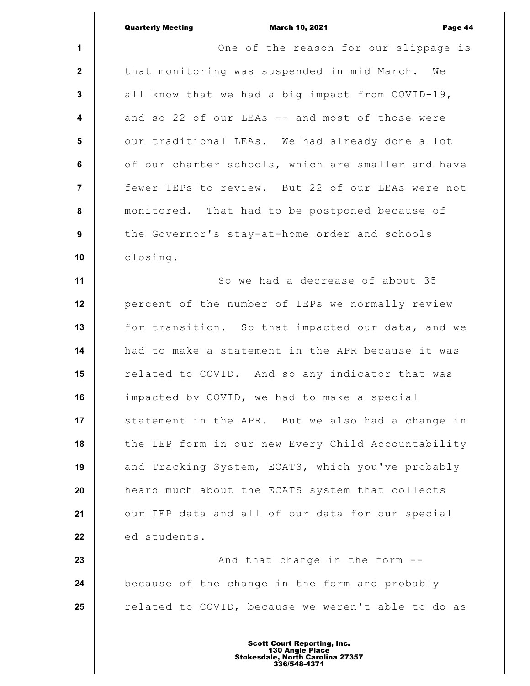|                | <b>Quarterly Meeting</b><br><b>March 10, 2021</b><br>Page 44 |
|----------------|--------------------------------------------------------------|
| $\mathbf 1$    | One of the reason for our slippage is                        |
| $\mathbf{2}$   | that monitoring was suspended in mid March. We               |
| $\mathbf 3$    | all know that we had a big impact from COVID-19,             |
| 4              | and so 22 of our LEAs -- and most of those were              |
| $5\phantom{1}$ | our traditional LEAs. We had already done a lot              |
| 6              | of our charter schools, which are smaller and have           |
| 7              | fewer IEPs to review. But 22 of our LEAs were not            |
| 8              | monitored. That had to be postponed because of               |
| 9              | the Governor's stay-at-home order and schools                |
| 10             | closing.                                                     |
| 11             | So we had a decrease of about 35                             |
| 12             | percent of the number of IEPs we normally review             |
| 13             | for transition. So that impacted our data, and we            |
| 14             | had to make a statement in the APR because it was            |
| 15             | related to COVID. And so any indicator that was              |
| 16             | impacted by COVID, we had to make a special                  |
| 17             | statement in the APR. But we also had a change in            |
| 18             | the IEP form in our new Every Child Accountability           |
| 19             | and Tracking System, ECATS, which you've probably            |
| 20             | heard much about the ECATS system that collects              |
| 21             | our IEP data and all of our data for our special             |
| 22             | ed students.                                                 |
| 23             | And that change in the form --                               |
| 24             | because of the change in the form and probably               |
| 25             | related to COVID, because we weren't able to do as           |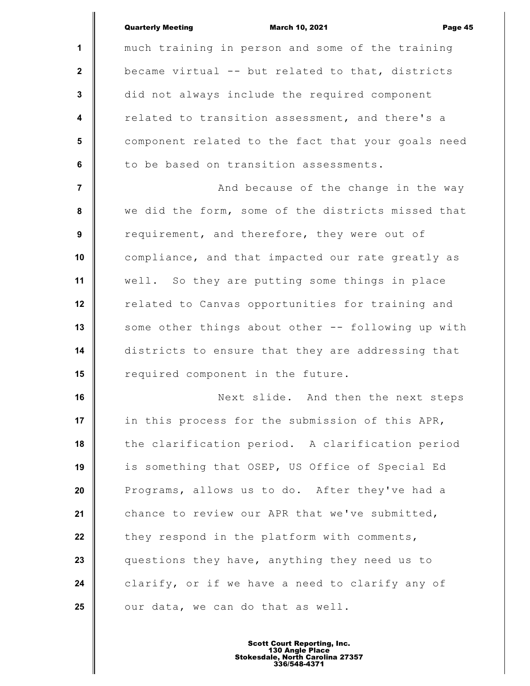|                         | <b>Quarterly Meeting</b><br><b>March 10, 2021</b><br>Page 45 |
|-------------------------|--------------------------------------------------------------|
| $\mathbf{1}$            | much training in person and some of the training             |
| $\mathbf{2}$            | became virtual -- but related to that, districts             |
| $\mathbf{3}$            | did not always include the required component                |
| $\overline{\mathbf{4}}$ | related to transition assessment, and there's a              |
| $5\phantom{.0}$         | component related to the fact that your goals need           |
| 6                       | to be based on transition assessments.                       |
| $\overline{7}$          | And because of the change in the way                         |
| 8                       | we did the form, some of the districts missed that           |
| 9                       | requirement, and therefore, they were out of                 |
| 10                      | compliance, and that impacted our rate greatly as            |
| 11                      | well. So they are putting some things in place               |
| 12                      | related to Canvas opportunities for training and             |
| 13                      | some other things about other -- following up with           |
| 14                      | districts to ensure that they are addressing that            |
| 15                      | required component in the future.                            |
| 16                      | Next slide. And then the next steps                          |
| 17                      | in this process for the submission of this APR,              |
| 18                      | the clarification period. A clarification period             |
| 19                      | is something that OSEP, US Office of Special Ed              |
| 20                      | Programs, allows us to do. After they've had a               |
| 21                      | chance to review our APR that we've submitted,               |
| 22                      | they respond in the platform with comments,                  |
| 23                      | questions they have, anything they need us to                |
| 24                      | clarify, or if we have a need to clarify any of              |
| 25                      | our data, we can do that as well.                            |
|                         |                                                              |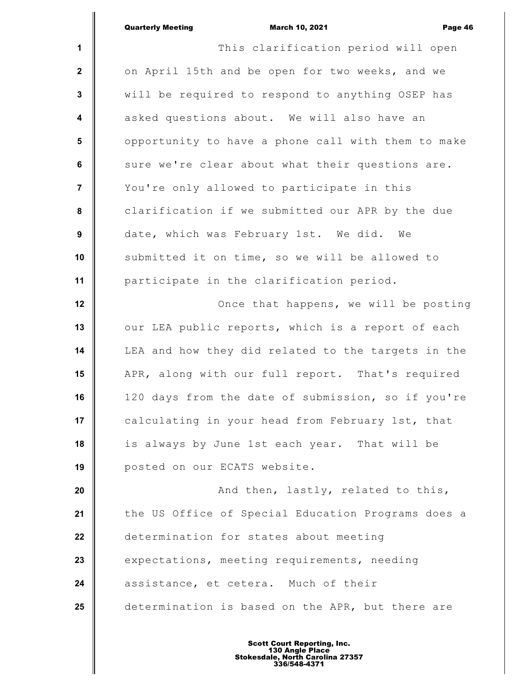|                         | March 10, 2021<br><b>Quarterly Meeting</b><br>Page 46 |
|-------------------------|-------------------------------------------------------|
| 1                       | This clarification period will open                   |
| $\mathbf{2}$            | on April 15th and be open for two weeks, and we       |
| $\mathbf 3$             | will be required to respond to anything OSEP has      |
| $\overline{\mathbf{4}}$ | asked questions about. We will also have an           |
| $5\phantom{1}$          | opportunity to have a phone call with them to make    |
| $\bf 6$                 | sure we're clear about what their questions are.      |
| $\overline{7}$          | You're only allowed to participate in this            |
| $\pmb{8}$               | clarification if we submitted our APR by the due      |
| $\boldsymbol{9}$        | date, which was February 1st. We did. We              |
| 10                      | submitted it on time, so we will be allowed to        |
| 11                      | participate in the clarification period.              |
| 12                      | Once that happens, we will be posting                 |
| 13                      | our LEA public reports, which is a report of each     |
| 14                      | LEA and how they did related to the targets in the    |
| 15                      | APR, along with our full report. That's required      |
| 16                      | 120 days from the date of submission, so if you're    |
| 17                      | calculating in your head from February 1st, that      |
| 18                      | is always by June 1st each year. That will be         |
| 19                      | posted on our ECATS website.                          |
| 20                      | And then, lastly, related to this,                    |
| 21                      | the US Office of Special Education Programs does a    |
| 22                      | determination for states about meeting                |
| 23                      | expectations, meeting requirements, needing           |
| 24                      | assistance, et cetera. Much of their                  |
| 25                      | determination is based on the APR, but there are      |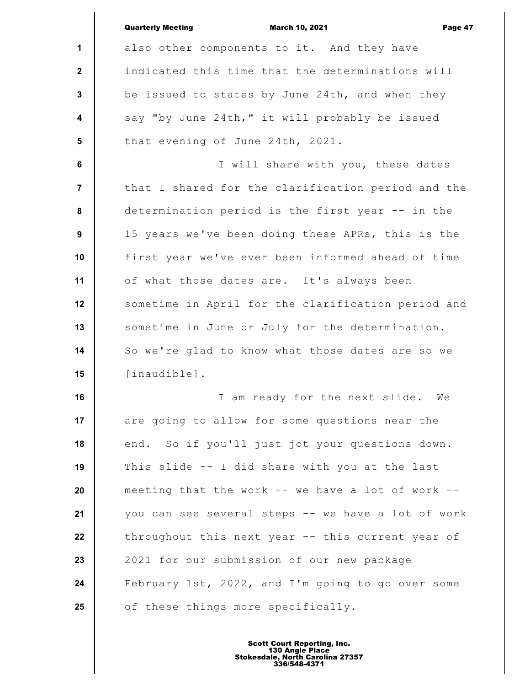|                  | <b>Quarterly Meeting</b><br><b>March 10, 2021</b><br>Page 47 |
|------------------|--------------------------------------------------------------|
| 1                | also other components to it. And they have                   |
| $\mathbf{2}$     | indicated this time that the determinations will             |
| $\mathbf{3}$     | be issued to states by June 24th, and when they              |
| $\boldsymbol{4}$ | say "by June 24th," it will probably be issued               |
| 5                | that evening of June 24th, 2021.                             |
| 6                | I will share with you, these dates                           |
| $\overline{7}$   | that I shared for the clarification period and the           |
| 8                | determination period is the first year -- in the             |
| 9                | 15 years we've been doing these APRs, this is the            |
| 10               | first year we've ever been informed ahead of time            |
| 11               | of what those dates are. It's always been                    |
| 12               | sometime in April for the clarification period and           |
| 13               | sometime in June or July for the determination.              |
| 14               | So we're glad to know what those dates are so we             |
| 15               | [inaudible].                                                 |
| 16               | I am ready for the next slide. We                            |
| 17               | are going to allow for some questions near the               |
| 18               | end. So if you'll just jot your questions down.              |
| 19               | This slide -- I did share with you at the last               |
| 20               | meeting that the work -- we have a lot of work --            |
| 21               | you can see several steps -- we have a lot of work           |
| 22               | throughout this next year -- this current year of            |
| 23               | 2021 for our submission of our new package                   |
| 24               | February 1st, 2022, and I'm going to go over some            |
| 25               | of these things more specifically.                           |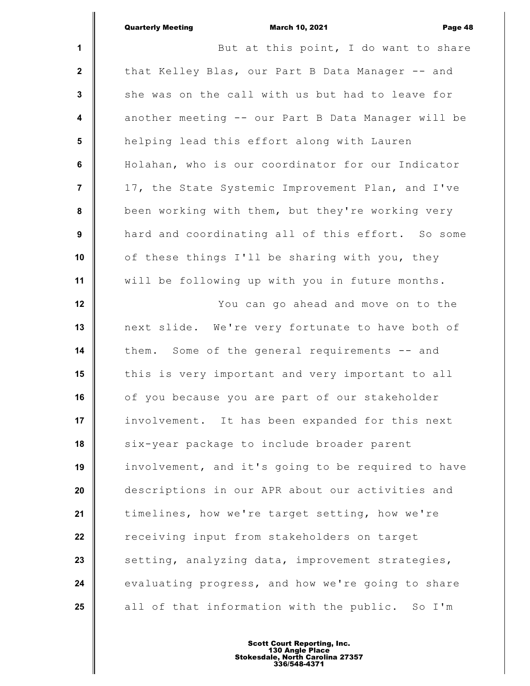|                  | <b>Quarterly Meeting</b><br><b>March 10, 2021</b><br>Page 48 |
|------------------|--------------------------------------------------------------|
| $\mathbf{1}$     | But at this point, I do want to share                        |
| $\mathbf{2}$     | that Kelley Blas, our Part B Data Manager -- and             |
| $\mathbf{3}$     | she was on the call with us but had to leave for             |
| $\boldsymbol{4}$ | another meeting -- our Part B Data Manager will be           |
| 5                | helping lead this effort along with Lauren                   |
| 6                | Holahan, who is our coordinator for our Indicator            |
| $\overline{7}$   | 17, the State Systemic Improvement Plan, and I've            |
| 8                | been working with them, but they're working very             |
| 9                | hard and coordinating all of this effort. So some            |
| 10               | of these things I'll be sharing with you, they               |
| 11               | will be following up with you in future months.              |
| 12               | You can go ahead and move on to the                          |
| 13               | next slide. We're very fortunate to have both of             |
| 14               | them. Some of the general requirements -- and                |
| 15               | this is very important and very important to all             |
| 16               | of you because you are part of our stakeholder               |
| 17               | involvement. It has been expanded for this next              |
| 18               | six-year package to include broader parent                   |
| 19               | involvement, and it's going to be required to have           |
| 20               | descriptions in our APR about our activities and             |
| 21               | timelines, how we're target setting, how we're               |
| 22               | receiving input from stakeholders on target                  |
| 23               | setting, analyzing data, improvement strategies,             |
| 24               | evaluating progress, and how we're going to share            |
| 25               | all of that information with the public. So I'm              |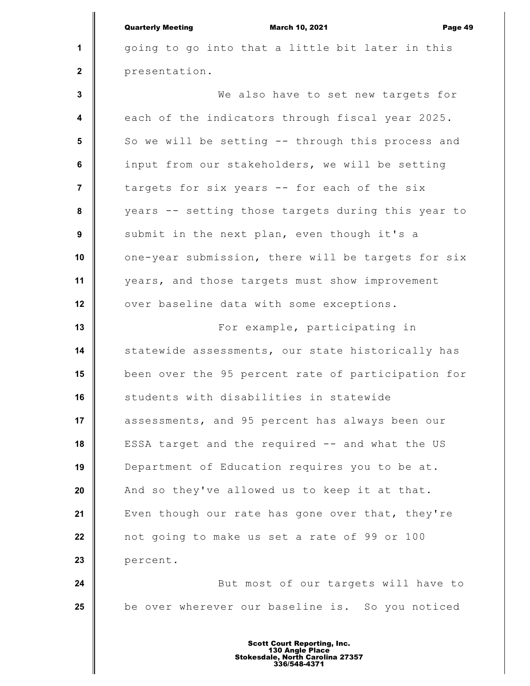**1 2 3 4 5 6 7 8 9 10 11 12 13 14 15 16 17 18 19 20 21 22 23 24 25** Quarterly Meeting March 10, 2021 Page 49 going to go into that a little bit later in this presentation. We also have to set new targets for each of the indicators through fiscal year 2025. So we will be setting -- through this process and input from our stakeholders, we will be setting targets for six years -- for each of the six years -- setting those targets during this year to submit in the next plan, even though it's a one-year submission, there will be targets for six years, and those targets must show improvement over baseline data with some exceptions. For example, participating in statewide assessments, our state historically has been over the 95 percent rate of participation for students with disabilities in statewide assessments, and 95 percent has always been our ESSA target and the required -- and what the US Department of Education requires you to be at. And so they've allowed us to keep it at that. Even though our rate has gone over that, they're not going to make us set a rate of 99 or 100 percent. But most of our targets will have to be over wherever our baseline is. So you noticed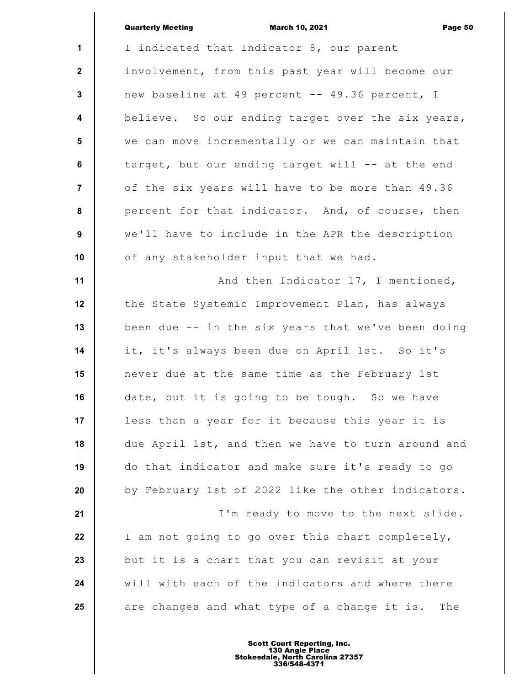|                         | <b>Quarterly Meeting</b><br><b>March 10, 2021</b><br>Page 50 |
|-------------------------|--------------------------------------------------------------|
| $\mathbf{1}$            | I indicated that Indicator 8, our parent                     |
| $\mathbf{2}$            | involvement, from this past year will become our             |
| 3                       | new baseline at 49 percent -- 49.36 percent, I               |
| $\overline{\mathbf{4}}$ | believe. So our ending target over the six years,            |
| 5                       | we can move incrementally or we can maintain that            |
| 6                       | target, but our ending target will -- at the end             |
| $\overline{7}$          | of the six years will have to be more than 49.36             |
| 8                       | percent for that indicator. And, of course, then             |
| 9                       | we'll have to include in the APR the description             |
| 10                      | of any stakeholder input that we had.                        |
| 11                      | And then Indicator 17, I mentioned,                          |
| 12                      | the State Systemic Improvement Plan, has always              |
| 13                      | been due -- in the six years that we've been doing           |
| 14                      | it, it's always been due on April 1st. So it's               |
| 15                      | never due at the same time as the February 1st               |
| 16                      | date, but it is going to be tough. So we have                |
| 17                      | less than a year for it because this year it is              |
| 18                      | due April 1st, and then we have to turn around and           |
| 19                      | do that indicator and make sure it's ready to go             |
| 20                      | by February 1st of 2022 like the other indicators.           |
| 21                      | I'm ready to move to the next slide.                         |
| 22                      | I am not going to go over this chart completely,             |
| 23                      | but it is a chart that you can revisit at your               |
| 24                      | will with each of the indicators and where there             |
| 25                      | are changes and what type of a change it is.<br>The          |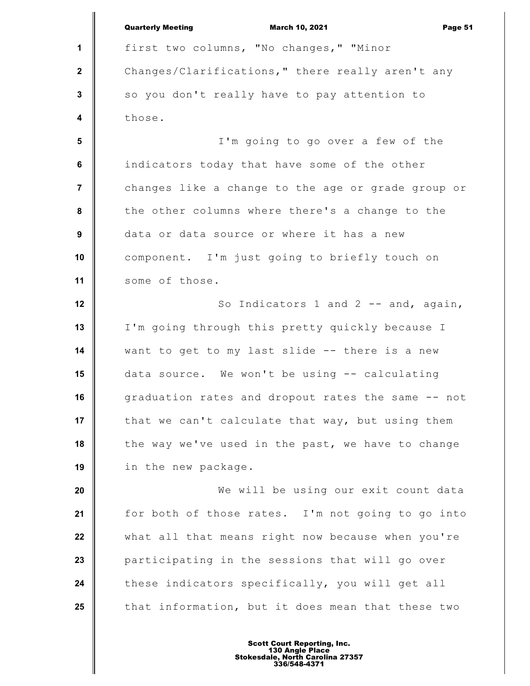**1 2 3 4 5 6 7 8 9 10 11 12 13 14 15 16 17 18 19 20 21 22 23 24 25** Quarterly Meeting March 10, 2021 Page 51 first two columns, "No changes," "Minor Changes/Clarifications," there really aren't any so you don't really have to pay attention to those. I'm going to go over a few of the indicators today that have some of the other changes like a change to the age or grade group or the other columns where there's a change to the data or data source or where it has a new component. I'm just going to briefly touch on some of those. So Indicators 1 and 2 -- and, again, I'm going through this pretty quickly because I want to get to my last slide -- there is a new data source. We won't be using -- calculating graduation rates and dropout rates the same -- not that we can't calculate that way, but using them the way we've used in the past, we have to change in the new package. We will be using our exit count data for both of those rates. I'm not going to go into what all that means right now because when you're participating in the sessions that will go over these indicators specifically, you will get all that information, but it does mean that these two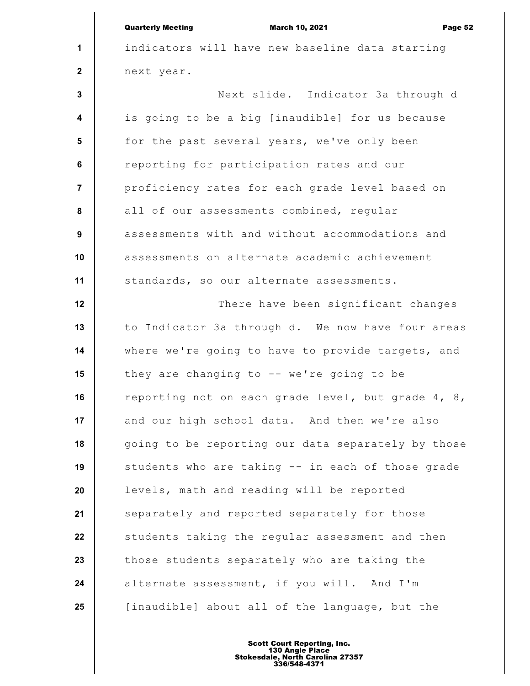|                | <b>Quarterly Meeting</b><br><b>March 10, 2021</b><br>Page 52 |
|----------------|--------------------------------------------------------------|
| $\mathbf{1}$   | indicators will have new baseline data starting              |
| $\mathbf{2}$   | next year.                                                   |
| 3              | Next slide. Indicator 3a through d                           |
| 4              | is going to be a big [inaudible] for us because              |
| 5              | for the past several years, we've only been                  |
| 6              | reporting for participation rates and our                    |
| $\overline{7}$ | proficiency rates for each grade level based on              |
| 8              | all of our assessments combined, regular                     |
| 9              | assessments with and without accommodations and              |
| 10             | assessments on alternate academic achievement                |
| 11             | standards, so our alternate assessments.                     |
| 12             | There have been significant changes                          |
| 13             | to Indicator 3a through d. We now have four areas            |
| 14             | where we're going to have to provide targets, and            |
| 15             | they are changing to $--$ we're going to be                  |
| 16             | reporting not on each grade level, but grade 4, 8,           |
| 17             | and our high school data. And then we're also                |
| 18             | going to be reporting our data separately by those           |
| 19             | students who are taking -- in each of those grade            |
| 20             | levels, math and reading will be reported                    |
| 21             | separately and reported separately for those                 |
| 22             | students taking the regular assessment and then              |
| 23             | those students separately who are taking the                 |
| 24             | alternate assessment, if you will. And I'm                   |
| 25             | [inaudible] about all of the language, but the               |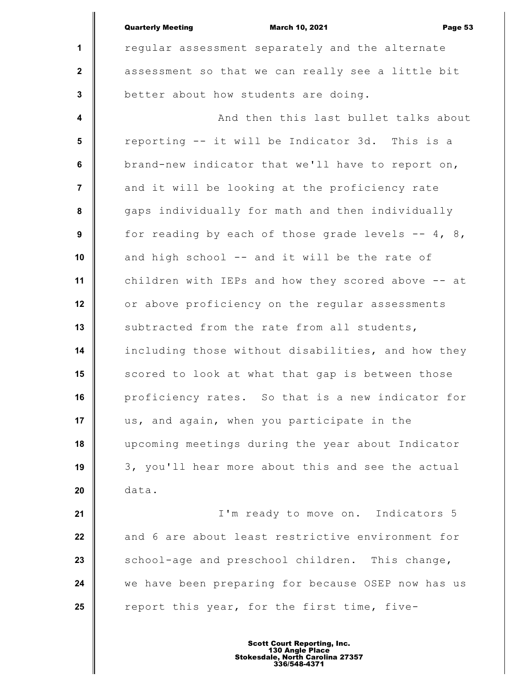|                         | <b>Quarterly Meeting</b><br><b>March 10, 2021</b><br>Page 53 |
|-------------------------|--------------------------------------------------------------|
| $\mathbf{1}$            | regular assessment separately and the alternate              |
| $\overline{2}$          | assessment so that we can really see a little bit            |
| $\mathbf{3}$            | better about how students are doing.                         |
| $\boldsymbol{4}$        | And then this last bullet talks about                        |
| $5\phantom{.0}$         | reporting -- it will be Indicator 3d. This is a              |
| $6\phantom{a}$          | brand-new indicator that we'll have to report on,            |
| $\overline{\mathbf{r}}$ | and it will be looking at the proficiency rate               |
| 8                       | gaps individually for math and then individually             |
| 9                       | for reading by each of those grade levels $--$ 4, 8,         |
| 10                      | and high school -- and it will be the rate of                |
| 11                      | children with IEPs and how they scored above -- at           |
| 12                      | or above proficiency on the regular assessments              |
| 13                      | subtracted from the rate from all students,                  |
| 14                      | including those without disabilities, and how they           |
| 15                      | scored to look at what that gap is between those             |
| 16                      | proficiency rates. So that is a new indicator for            |
| 17                      | us, and again, when you participate in the                   |
| 18                      | upcoming meetings during the year about Indicator            |
| 19                      | 3, you'll hear more about this and see the actual            |
| 20                      | data.                                                        |
| 21                      | I'm ready to move on. Indicators 5                           |
| 22                      | and 6 are about least restrictive environment for            |
| 23                      | school-age and preschool children. This change,              |
| 24                      | we have been preparing for because OSEP now has us           |
| 25                      | report this year, for the first time, five-                  |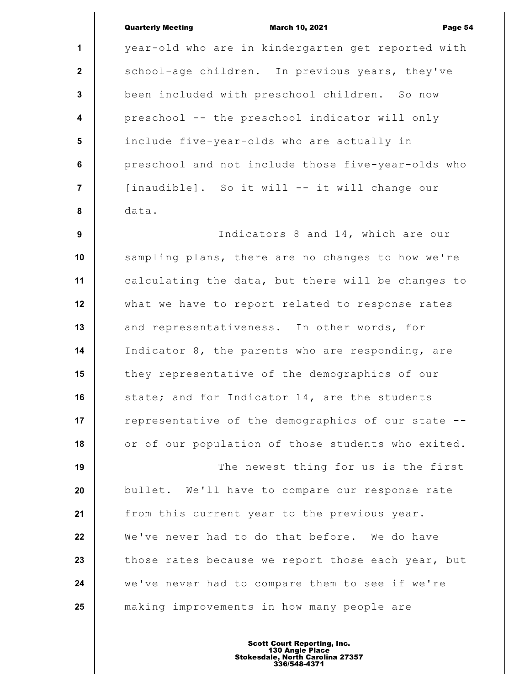## Quarterly Meeting March 10, 2021 Page 54

**1 2 3 4 5 6 7 8 9** year-old who are in kindergarten get reported with school-age children. In previous years, they've been included with preschool children. So now preschool -- the preschool indicator will only include five-year-olds who are actually in preschool and not include those five-year-olds who [inaudible]. So it will -- it will change our data. Indicators 8 and 14, which are our

**10 11 12 13 14 15 16 17 18** sampling plans, there are no changes to how we're calculating the data, but there will be changes to what we have to report related to response rates and representativeness. In other words, for Indicator 8, the parents who are responding, are they representative of the demographics of our state; and for Indicator 14, are the students representative of the demographics of our state - or of our population of those students who exited.

**19 20 21 22 23 24 25** The newest thing for us is the first bullet. We'll have to compare our response rate from this current year to the previous year. We've never had to do that before. We do have those rates because we report those each year, but we've never had to compare them to see if we're making improvements in how many people are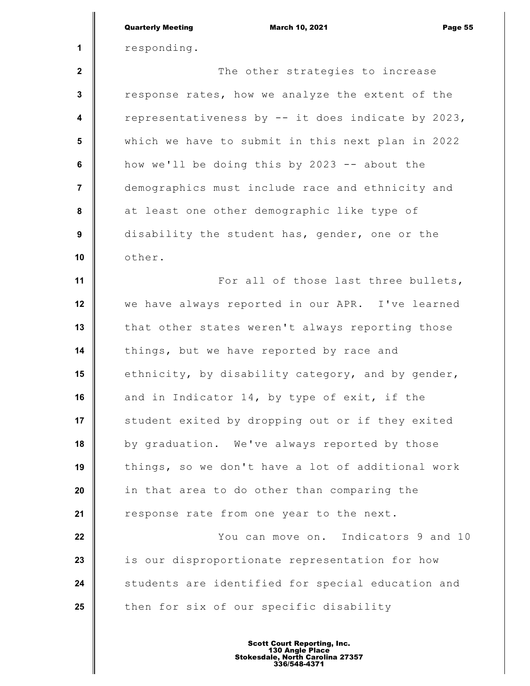|                         | <b>Quarterly Meeting</b><br><b>March 10, 2021</b><br>Page 55 |
|-------------------------|--------------------------------------------------------------|
| 1                       | responding.                                                  |
| $\mathbf{2}$            | The other strategies to increase                             |
| 3                       | response rates, how we analyze the extent of the             |
| $\overline{\mathbf{4}}$ | representativeness by -- it does indicate by 2023,           |
| 5                       | which we have to submit in this next plan in 2022            |
| $6\phantom{a}$          | how we'll be doing this by 2023 -- about the                 |
| $\overline{7}$          | demographics must include race and ethnicity and             |
| 8                       | at least one other demographic like type of                  |
| $\boldsymbol{9}$        | disability the student has, gender, one or the               |
| 10                      | other.                                                       |
| 11                      | For all of those last three bullets,                         |
| 12                      | we have always reported in our APR. I've learned             |
| 13                      | that other states weren't always reporting those             |
| 14                      | things, but we have reported by race and                     |
| 15                      | ethnicity, by disability category, and by gender,            |
| 16                      | and in Indicator 14, by type of exit, if the                 |
| 17                      | student exited by dropping out or if they exited             |
| 18                      | by graduation. We've always reported by those                |
| 19                      | things, so we don't have a lot of additional work            |
| 20                      | in that area to do other than comparing the                  |
| 21                      | response rate from one year to the next.                     |
| 22                      | You can move on. Indicators 9 and 10                         |
| 23                      | is our disproportionate representation for how               |
| 24                      | students are identified for special education and            |
| 25                      | then for six of our specific disability                      |
|                         |                                                              |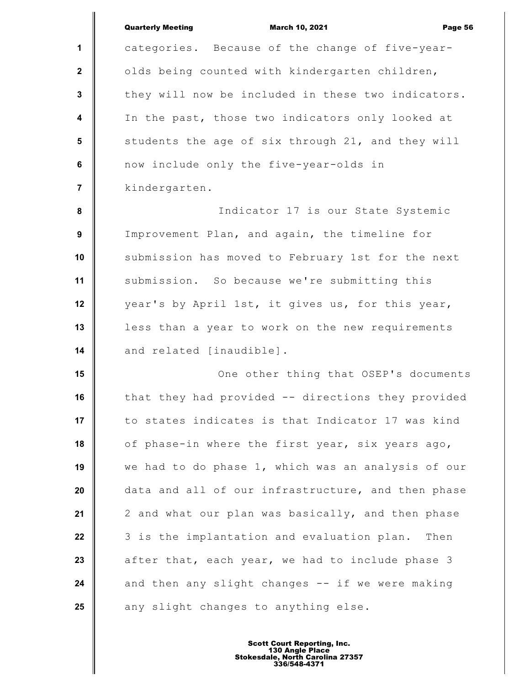|                         | <b>Quarterly Meeting</b><br><b>March 10, 2021</b><br>Page 56 |
|-------------------------|--------------------------------------------------------------|
| 1                       | categories. Because of the change of five-year-              |
| $\mathbf 2$             | olds being counted with kindergarten children,               |
| $\mathbf{3}$            | they will now be included in these two indicators.           |
| $\overline{\mathbf{4}}$ | In the past, those two indicators only looked at             |
| 5                       | students the age of six through 21, and they will            |
| 6                       | now include only the five-year-olds in                       |
| $\overline{7}$          | kindergarten.                                                |
| 8                       | Indicator 17 is our State Systemic                           |
| $\boldsymbol{9}$        | Improvement Plan, and again, the timeline for                |
| 10                      | submission has moved to February 1st for the next            |
| 11                      | submission. So because we're submitting this                 |
| 12                      | year's by April 1st, it gives us, for this year,             |
| 13                      | less than a year to work on the new requirements             |
| 14                      | and related [inaudible].                                     |
| 15                      | One other thing that OSEP's documents                        |
| 16                      | that they had provided -- directions they provided           |
| 17                      | to states indicates is that Indicator 17 was kind            |
| 18                      | of phase-in where the first year, six years ago,             |
| 19                      | we had to do phase 1, which was an analysis of our           |
| 20                      | data and all of our infrastructure, and then phase           |
| 21                      | 2 and what our plan was basically, and then phase            |
| 22                      | 3 is the implantation and evaluation plan.<br>Then           |
| 23                      | after that, each year, we had to include phase 3             |
| 24                      | and then any slight changes -- if we were making             |
| 25                      | any slight changes to anything else.                         |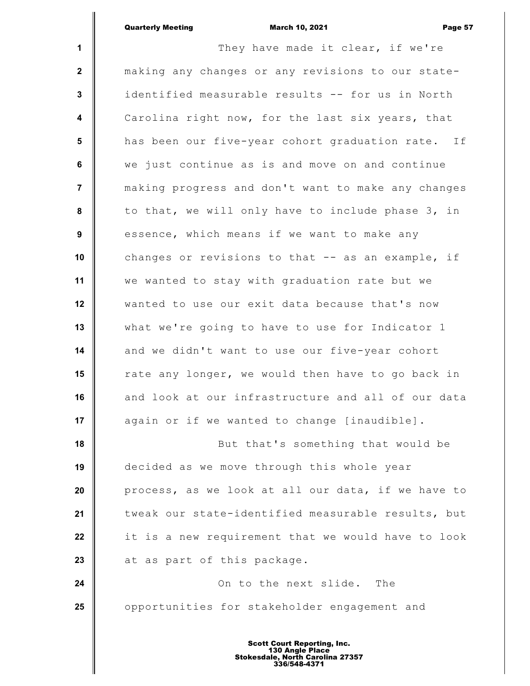|                         | <b>Quarterly Meeting</b><br><b>March 10, 2021</b><br>Page 57 |
|-------------------------|--------------------------------------------------------------|
| $\mathbf{1}$            | They have made it clear, if we're                            |
| $\mathbf{2}$            | making any changes or any revisions to our state-            |
| $\mathbf{3}$            | identified measurable results -- for us in North             |
| $\overline{\mathbf{4}}$ | Carolina right now, for the last six years, that             |
| 5                       | has been our five-year cohort graduation rate. If            |
| 6                       | we just continue as is and move on and continue              |
| $\overline{7}$          | making progress and don't want to make any changes           |
| 8                       | to that, we will only have to include phase 3, in            |
| 9                       | essence, which means if we want to make any                  |
| 10                      | changes or revisions to that -- as an example, if            |
| 11                      | we wanted to stay with graduation rate but we                |
| 12                      | wanted to use our exit data because that's now               |
| 13                      | what we're going to have to use for Indicator 1              |
| 14                      | and we didn't want to use our five-year cohort               |
| 15                      | rate any longer, we would then have to go back in            |
| 16                      | and look at our infrastructure and all of our data           |
| 17                      | again or if we wanted to change [inaudible].                 |
| 18                      | But that's something that would be                           |
| 19                      | decided as we move through this whole year                   |
| 20                      | process, as we look at all our data, if we have to           |
| 21                      | tweak our state-identified measurable results, but           |
| 22                      | it is a new requirement that we would have to look           |
| 23                      | at as part of this package.                                  |
| 24                      | On to the next slide.<br>The                                 |
| 25                      | opportunities for stakeholder engagement and                 |
|                         |                                                              |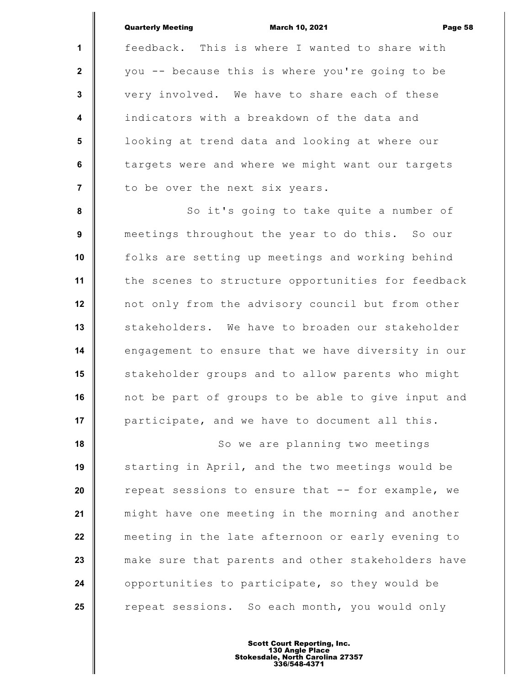|                         | <b>Quarterly Meeting</b><br><b>March 10, 2021</b><br>Page 58 |
|-------------------------|--------------------------------------------------------------|
| $\mathbf{1}$            | feedback. This is where I wanted to share with               |
| $\mathbf{2}$            | you -- because this is where you're going to be              |
| 3                       | very involved. We have to share each of these                |
| $\overline{\mathbf{4}}$ | indicators with a breakdown of the data and                  |
| 5                       | looking at trend data and looking at where our               |
| 6                       | targets were and where we might want our targets             |
| $\overline{7}$          | to be over the next six years.                               |
| 8                       | So it's going to take quite a number of                      |
| 9                       | meetings throughout the year to do this. So our              |
| 10                      | folks are setting up meetings and working behind             |
| 11                      | the scenes to structure opportunities for feedback           |
| 12                      | not only from the advisory council but from other            |
| 13                      | stakeholders. We have to broaden our stakeholder             |
| 14                      | engagement to ensure that we have diversity in our           |
| 15                      | stakeholder groups and to allow parents who might            |
| 16                      | not be part of groups to be able to give input and           |
| 17                      | participate, and we have to document all this.               |
| 18                      | So we are planning two meetings                              |
| 19                      | starting in April, and the two meetings would be             |
| 20                      | repeat sessions to ensure that -- for example, we            |
| 21                      | might have one meeting in the morning and another            |
| 22                      | meeting in the late afternoon or early evening to            |
| 23                      | make sure that parents and other stakeholders have           |
| 24                      | opportunities to participate, so they would be               |
| 25                      | repeat sessions. So each month, you would only               |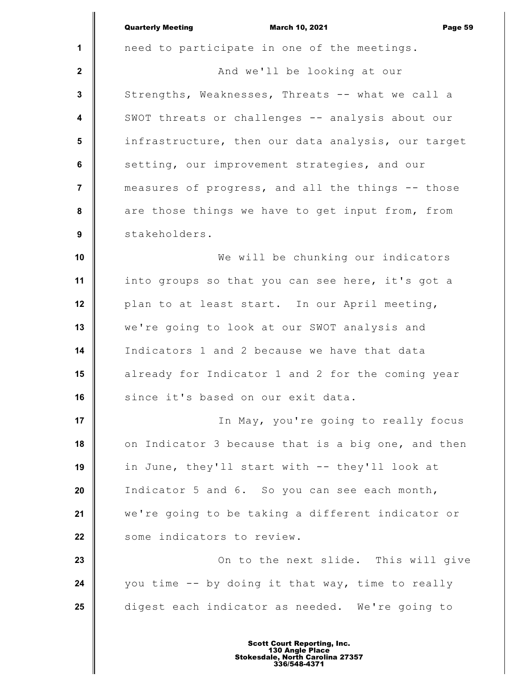|                         | <b>Quarterly Meeting</b><br><b>March 10, 2021</b><br>Page 59 |
|-------------------------|--------------------------------------------------------------|
| $\mathbf 1$             | need to participate in one of the meetings.                  |
| $\mathbf{2}$            | And we'll be looking at our                                  |
| $\mathbf{3}$            | Strengths, Weaknesses, Threats -- what we call a             |
| $\overline{\mathbf{4}}$ | SWOT threats or challenges -- analysis about our             |
| 5                       | infrastructure, then our data analysis, our target           |
| 6                       | setting, our improvement strategies, and our                 |
| $\overline{7}$          | measures of progress, and all the things -- those            |
| 8                       | are those things we have to get input from, from             |
| 9                       | stakeholders.                                                |
| 10                      | We will be chunking our indicators                           |
| 11                      | into groups so that you can see here, it's got a             |
| 12                      | plan to at least start. In our April meeting,                |
| 13                      | we're going to look at our SWOT analysis and                 |
| 14                      | Indicators 1 and 2 because we have that data                 |
| 15                      | already for Indicator 1 and 2 for the coming year            |
| 16                      | since it's based on our exit data.                           |
| 17                      | In May, you're going to really focus                         |
| 18                      | on Indicator 3 because that is a big one, and then           |
| 19                      | in June, they'll start with -- they'll look at               |
| 20                      | Indicator 5 and 6. So you can see each month,                |
| 21                      | we're going to be taking a different indicator or            |
| 22                      | some indicators to review.                                   |
| 23                      | On to the next slide. This will give                         |
| 24                      | you time -- by doing it that way, time to really             |
| 25                      | digest each indicator as needed. We're going to              |
|                         |                                                              |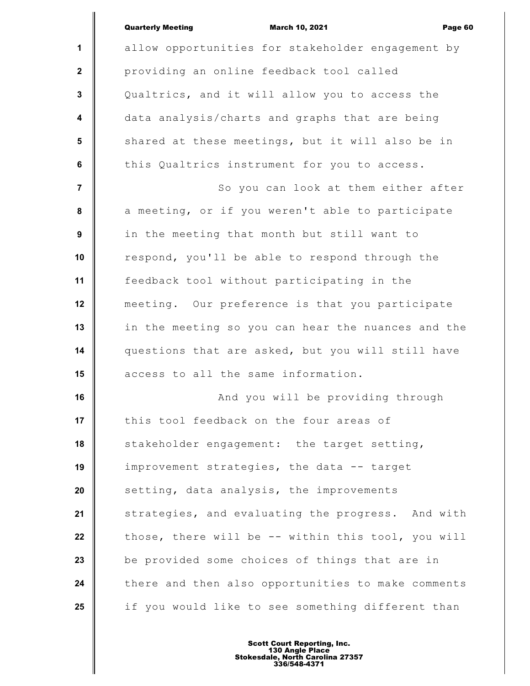|                         | <b>Quarterly Meeting</b><br><b>March 10, 2021</b><br>Page 60 |
|-------------------------|--------------------------------------------------------------|
| 1                       | allow opportunities for stakeholder engagement by            |
| $\mathbf{2}$            | providing an online feedback tool called                     |
| $\mathbf{3}$            | Qualtrics, and it will allow you to access the               |
| $\overline{\mathbf{4}}$ | data analysis/charts and graphs that are being               |
| 5                       | shared at these meetings, but it will also be in             |
| $6\phantom{a}$          | this Qualtrics instrument for you to access.                 |
| $\overline{7}$          | So you can look at them either after                         |
| 8                       | a meeting, or if you weren't able to participate             |
| 9                       | in the meeting that month but still want to                  |
| 10                      | respond, you'll be able to respond through the               |
| 11                      | feedback tool without participating in the                   |
| 12                      | meeting. Our preference is that you participate              |
| 13                      | in the meeting so you can hear the nuances and the           |
| 14                      | questions that are asked, but you will still have            |
| 15                      | access to all the same information.                          |
| 16                      | And you will be providing through                            |
| 17                      | this tool feedback on the four areas of                      |
| 18                      | stakeholder engagement: the target setting,                  |
| 19                      | improvement strategies, the data -- target                   |
| 20                      | setting, data analysis, the improvements                     |
| 21                      | strategies, and evaluating the progress. And with            |
| 22                      | those, there will be -- within this tool, you will           |
| 23                      | be provided some choices of things that are in               |
| 24                      | there and then also opportunities to make comments           |
| 25                      | if you would like to see something different than            |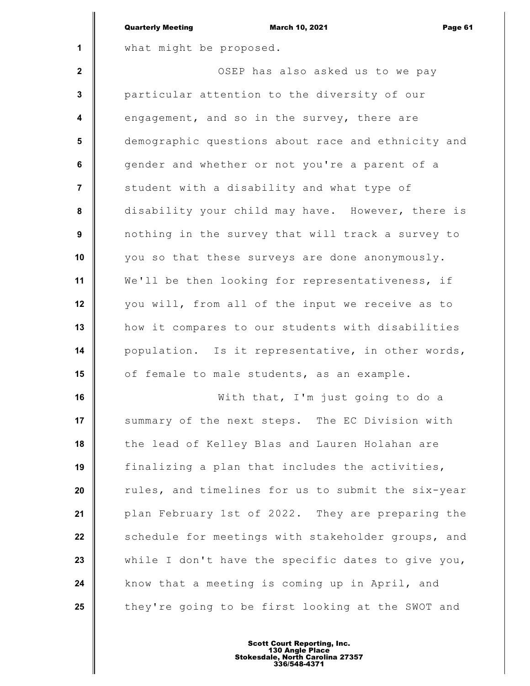|                  | <b>Quarterly Meeting</b><br><b>March 10, 2021</b><br>Page 61 |
|------------------|--------------------------------------------------------------|
| $\mathbf{1}$     | what might be proposed.                                      |
| $\mathbf{2}$     | OSEP has also asked us to we pay                             |
| $\mathbf{3}$     | particular attention to the diversity of our                 |
| $\boldsymbol{4}$ | engagement, and so in the survey, there are                  |
| 5                | demographic questions about race and ethnicity and           |
| 6                | gender and whether or not you're a parent of a               |
| $\overline{7}$   | student with a disability and what type of                   |
| 8                | disability your child may have. However, there is            |
| 9                | nothing in the survey that will track a survey to            |
| 10               | you so that these surveys are done anonymously.              |
| 11               | We'll be then looking for representativeness, if             |
| 12               | you will, from all of the input we receive as to             |
| 13               | how it compares to our students with disabilities            |
| 14               | population. Is it representative, in other words,            |
| 15               | of female to male students, as an example.                   |
| 16               | With that, I'm just going to do a                            |
| 17               | summary of the next steps. The EC Division with              |
| 18               | the lead of Kelley Blas and Lauren Holahan are               |
| 19               | finalizing a plan that includes the activities,              |
| 20               | rules, and timelines for us to submit the six-year           |
| 21               | plan February 1st of 2022. They are preparing the            |
| 22               | schedule for meetings with stakeholder groups, and           |
| 23               | while I don't have the specific dates to give you,           |
| 24               | know that a meeting is coming up in April, and               |
| 25               | they're going to be first looking at the SWOT and            |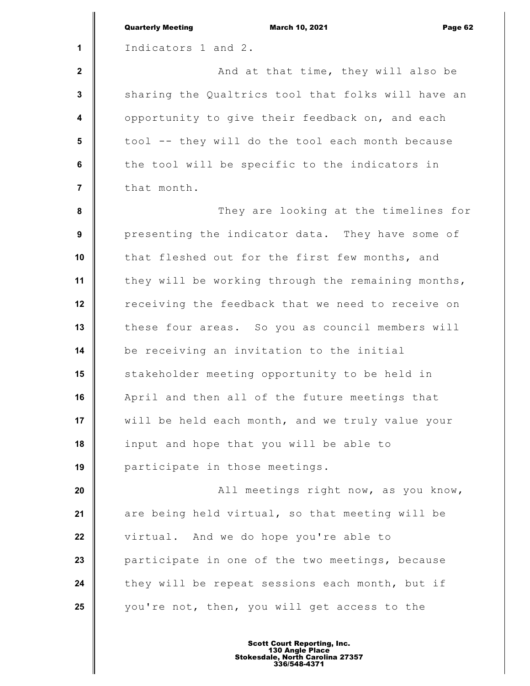|                         | <b>Quarterly Meeting</b><br><b>March 10, 2021</b><br>Page 62 |
|-------------------------|--------------------------------------------------------------|
| 1                       | Indicators 1 and 2.                                          |
| $\mathbf{2}$            | And at that time, they will also be                          |
| $\mathbf 3$             | sharing the Qualtrics tool that folks will have an           |
| $\overline{\mathbf{4}}$ | opportunity to give their feedback on, and each              |
| 5                       | tool -- they will do the tool each month because             |
| 6                       | the tool will be specific to the indicators in               |
| $\overline{7}$          | that month.                                                  |
| ${\bf 8}$               | They are looking at the timelines for                        |
| 9                       | presenting the indicator data. They have some of             |
| 10                      | that fleshed out for the first few months, and               |
| 11                      | they will be working through the remaining months,           |
| 12                      | receiving the feedback that we need to receive on            |
| 13                      | these four areas. So you as council members will             |
| 14                      | be receiving an invitation to the initial                    |
| 15                      | stakeholder meeting opportunity to be held in                |
| 16                      | April and then all of the future meetings that               |
| 17                      | will be held each month, and we truly value your             |
| 18                      | input and hope that you will be able to                      |
| 19                      | participate in those meetings.                               |
| 20                      | All meetings right now, as you know,                         |
| 21                      | are being held virtual, so that meeting will be              |
| 22                      | virtual. And we do hope you're able to                       |
| 23                      | participate in one of the two meetings, because              |
| 24                      | they will be repeat sessions each month, but if              |
| 25                      | you're not, then, you will get access to the                 |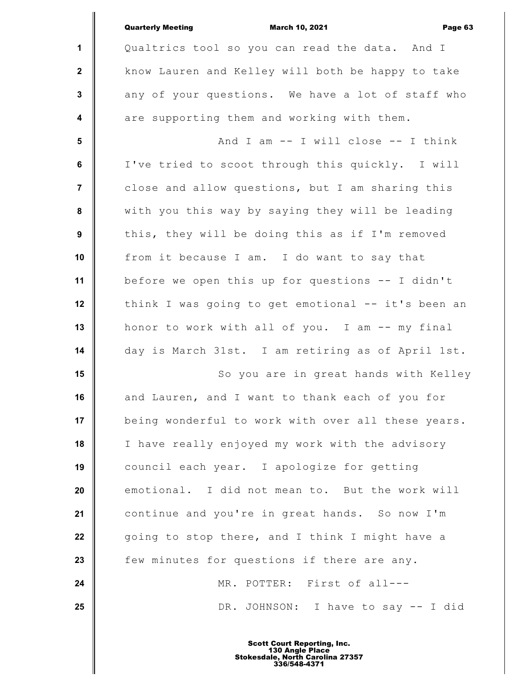|                         | <b>Quarterly Meeting</b><br><b>March 10, 2021</b><br>Page 63 |
|-------------------------|--------------------------------------------------------------|
| $\mathbf{1}$            | Qualtrics tool so you can read the data. And I               |
| $\mathbf 2$             | know Lauren and Kelley will both be happy to take            |
| $\mathbf{3}$            | any of your questions. We have a lot of staff who            |
| $\overline{\mathbf{4}}$ | are supporting them and working with them.                   |
| $5\phantom{1}$          | And I am $--$ I will close $--$ I think                      |
| $\bf 6$                 | I've tried to scoot through this quickly. I will             |
| $\overline{7}$          | close and allow questions, but I am sharing this             |
| 8                       | with you this way by saying they will be leading             |
| 9                       | this, they will be doing this as if I'm removed              |
| 10                      | from it because I am. I do want to say that                  |
| 11                      | before we open this up for questions -- I didn't             |
| 12                      | think I was going to get emotional -- it's been an           |
| 13                      | honor to work with all of you. I am -- my final              |
| 14                      | day is March 31st. I am retiring as of April 1st.            |
| 15                      | So you are in great hands with Kelley                        |
| 16                      | and Lauren, and I want to thank each of you for              |
| 17                      | being wonderful to work with over all these years.           |
| 18                      | I have really enjoyed my work with the advisory              |
| 19                      | council each year. I apologize for getting                   |
| 20                      | emotional. I did not mean to. But the work will              |
| 21                      | continue and you're in great hands. So now I'm               |
| 22                      | going to stop there, and I think I might have a              |
| 23                      | few minutes for questions if there are any.                  |
| 24                      | MR. POTTER: First of all---                                  |
| 25                      | DR. JOHNSON: I have to say -- I did                          |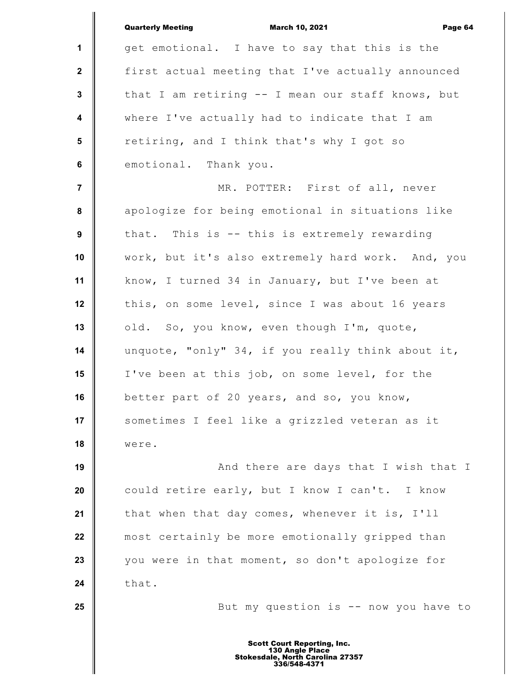|                         | <b>Quarterly Meeting</b><br><b>March 10, 2021</b><br>Page 64        |
|-------------------------|---------------------------------------------------------------------|
| $\mathbf{1}$            | get emotional. I have to say that this is the                       |
| $\mathbf{2}$            | first actual meeting that I've actually announced                   |
| $\mathbf{3}$            | that I am retiring -- I mean our staff knows, but                   |
| $\overline{\mathbf{4}}$ | where I've actually had to indicate that I am                       |
| $5\phantom{.0}$         | retiring, and I think that's why I got so                           |
| 6                       | emotional. Thank you.                                               |
| $\overline{7}$          | MR. POTTER: First of all, never                                     |
| 8                       | apologize for being emotional in situations like                    |
| 9                       | that. This is -- this is extremely rewarding                        |
| 10                      | work, but it's also extremely hard work. And, you                   |
| 11                      | know, I turned 34 in January, but I've been at                      |
| 12                      | this, on some level, since I was about 16 years                     |
| 13                      | old. So, you know, even though I'm, quote,                          |
| 14                      | unquote, "only" 34, if you really think about it,                   |
| 15                      | I've been at this job, on some level, for the                       |
| 16                      | better part of 20 years, and so, you know,                          |
| 17                      | sometimes I feel like a grizzled veteran as it                      |
| 18                      | were.                                                               |
| 19                      | And there are days that I wish that I                               |
| 20                      | could retire early, but I know I can't. I know                      |
| 21                      | that when that day comes, whenever it is, I'll                      |
| 22                      | most certainly be more emotionally gripped than                     |
| 23                      | you were in that moment, so don't apologize for                     |
| 24                      | that.                                                               |
| 25                      | But my question is -- now you have to                               |
|                         | <b>Scott Court Reporting, Inc.</b>                                  |
|                         | 130 Angle Place<br>Stokesdale, North Carolina 27357<br>336/548-4371 |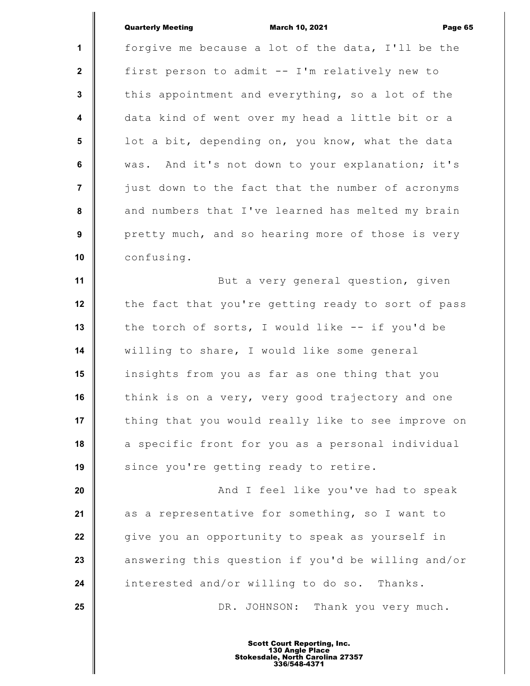|                      | <b>Quarterly Meeting</b><br><b>March 10, 2021</b><br>Page 6 |
|----------------------|-------------------------------------------------------------|
| $\mathbf{1}$         | forgive me because a lot of the data, I'll be the           |
| $\mathbf{2}$         | first person to admit -- I'm relatively new to              |
| $\mathbf{3}$         | this appointment and everything, so a lot of the            |
| $\blacktriangleleft$ | data kind of went over my head a little bit or a            |
| $5\phantom{.0}$      | lot a bit, depending on, you know, what the data            |
| 6                    | was. And it's not down to your explanation; it's            |
| $\overline{7}$       | just down to the fact that the number of acronyms           |
| 8                    | and numbers that I've learned has melted my brain           |
| 9                    | pretty much, and so hearing more of those is very           |
| 10                   | confusing.                                                  |
| 11                   | But a very general question, given                          |
| 12                   | the fact that you're getting ready to sort of pass          |
| 13                   | the torch of sorts, I would like -- if you'd be             |
| 14                   | willing to share, I would like some general                 |
| 15                   | insights from you as far as one thing that you              |
| 16                   | think is on a very, very good trajectory and one            |
| 17                   | thing that you would really like to see improve on          |
| 18                   | a specific front for you as a personal individual           |
| 19                   | since you're getting ready to retire.                       |
| 20                   | And I feel like you've had to speak                         |
| 21                   | as a representative for something, so I want to             |
| 22                   | give you an opportunity to speak as yourself in             |
| 23                   | answering this question if you'd be willing and/or          |
| 24                   | interested and/or willing to do so. Thanks.                 |
| 25                   | DR. JOHNSON: Thank you very much.                           |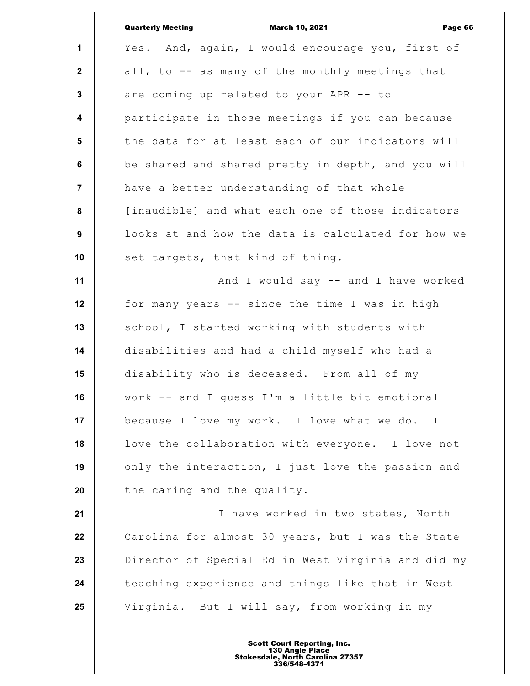|                  | <b>Quarterly Meeting</b><br><b>March 10, 2021</b><br>Page 66 |
|------------------|--------------------------------------------------------------|
| 1                | Yes. And, again, I would encourage you, first of             |
| $\mathbf{2}$     | all, to -- as many of the monthly meetings that              |
| $\mathbf{3}$     | are coming up related to your APR -- to                      |
| $\boldsymbol{4}$ | participate in those meetings if you can because             |
| 5                | the data for at least each of our indicators will            |
| 6                | be shared and shared pretty in depth, and you will           |
| $\overline{7}$   | have a better understanding of that whole                    |
| 8                | [inaudible] and what each one of those indicators            |
| 9                | looks at and how the data is calculated for how we           |
| 10               | set targets, that kind of thing.                             |
| 11               | And I would say -- and I have worked                         |
| 12               | for many years -- since the time I was in high               |
| 13               | school, I started working with students with                 |
| 14               | disabilities and had a child myself who had a                |
| 15               | disability who is deceased. From all of my                   |
| 16               | work -- and I guess I'm a little bit emotional               |
| 17               | because I love my work. I love what we do. I                 |
| 18               | love the collaboration with everyone. I love not             |
| 19               | only the interaction, I just love the passion and            |
| 20               | the caring and the quality.                                  |
| 21               | I have worked in two states, North                           |
| 22               | Carolina for almost 30 years, but I was the State            |
| 23               | Director of Special Ed in West Virginia and did my           |
| 24               | teaching experience and things like that in West             |
| 25               | Virginia. But I will say, from working in my                 |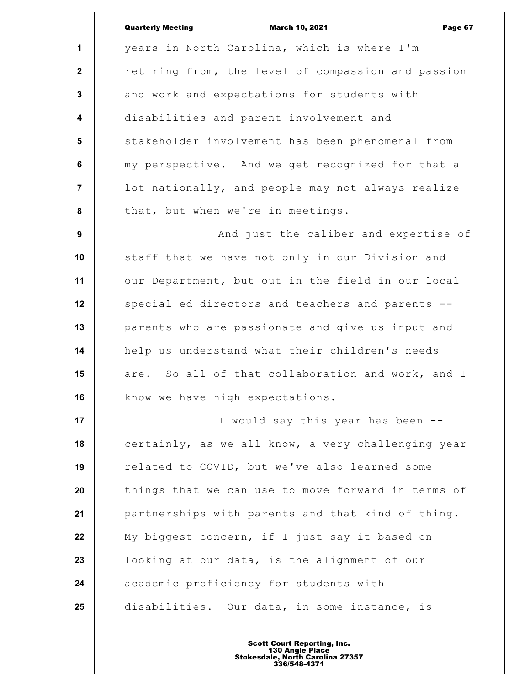|                         | <b>Quarterly Meeting</b><br><b>March 10, 2021</b><br>Page 67 |
|-------------------------|--------------------------------------------------------------|
| 1                       | years in North Carolina, which is where I'm                  |
| $\mathbf{2}$            | retiring from, the level of compassion and passion           |
| $\mathbf{3}$            | and work and expectations for students with                  |
| $\overline{\mathbf{4}}$ | disabilities and parent involvement and                      |
| 5                       | stakeholder involvement has been phenomenal from             |
| $\bf 6$                 | my perspective. And we get recognized for that a             |
| $\overline{7}$          | lot nationally, and people may not always realize            |
| 8                       | that, but when we're in meetings.                            |
| $\boldsymbol{9}$        | And just the caliber and expertise of                        |
| 10                      | staff that we have not only in our Division and              |
| 11                      | our Department, but out in the field in our local            |
| 12                      | special ed directors and teachers and parents --             |
| 13                      | parents who are passionate and give us input and             |
| 14                      | help us understand what their children's needs               |
| 15                      | are. So all of that collaboration and work, and I            |
| 16                      | know we have high expectations.                              |
| 17                      | I would say this year has been --                            |
| 18                      | certainly, as we all know, a very challenging year           |
| 19                      | related to COVID, but we've also learned some                |
| 20                      | things that we can use to move forward in terms of           |
| 21                      | partnerships with parents and that kind of thing.            |
| 22                      | My biggest concern, if I just say it based on                |
| 23                      | looking at our data, is the alignment of our                 |
| 24                      | academic proficiency for students with                       |
| 25                      | disabilities. Our data, in some instance, is                 |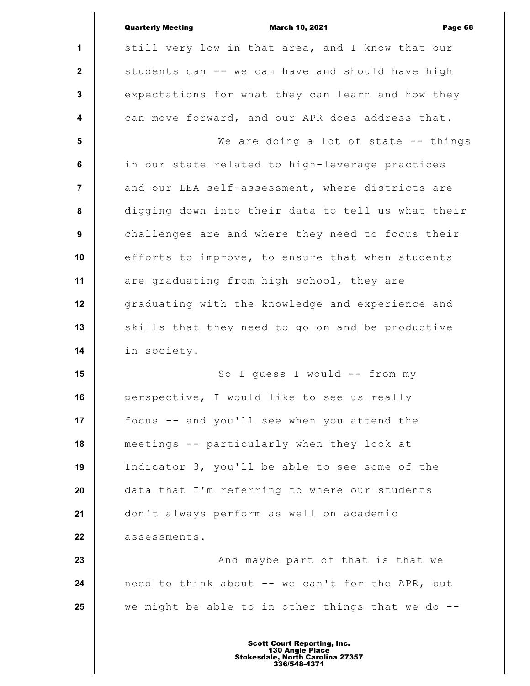|                         | <b>Quarterly Meeting</b><br><b>March 10, 2021</b><br>Page 68 |
|-------------------------|--------------------------------------------------------------|
| 1                       | still very low in that area, and I know that our             |
| $\mathbf{2}$            | students can -- we can have and should have high             |
| $\mathbf{3}$            | expectations for what they can learn and how they            |
| $\overline{\mathbf{4}}$ | can move forward, and our APR does address that.             |
| 5                       | We are doing a lot of state -- things                        |
| 6                       | in our state related to high-leverage practices              |
| $\overline{7}$          | and our LEA self-assessment, where districts are             |
| 8                       | digging down into their data to tell us what their           |
| 9                       | challenges are and where they need to focus their            |
| 10                      | efforts to improve, to ensure that when students             |
| 11                      | are graduating from high school, they are                    |
| 12                      | graduating with the knowledge and experience and             |
| 13                      | skills that they need to go on and be productive             |
| 14                      | in society.                                                  |
| 15                      | So I guess I would -- from my                                |
| 16                      | perspective, I would like to see us really                   |
| 17                      | focus -- and you'll see when you attend the                  |
| 18                      | meetings -- particularly when they look at                   |
| 19                      | Indicator 3, you'll be able to see some of the               |
| 20                      | data that I'm referring to where our students                |
| 21                      | don't always perform as well on academic                     |
| 22                      | assessments.                                                 |
| 23                      | And maybe part of that is that we                            |
| 24                      | need to think about -- we can't for the APR, but             |
| 25                      | we might be able to in other things that we do --            |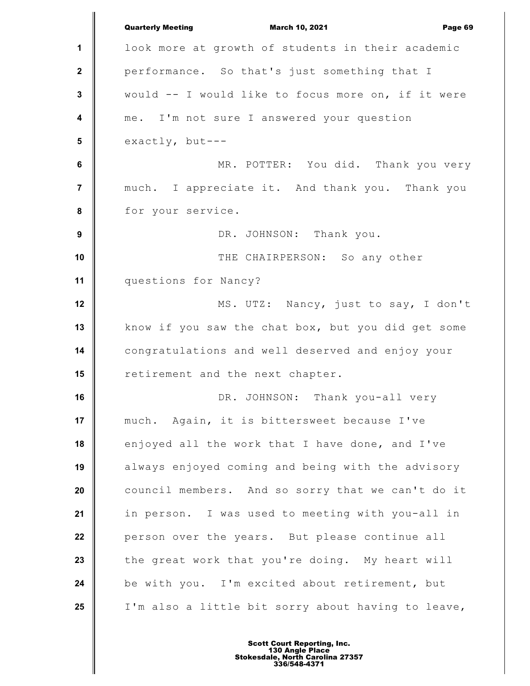**1 2 3 4 5 6 7 8 9 10 11 12 13 14 15 16 17 18 19 20 21 22 23 24 25** Quarterly Meeting March 10, 2021 Page 69 look more at growth of students in their academic performance. So that's just something that I would -- I would like to focus more on, if it were me. I'm not sure I answered your question exactly, but--- MR. POTTER: You did. Thank you very much. I appreciate it. And thank you. Thank you for your service. DR. JOHNSON: Thank you. THE CHAIRPERSON: So any other questions for Nancy? MS. UTZ: Nancy, just to say, I don't know if you saw the chat box, but you did get some congratulations and well deserved and enjoy your retirement and the next chapter. DR. JOHNSON: Thank you-all very much. Again, it is bittersweet because I've enjoyed all the work that I have done, and I've always enjoyed coming and being with the advisory council members. And so sorry that we can't do it in person. I was used to meeting with you-all in person over the years. But please continue all the great work that you're doing. My heart will be with you. I'm excited about retirement, but I'm also a little bit sorry about having to leave,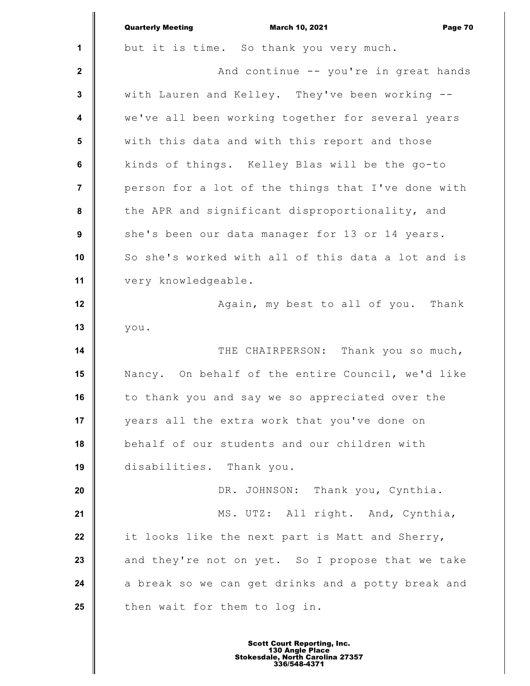|                         | <b>Quarterly Meeting</b><br><b>March 10, 2021</b><br>Page 70 |
|-------------------------|--------------------------------------------------------------|
| $\mathbf 1$             | but it is time. So thank you very much.                      |
| $\mathbf{2}$            | And continue -- you're in great hands                        |
| $\mathbf{3}$            | with Lauren and Kelley. They've been working --              |
| $\overline{\mathbf{4}}$ | we've all been working together for several years            |
| $5\phantom{.0}$         | with this data and with this report and those                |
| 6                       | kinds of things. Kelley Blas will be the go-to               |
| $\overline{7}$          | person for a lot of the things that I've done with           |
| 8                       | the APR and significant disproportionality, and              |
| 9                       | she's been our data manager for 13 or 14 years.              |
| 10                      | So she's worked with all of this data a lot and is           |
| 11                      | very knowledgeable.                                          |
| 12                      | Again, my best to all of you. Thank                          |
| 13                      | you.                                                         |
| 14                      | THE CHAIRPERSON:<br>Thank you so much,                       |
| 15                      | Nancy. On behalf of the entire Council, we'd like            |
| 16                      | to thank you and say we so appreciated over the              |
| 17                      | years all the extra work that you've done on                 |
| 18                      | behalf of our students and our children with                 |
| 19                      | disabilities. Thank you.                                     |
| 20                      | DR. JOHNSON: Thank you, Cynthia.                             |
| 21                      | MS. UTZ: All right. And, Cynthia,                            |
| 22                      | it looks like the next part is Matt and Sherry,              |
| 23                      | and they're not on yet. So I propose that we take            |
| 24                      | a break so we can get drinks and a potty break and           |
| 25                      | then wait for them to log in.                                |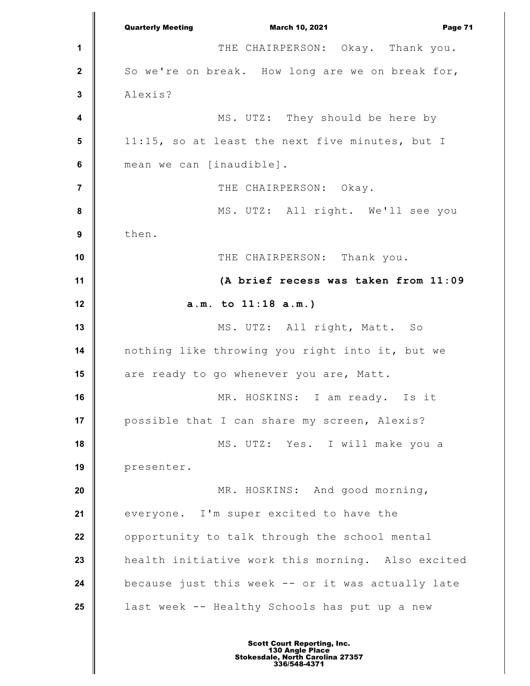**1 2 3 4 5 6 7 8 9 10 11 12 13 14 15 16 17 18 19 20 21 22 23 24 25** Quarterly Meeting March 10, 2021 Page 71 THE CHAIRPERSON: Okay. Thank you. So we're on break. How long are we on break for, Alexis? MS. UTZ: They should be here by 11:15, so at least the next five minutes, but I mean we can [inaudible]. THE CHAIRPERSON: Okay. MS. UTZ: All right. We'll see you then. THE CHAIRPERSON: Thank you. **(A brief recess was taken from 11:09 a.m. to 11:18 a.m.)** MS. UTZ: All right, Matt. So nothing like throwing you right into it, but we are ready to go whenever you are, Matt. MR. HOSKINS: I am ready. Is it possible that I can share my screen, Alexis? MS. UTZ: Yes. I will make you a presenter. MR. HOSKINS: And good morning, everyone. I'm super excited to have the opportunity to talk through the school mental health initiative work this morning. Also excited because just this week -- or it was actually late last week -- Healthy Schools has put up a new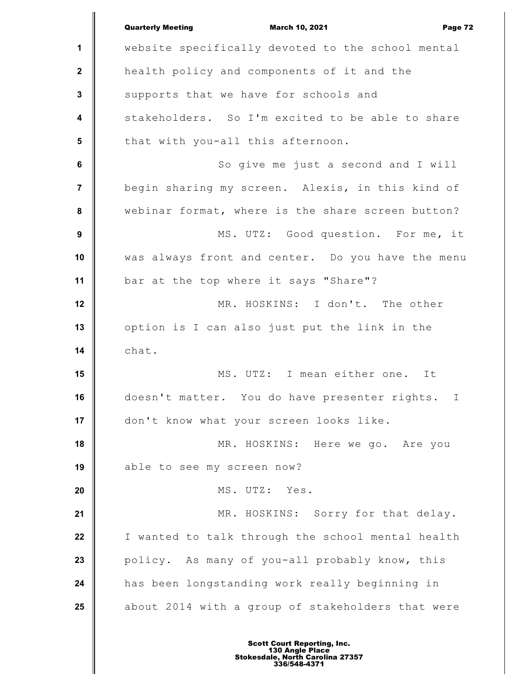**1 2 3 4 5 6 7 8 9 10 11 12 13 14 15 16 17 18 19 20 21 22 23 24 25** Quarterly Meeting March 10, 2021 Page 72 website specifically devoted to the school mental health policy and components of it and the supports that we have for schools and stakeholders. So I'm excited to be able to share that with you-all this afternoon. So give me just a second and I will begin sharing my screen. Alexis, in this kind of webinar format, where is the share screen button? MS. UTZ: Good question. For me, it was always front and center. Do you have the menu bar at the top where it says "Share"? MR. HOSKINS: I don't. The other option is I can also just put the link in the chat. MS. UTZ: I mean either one. It doesn't matter. You do have presenter rights. I don't know what your screen looks like. MR. HOSKINS: Here we go. Are you able to see my screen now? MS. UTZ: Yes. MR. HOSKINS: Sorry for that delay. I wanted to talk through the school mental health policy. As many of you-all probably know, this has been longstanding work really beginning in about 2014 with a group of stakeholders that were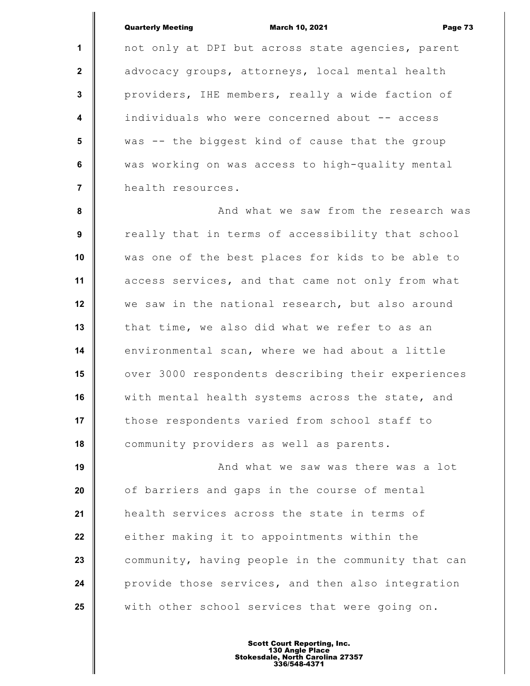## Quarterly Meeting March 10, 2021 Page 73

**1 2 3 4 5 6 7** not only at DPI but across state agencies, parent advocacy groups, attorneys, local mental health providers, IHE members, really a wide faction of individuals who were concerned about -- access was -- the biggest kind of cause that the group was working on was access to high-quality mental health resources.

 **8 9 10 11 12 13 14 15 16 17 18** And what we saw from the research was really that in terms of accessibility that school was one of the best places for kids to be able to access services, and that came not only from what we saw in the national research, but also around that time, we also did what we refer to as an environmental scan, where we had about a little over 3000 respondents describing their experiences with mental health systems across the state, and those respondents varied from school staff to community providers as well as parents.

**19 20 21 22 23 24 25** And what we saw was there was a lot of barriers and gaps in the course of mental health services across the state in terms of either making it to appointments within the community, having people in the community that can provide those services, and then also integration with other school services that were going on.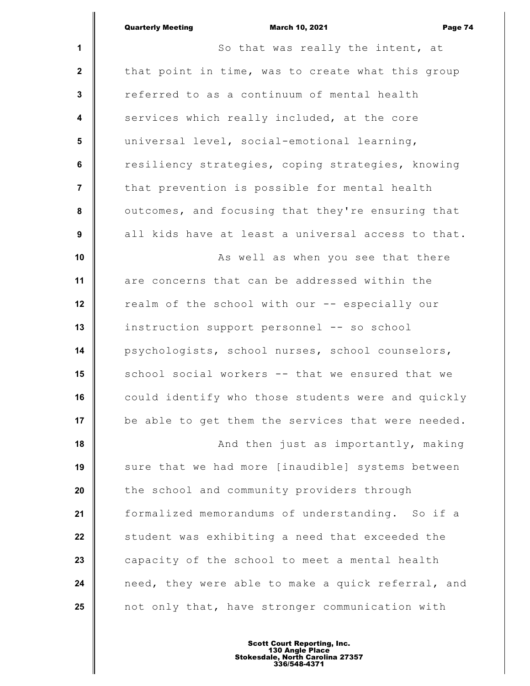|                         | <b>Quarterly Meeting</b><br><b>March 10, 2021</b><br>Page 74 |
|-------------------------|--------------------------------------------------------------|
| $\mathbf 1$             | So that was really the intent, at                            |
| $\mathbf 2$             | that point in time, was to create what this group            |
| 3                       | referred to as a continuum of mental health                  |
| 4                       | services which really included, at the core                  |
| 5                       | universal level, social-emotional learning,                  |
| $6\phantom{1}$          | resiliency strategies, coping strategies, knowing            |
| $\overline{\mathbf{7}}$ | that prevention is possible for mental health                |
| 8                       | outcomes, and focusing that they're ensuring that            |
| 9                       | all kids have at least a universal access to that.           |
| 10                      | As well as when you see that there                           |
| 11                      | are concerns that can be addressed within the                |
| 12                      | realm of the school with our -- especially our               |
| 13                      | instruction support personnel -- so school                   |
| 14                      | psychologists, school nurses, school counselors,             |
| 15                      | school social workers -- that we ensured that we             |
| 16                      | could identify who those students were and quickly           |
| 17                      | be able to get them the services that were needed.           |
| 18                      | And then just as importantly, making                         |
| 19                      | sure that we had more [inaudible] systems between            |
| 20                      | the school and community providers through                   |
| 21                      | formalized memorandums of understanding. So if a             |
| 22                      | student was exhibiting a need that exceeded the              |

**23 24 25** capacity of the school to meet a mental health need, they were able to make a quick referral, and not only that, have stronger communication with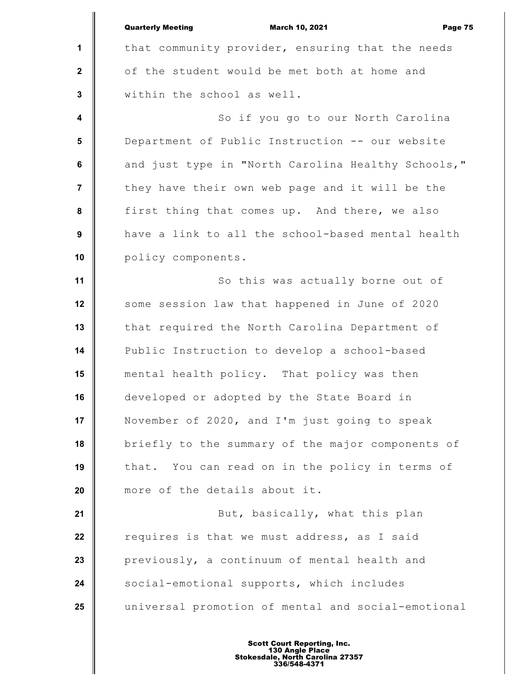**1 2 3 4 5 6 7 8 9 10 11 12 13 14 15 16 17 18 19 20 21 22 23 24 25** Quarterly Meeting March 10, 2021 Page 75 that community provider, ensuring that the needs of the student would be met both at home and within the school as well. So if you go to our North Carolina Department of Public Instruction -- our website and just type in "North Carolina Healthy Schools," they have their own web page and it will be the first thing that comes up. And there, we also have a link to all the school-based mental health policy components. So this was actually borne out of some session law that happened in June of 2020 that required the North Carolina Department of Public Instruction to develop a school-based mental health policy. That policy was then developed or adopted by the State Board in November of 2020, and I'm just going to speak briefly to the summary of the major components of that. You can read on in the policy in terms of more of the details about it. But, basically, what this plan requires is that we must address, as I said previously, a continuum of mental health and social-emotional supports, which includes universal promotion of mental and social-emotional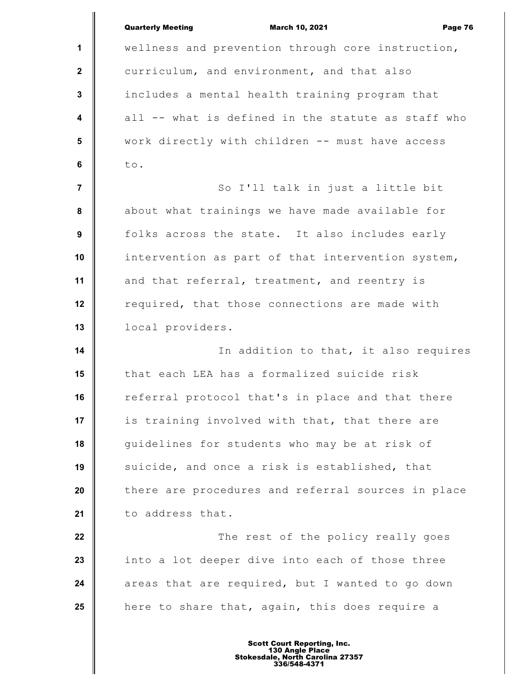|                         | <b>Quarterly Meeting</b><br><b>March 10, 2021</b><br>Page 76 |
|-------------------------|--------------------------------------------------------------|
| 1                       | wellness and prevention through core instruction,            |
| $\mathbf{2}$            | curriculum, and environment, and that also                   |
| $\mathbf{3}$            | includes a mental health training program that               |
| $\overline{\mathbf{4}}$ | all -- what is defined in the statute as staff who           |
| $5\phantom{.0}$         | work directly with children -- must have access              |
| 6                       | to.                                                          |
| $\overline{7}$          | So I'll talk in just a little bit                            |
| 8                       | about what trainings we have made available for              |
| 9                       | folks across the state. It also includes early               |
| 10                      | intervention as part of that intervention system,            |
| 11                      | and that referral, treatment, and reentry is                 |
| 12                      | required, that those connections are made with               |
| 13                      | local providers.                                             |
| 14                      | In addition to that, it also requires                        |
| 15                      | that each LEA has a formalized suicide risk                  |
| 16                      | referral protocol that's in place and that there             |
| 17                      | is training involved with that, that there are               |
| 18                      | quidelines for students who may be at risk of                |
| 19                      | suicide, and once a risk is established, that                |
| 20                      | there are procedures and referral sources in place           |
| 21                      | to address that.                                             |
| 22                      | The rest of the policy really goes                           |
| 23                      | into a lot deeper dive into each of those three              |
| 24                      | areas that are required, but I wanted to go down             |
| 25                      | here to share that, again, this does require a               |
|                         |                                                              |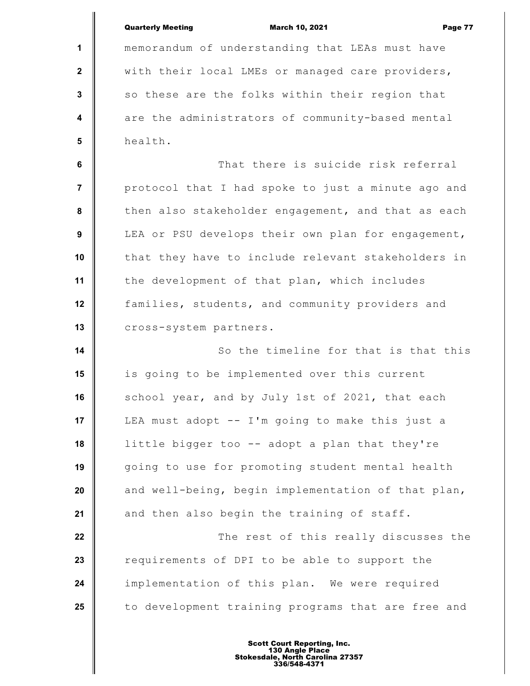|                         | <b>Quarterly Meeting</b><br><b>March 10, 2021</b><br>Page 77 |
|-------------------------|--------------------------------------------------------------|
| 1                       | memorandum of understanding that LEAs must have              |
| $\mathbf{2}$            | with their local LMEs or managed care providers,             |
| $\mathbf{3}$            | so these are the folks within their region that              |
| $\overline{\mathbf{4}}$ | are the administrators of community-based mental             |
| $5\phantom{1}$          | health.                                                      |
| 6                       | That there is suicide risk referral                          |
| $\overline{7}$          | protocol that I had spoke to just a minute ago and           |
| $\pmb{8}$               | then also stakeholder engagement, and that as each           |
| $\boldsymbol{9}$        | LEA or PSU develops their own plan for engagement,           |
| 10                      | that they have to include relevant stakeholders in           |
| 11                      | the development of that plan, which includes                 |
| 12                      | families, students, and community providers and              |
| 13                      | cross-system partners.                                       |
| 14                      | So the timeline for that is that this                        |
| 15                      | is going to be implemented over this current                 |
| 16                      | school year, and by July 1st of 2021, that each              |
| 17                      | LEA must adopt -- I'm going to make this just a              |
| 18                      | little bigger too -- adopt a plan that they're               |
| 19                      | going to use for promoting student mental health             |
| 20                      | and well-being, begin implementation of that plan,           |
| 21                      | and then also begin the training of staff.                   |
| 22                      | The rest of this really discusses the                        |
| 23                      | requirements of DPI to be able to support the                |
| 24                      | implementation of this plan. We were required                |
| 25                      | to development training programs that are free and           |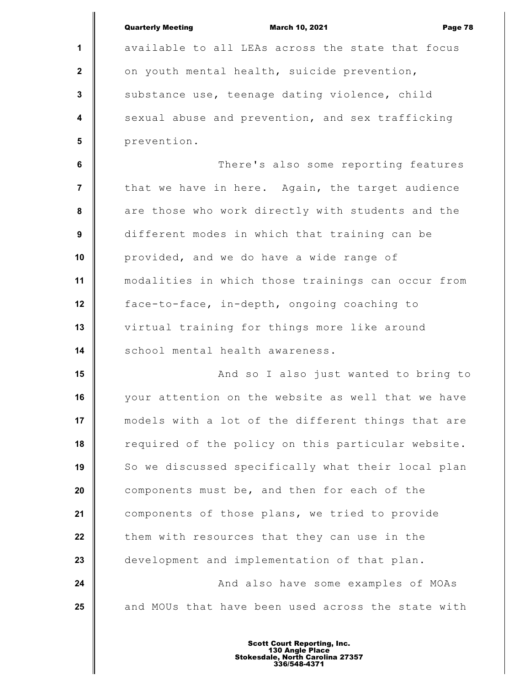|                         | <b>Quarterly Meeting</b><br><b>March 10, 2021</b><br>Page 78 |
|-------------------------|--------------------------------------------------------------|
| 1                       | available to all LEAs across the state that focus            |
| $\mathbf 2$             | on youth mental health, suicide prevention,                  |
| $\mathbf{3}$            | substance use, teenage dating violence, child                |
| $\overline{\mathbf{4}}$ | sexual abuse and prevention, and sex trafficking             |
| 5                       | prevention.                                                  |
| 6                       | There's also some reporting features                         |
| $\overline{7}$          | that we have in here. Again, the target audience             |
| 8                       | are those who work directly with students and the            |
| 9                       | different modes in which that training can be                |
| 10                      | provided, and we do have a wide range of                     |
| 11                      | modalities in which those trainings can occur from           |
| 12                      | face-to-face, in-depth, ongoing coaching to                  |
| 13                      | virtual training for things more like around                 |
| 14                      | school mental health awareness.                              |
| 15                      | And so I also just wanted to bring to                        |
| 16                      | your attention on the website as well that we have           |
| 17                      | models with a lot of the different things that are           |
| 18                      | required of the policy on this particular website.           |
| 19                      | So we discussed specifically what their local plan           |
| 20                      | components must be, and then for each of the                 |
| 21                      | components of those plans, we tried to provide               |
| 22                      | them with resources that they can use in the                 |
| 23                      | development and implementation of that plan.                 |
| 24                      | And also have some examples of MOAs                          |
| 25                      | and MOUs that have been used across the state with           |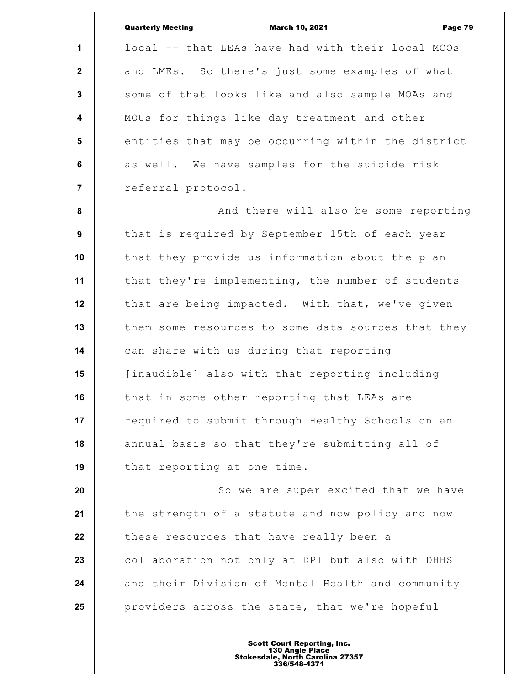|                         | <b>Quarterly Meeting</b><br><b>March 10, 2021</b><br>Page 79 |
|-------------------------|--------------------------------------------------------------|
| $\mathbf{1}$            | local -- that LEAs have had with their local MCOs            |
| $\mathbf{2}$            | and LMEs. So there's just some examples of what              |
| $\mathbf{3}$            | some of that looks like and also sample MOAs and             |
| $\overline{\mathbf{4}}$ | MOUs for things like day treatment and other                 |
| 5                       | entities that may be occurring within the district           |
| $6\phantom{a}$          | as well. We have samples for the suicide risk                |
| $\overline{7}$          | referral protocol.                                           |
| 8                       | And there will also be some reporting                        |
| 9                       | that is required by September 15th of each year              |
| 10                      | that they provide us information about the plan              |
| 11                      | that they're implementing, the number of students            |
| 12                      | that are being impacted. With that, we've given              |
| 13                      | them some resources to some data sources that they           |
| 14                      | can share with us during that reporting                      |
| 15                      | [inaudible] also with that reporting including               |
| 16                      | that in some other reporting that LEAs are                   |
| 17                      | required to submit through Healthy Schools on an             |
| 18                      | annual basis so that they're submitting all of               |
| 19                      | that reporting at one time.                                  |
| 20                      | So we are super excited that we have                         |
| 21                      | the strength of a statute and now policy and now             |
| 22                      | these resources that have really been a                      |
| 23                      | collaboration not only at DPI but also with DHHS             |
| 24                      | and their Division of Mental Health and community            |
| 25                      | providers across the state, that we're hopeful               |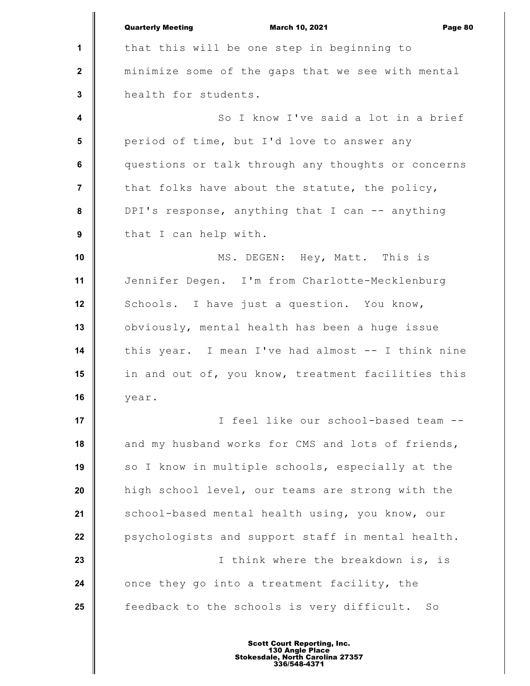|                  | <b>Quarterly Meeting</b><br><b>March 10, 2021</b><br>Page 80 |
|------------------|--------------------------------------------------------------|
| 1                | that this will be one step in beginning to                   |
| $\mathbf 2$      | minimize some of the gaps that we see with mental            |
| 3                | health for students.                                         |
| $\boldsymbol{4}$ | So I know I've said a lot in a brief                         |
| $5\phantom{.0}$  | period of time, but I'd love to answer any                   |
| 6                | questions or talk through any thoughts or concerns           |
| $\overline{7}$   | that folks have about the statute, the policy,               |
| 8                | DPI's response, anything that I can -- anything              |
| 9                | that I can help with.                                        |
| 10               | MS. DEGEN: Hey, Matt. This is                                |
| 11               | Jennifer Degen. I'm from Charlotte-Mecklenburg               |
| 12               | Schools. I have just a question. You know,                   |
| 13               | obviously, mental health has been a huge issue               |
| 14               | this year. I mean I've had almost -- I think nine            |
| 15               | in and out of, you know, treatment facilities this           |
| 16               | year.                                                        |
| 17               | I feel like our school-based team --                         |
| 18               | and my husband works for CMS and lots of friends,            |
| 19               | so I know in multiple schools, especially at the             |
| 20               | high school level, our teams are strong with the             |
| 21               | school-based mental health using, you know, our              |
| 22               | psychologists and support staff in mental health.            |
| 23               | I think where the breakdown is, is                           |
| 24               | once they go into a treatment facility, the                  |
| 25               | feedback to the schools is very difficult. So                |
|                  |                                                              |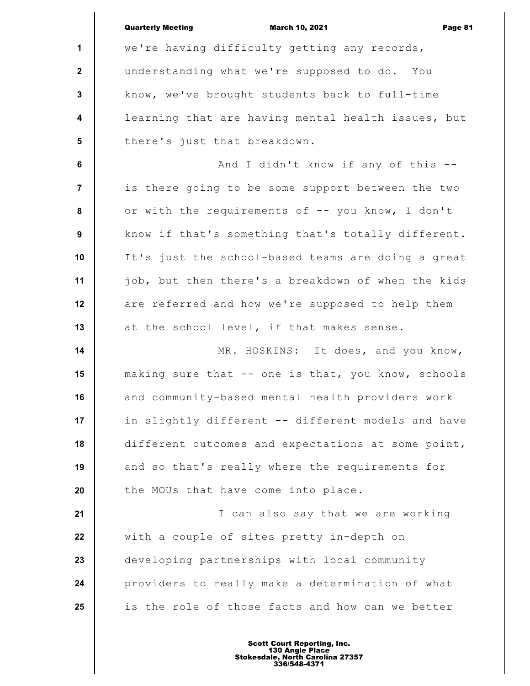|                         | <b>Quarterly Meeting</b><br><b>March 10, 2021</b><br>Page 81 |
|-------------------------|--------------------------------------------------------------|
| $\mathbf{1}$            | we're having difficulty getting any records,                 |
| $\mathbf{2}$            | understanding what we're supposed to do. You                 |
| $\mathbf 3$             | know, we've brought students back to full-time               |
| $\overline{\mathbf{4}}$ | learning that are having mental health issues, but           |
| $5\phantom{.0}$         | there's just that breakdown.                                 |
| 6                       | And I didn't know if any of this --                          |
| $\overline{\mathbf{r}}$ | is there going to be some support between the two            |
| 8                       | or with the requirements of -- you know, I don't             |
| 9                       | know if that's something that's totally different.           |
| 10                      | It's just the school-based teams are doing a great           |
| 11                      | job, but then there's a breakdown of when the kids           |
| 12                      | are referred and how we're supposed to help them             |
| 13                      | at the school level, if that makes sense.                    |
| 14                      | MR. HOSKINS: It does, and you know,                          |
| 15                      | making sure that -- one is that, you know, schools           |
| 16                      | and community-based mental health providers work             |
| 17                      | in slightly different -- different models and have           |
| 18                      | different outcomes and expectations at some point,           |
| 19                      | and so that's really where the requirements for              |
| 20                      | the MOUs that have come into place.                          |
| 21                      | I can also say that we are working                           |
| 22                      | with a couple of sites pretty in-depth on                    |
| 23                      | developing partnerships with local community                 |
| 24                      | providers to really make a determination of what             |
| 25                      | is the role of those facts and how can we better             |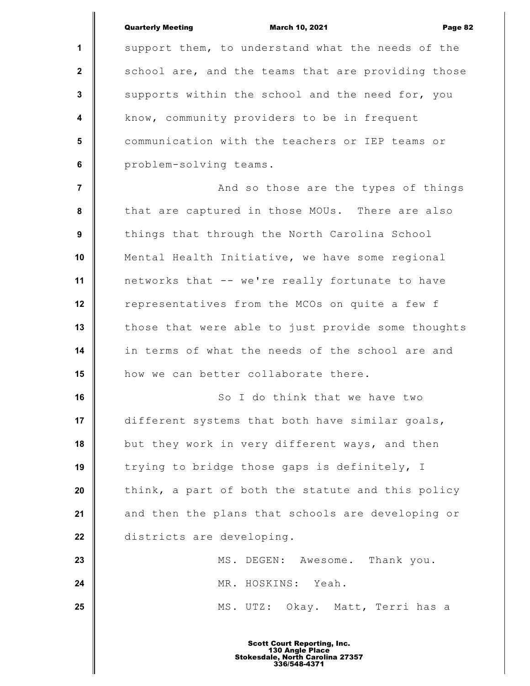|                  | <b>Quarterly Meeting</b><br><b>March 10, 2021</b><br>Page 82 |
|------------------|--------------------------------------------------------------|
| $\mathbf{1}$     | support them, to understand what the needs of the            |
| $\mathbf{2}$     | school are, and the teams that are providing those           |
| $\mathbf{3}$     | supports within the school and the need for, you             |
| $\boldsymbol{4}$ | know, community providers to be in frequent                  |
| 5                | communication with the teachers or IEP teams or              |
| 6                | problem-solving teams.                                       |
| $\overline{7}$   | And so those are the types of things                         |
| 8                | that are captured in those MOUs. There are also              |
| 9                | things that through the North Carolina School                |
| 10               | Mental Health Initiative, we have some regional              |
| 11               | networks that -- we're really fortunate to have              |
| 12               | representatives from the MCOs on quite a few f               |
| 13               | those that were able to just provide some thoughts           |
| 14               | in terms of what the needs of the school are and             |
| 15               | how we can better collaborate there.                         |
| 16               | So I do think that we have two                               |
| 17               | different systems that both have similar goals,              |
| 18               | but they work in very different ways, and then               |
| 19               | trying to bridge those gaps is definitely, I                 |
| 20               | think, a part of both the statute and this policy            |
| 21               | and then the plans that schools are developing or            |
| 22               | districts are developing.                                    |
| 23               | MS. DEGEN: Awesome. Thank you.                               |
| 24               | MR. HOSKINS: Yeah.                                           |
| 25               | MS. UTZ: Okay. Matt, Terri has a                             |
|                  |                                                              |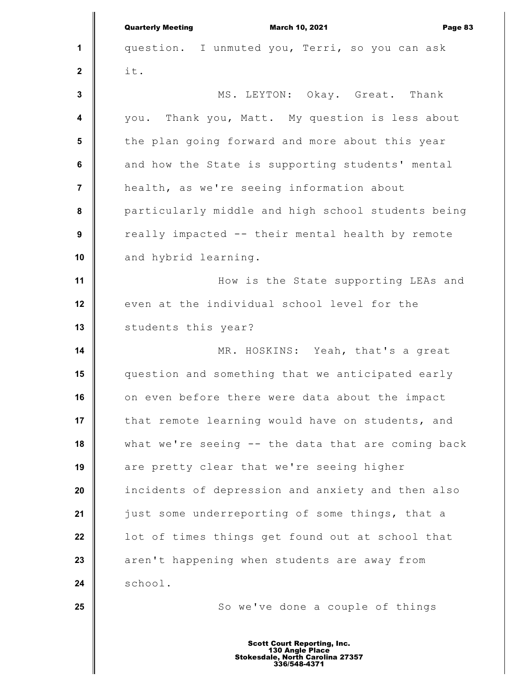|                         | <b>Quarterly Meeting</b><br><b>March 10, 2021</b><br>Page 83 |
|-------------------------|--------------------------------------------------------------|
| 1                       | question. I unmuted you, Terri, so you can ask               |
| $\mathbf{2}$            | it.                                                          |
| 3                       | MS. LEYTON: Okay. Great. Thank                               |
| $\overline{\mathbf{4}}$ | you. Thank you, Matt. My question is less about              |
| $5\phantom{.0}$         | the plan going forward and more about this year              |
| 6                       | and how the State is supporting students' mental             |
| $\overline{\mathbf{7}}$ | health, as we're seeing information about                    |
| 8                       | particularly middle and high school students being           |
| $\boldsymbol{9}$        | really impacted -- their mental health by remote             |
| 10                      | and hybrid learning.                                         |
| 11                      | How is the State supporting LEAs and                         |
| 12                      | even at the individual school level for the                  |
| 13                      | students this year?                                          |
| 14                      | MR. HOSKINS: Yeah, that's a great                            |
| 15                      | question and something that we anticipated early             |
| 16                      | on even before there were data about the impact              |
| 17                      | that remote learning would have on students, and             |
| 18                      | what we're seeing -- the data that are coming back           |
| 19                      | are pretty clear that we're seeing higher                    |
| 20                      | incidents of depression and anxiety and then also            |
| 21                      | just some underreporting of some things, that a              |
| 22                      | lot of times things get found out at school that             |
| 23                      | aren't happening when students are away from                 |
| 24                      | school.                                                      |
| 25                      | So we've done a couple of things                             |
|                         | <b>Scott Court Reporting, Inc.</b>                           |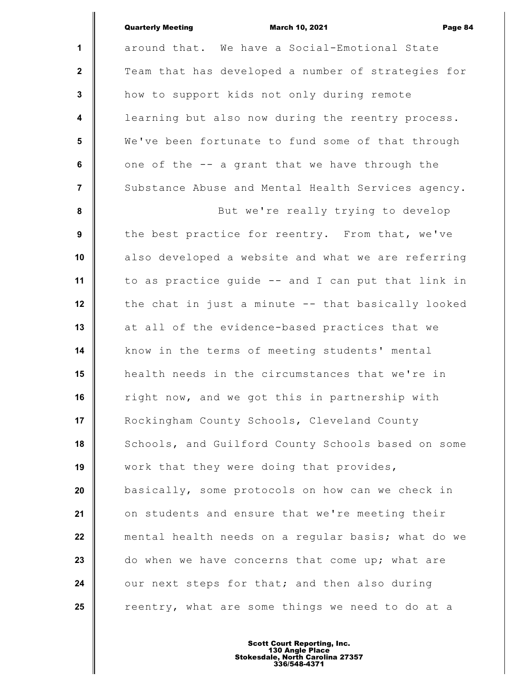|                  | <b>Quarterly Meeting</b><br><b>March 10, 2021</b><br>Page 84 |
|------------------|--------------------------------------------------------------|
| $\mathbf{1}$     | around that. We have a Social-Emotional State                |
| $\mathbf{2}$     | Team that has developed a number of strategies for           |
| 3                | how to support kids not only during remote                   |
| $\boldsymbol{4}$ | learning but also now during the reentry process.            |
| $5\phantom{1}$   | We've been fortunate to fund some of that through            |
| $\bf 6$          | one of the -- a grant that we have through the               |
| $\overline{7}$   | Substance Abuse and Mental Health Services agency.           |
| 8                | But we're really trying to develop                           |
| $\boldsymbol{9}$ | the best practice for reentry. From that, we've              |
| 10               | also developed a website and what we are referring           |
| 11               | to as practice guide -- and I can put that link in           |
| 12               | the chat in just a minute -- that basically looked           |
| 13               | at all of the evidence-based practices that we               |
| 14               | know in the terms of meeting students' mental                |
| 15               | health needs in the circumstances that we're in              |
| 16               | right now, and we got this in partnership with               |
| 17               | Rockingham County Schools, Cleveland County                  |
| 18               | Schools, and Guilford County Schools based on some           |
| 19               | work that they were doing that provides,                     |
| 20               | basically, some protocols on how can we check in             |
| 21               | on students and ensure that we're meeting their              |
| 22               | mental health needs on a regular basis; what do we           |
| 23               | do when we have concerns that come up; what are              |
| 24               | our next steps for that; and then also during                |
| 25               | reentry, what are some things we need to do at a             |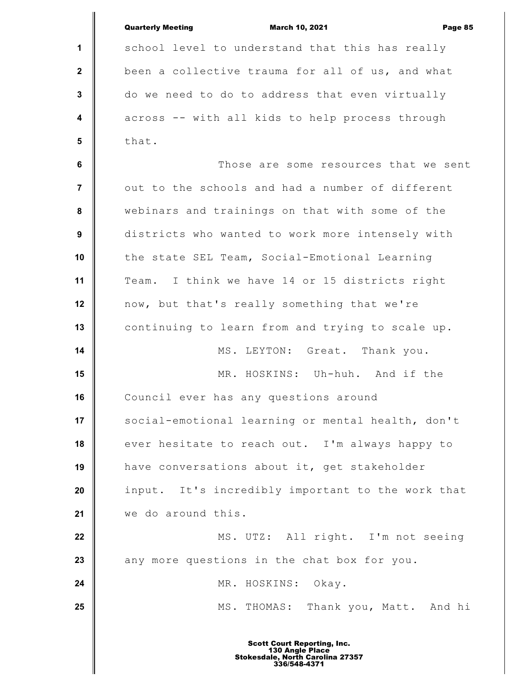|                | <b>Quarterly Meeting</b><br><b>March 10, 2021</b><br>Page 85 |
|----------------|--------------------------------------------------------------|
| 1              | school level to understand that this has really              |
| $\mathbf{2}$   | been a collective trauma for all of us, and what             |
| $\mathbf 3$    | do we need to do to address that even virtually              |
| 4              | across -- with all kids to help process through              |
| $5\phantom{1}$ | that.                                                        |
| 6              | Those are some resources that we sent                        |
| 7              | out to the schools and had a number of different             |
| 8              | webinars and trainings on that with some of the              |
| 9              | districts who wanted to work more intensely with             |
| 10             | the state SEL Team, Social-Emotional Learning                |
| 11             | Team. I think we have 14 or 15 districts right               |
| 12             | now, but that's really something that we're                  |
| 13             | continuing to learn from and trying to scale up.             |
| 14             | MS. LEYTON: Great. Thank you.                                |
| 15             | MR. HOSKINS: Uh-huh. And if the                              |
| 16             | Council ever has any questions around                        |
| 17             | social-emotional learning or mental health, don't            |
| 18             | ever hesitate to reach out. I'm always happy to              |
| 19             | have conversations about it, get stakeholder                 |
| 20             | input. It's incredibly important to the work that            |
| 21             | we do around this.                                           |
| 22             | MS. UTZ: All right. I'm not seeing                           |
| 23             | any more questions in the chat box for you.                  |
| 24             | MR. HOSKINS: Okay.                                           |
| 25             | MS. THOMAS: Thank you, Matt. And hi                          |
|                |                                                              |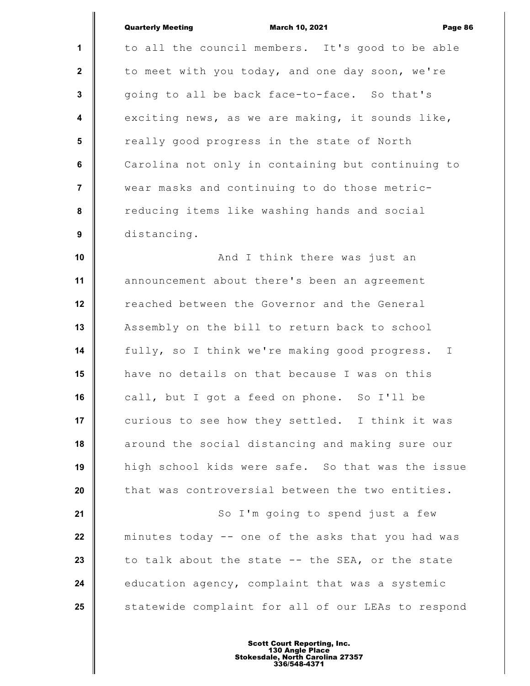|                  | <b>Quarterly Meeting</b><br><b>March 10, 2021</b><br>Page 86  |
|------------------|---------------------------------------------------------------|
| 1                | to all the council members. It's good to be able              |
| $\mathbf{2}$     | to meet with you today, and one day soon, we're               |
| $\mathbf{3}$     | going to all be back face-to-face. So that's                  |
| $\boldsymbol{4}$ | exciting news, as we are making, it sounds like,              |
| 5                | really good progress in the state of North                    |
| 6                | Carolina not only in containing but continuing to             |
| $\overline{7}$   | wear masks and continuing to do those metric-                 |
| 8                | reducing items like washing hands and social                  |
| 9                | distancing.                                                   |
| 10               | And I think there was just an                                 |
| 11               | announcement about there's been an agreement                  |
| 12               | reached between the Governor and the General                  |
| 13               | Assembly on the bill to return back to school                 |
| 14               | fully, so I think we're making good progress.<br>$\mathbb{I}$ |
| 15               | have no details on that because I was on this                 |
| 16               | call, but I got a feed on phone. So I'll be                   |
| 17               | curious to see how they settled. I think it was               |
| 18               | around the social distancing and making sure our              |
| 19               | high school kids were safe. So that was the issue             |
| 20               | that was controversial between the two entities.              |
| 21               | So I'm going to spend just a few                              |
| 22               | minutes today -- one of the asks that you had was             |
| 23               | to talk about the state -- the SEA, or the state              |
| 24               | education agency, complaint that was a systemic               |
| 25               | statewide complaint for all of our LEAs to respond            |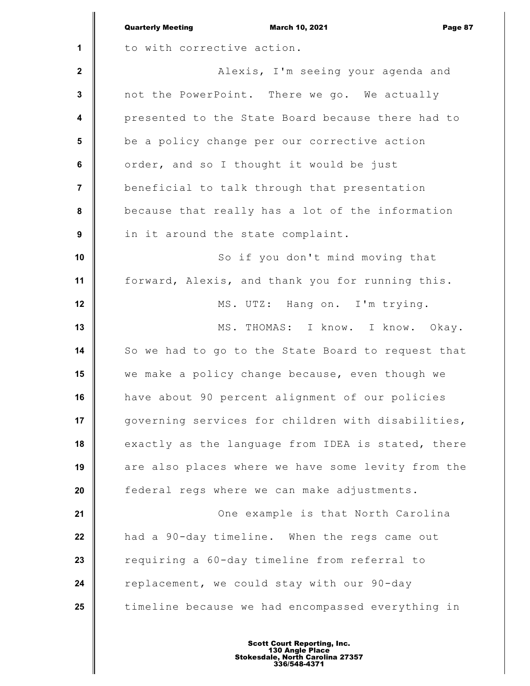|                         | <b>Quarterly Meeting</b><br><b>March 10, 2021</b><br>Page 87 |
|-------------------------|--------------------------------------------------------------|
| 1                       | to with corrective action.                                   |
| $\mathbf{2}$            | Alexis, I'm seeing your agenda and                           |
| $\mathbf{3}$            | not the PowerPoint. There we go. We actually                 |
| $\overline{\mathbf{4}}$ | presented to the State Board because there had to            |
| 5                       | be a policy change per our corrective action                 |
| 6                       | order, and so I thought it would be just                     |
| $\overline{7}$          | beneficial to talk through that presentation                 |
| 8                       | because that really has a lot of the information             |
| 9                       | in it around the state complaint.                            |
| 10                      | So if you don't mind moving that                             |
| 11                      | forward, Alexis, and thank you for running this.             |
| 12                      | MS. UTZ: Hang on. I'm trying.                                |
| 13                      | MS. THOMAS: I know. I know. Okay.                            |
| 14                      | So we had to go to the State Board to request that           |
| 15                      | we make a policy change because, even though we              |
| 16                      | have about 90 percent alignment of our policies              |
| 17                      | governing services for children with disabilities,           |
| 18                      | exactly as the language from IDEA is stated, there           |
| 19                      | are also places where we have some levity from the           |
| 20                      | federal regs where we can make adjustments.                  |
| 21                      | One example is that North Carolina                           |
| 22                      | had a 90-day timeline. When the regs came out                |
| 23                      | requiring a 60-day timeline from referral to                 |
| 24                      | replacement, we could stay with our 90-day                   |
| 25                      | timeline because we had encompassed everything in            |
|                         |                                                              |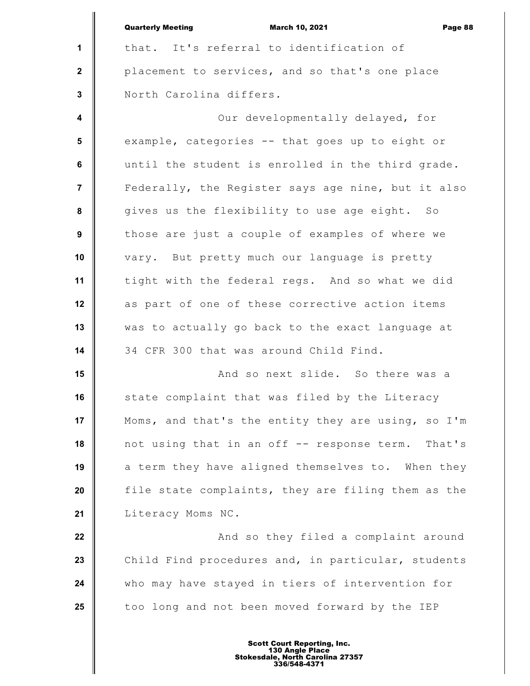|                  | <b>Quarterly Meeting</b><br><b>March 10, 2021</b><br>Page 88 |
|------------------|--------------------------------------------------------------|
| 1                | that. It's referral to identification of                     |
| $\mathbf{2}$     | placement to services, and so that's one place               |
| $\mathbf{3}$     | North Carolina differs.                                      |
| $\boldsymbol{4}$ | Our developmentally delayed, for                             |
| 5                | example, categories -- that goes up to eight or              |
| $\bf 6$          | until the student is enrolled in the third grade.            |
| $\overline{7}$   | Federally, the Register says age nine, but it also           |
| 8                | gives us the flexibility to use age eight. So                |
| 9                | those are just a couple of examples of where we              |
| 10               | vary. But pretty much our language is pretty                 |
| 11               | tight with the federal regs. And so what we did              |
| 12               | as part of one of these corrective action items              |
| 13               | was to actually go back to the exact language at             |
| 14               | 34 CFR 300 that was around Child Find.                       |
| 15               | And so next slide. So there was a                            |
| 16               | state complaint that was filed by the Literacy               |
| 17               | Moms, and that's the entity they are using, so I'm           |
| 18               | not using that in an off -- response term. That's            |
| 19               | a term they have aligned themselves to. When they            |
| 20               | file state complaints, they are filing them as the           |
| 21               | Literacy Moms NC.                                            |
| 22               | And so they filed a complaint around                         |
| 23               | Child Find procedures and, in particular, students           |
| 24               | who may have stayed in tiers of intervention for             |
| 25               | too long and not been moved forward by the IEP               |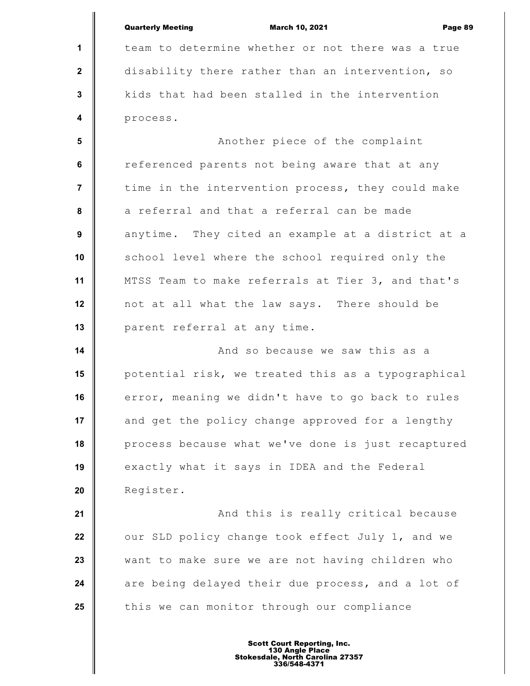|                         | <b>Quarterly Meeting</b><br><b>March 10, 2021</b><br>Page 89 |
|-------------------------|--------------------------------------------------------------|
| $\mathbf 1$             | team to determine whether or not there was a true            |
| $\mathbf{2}$            | disability there rather than an intervention, so             |
| 3                       | kids that had been stalled in the intervention               |
| $\overline{\mathbf{4}}$ | process.                                                     |
| 5                       | Another piece of the complaint                               |
| 6                       | referenced parents not being aware that at any               |
| 7                       | time in the intervention process, they could make            |
| 8                       | a referral and that a referral can be made                   |
| 9                       | anytime. They cited an example at a district at a            |
| 10                      | school level where the school required only the              |
| 11                      | MTSS Team to make referrals at Tier 3, and that's            |
| 12                      | not at all what the law says. There should be                |
| 13                      | parent referral at any time.                                 |
| 14                      | And so because we saw this as a                              |
| 15                      | potential risk, we treated this as a typographical           |
| 16                      | error, meaning we didn't have to go back to rules            |
| 17                      | and get the policy change approved for a lengthy             |
| 18                      | process because what we've done is just recaptured           |
| 19                      | exactly what it says in IDEA and the Federal                 |
| 20                      | Register.                                                    |
| 21                      | And this is really critical because                          |
| 22                      | our SLD policy change took effect July 1, and we             |
| 23                      | want to make sure we are not having children who             |
| 24                      | are being delayed their due process, and a lot of            |
| 25                      | this we can monitor through our compliance                   |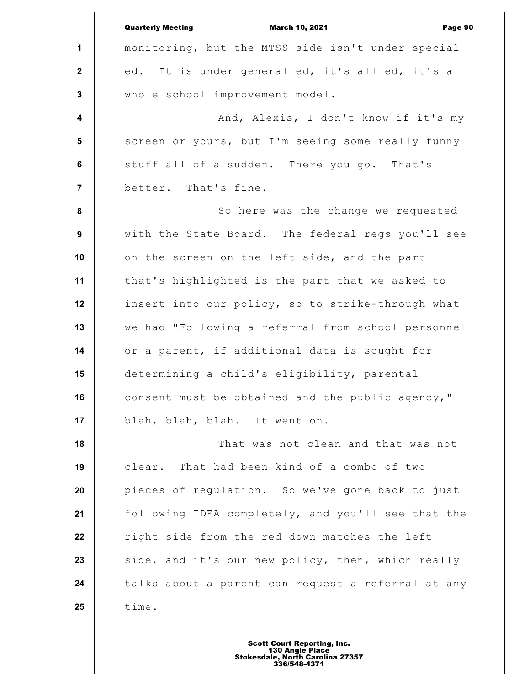|                         | <b>Quarterly Meeting</b><br><b>March 10, 2021</b><br>Page 90 |
|-------------------------|--------------------------------------------------------------|
| $\mathbf{1}$            | monitoring, but the MTSS side isn't under special            |
| $\mathbf{2}$            | ed. It is under general ed, it's all ed, it's a              |
| 3                       | whole school improvement model.                              |
| $\overline{\mathbf{4}}$ | And, Alexis, I don't know if it's my                         |
| $5\phantom{.0}$         | screen or yours, but I'm seeing some really funny            |
| 6                       | stuff all of a sudden. There you go. That's                  |
| $\overline{7}$          | better. That's fine.                                         |
| $\pmb{8}$               | So here was the change we requested                          |
| 9                       | with the State Board. The federal regs you'll see            |
| 10                      | on the screen on the left side, and the part                 |
| 11                      | that's highlighted is the part that we asked to              |
| 12                      | insert into our policy, so to strike-through what            |
| 13                      | we had "Following a referral from school personnel           |
| 14                      | or a parent, if additional data is sought for                |
| 15                      | determining a child's eligibility, parental                  |
| 16                      | consent must be obtained and the public agency,"             |
| 17                      | blah, blah, blah. It went on.                                |
| 18                      | That was not clean and that was not                          |
| 19                      | clear. That had been kind of a combo of two                  |
| 20                      | pieces of regulation. So we've gone back to just             |
| 21                      | following IDEA completely, and you'll see that the           |
| 22                      | right side from the red down matches the left                |
| 23                      | side, and it's our new policy, then, which really            |
| 24                      | talks about a parent can request a referral at any           |
| 25                      | time.                                                        |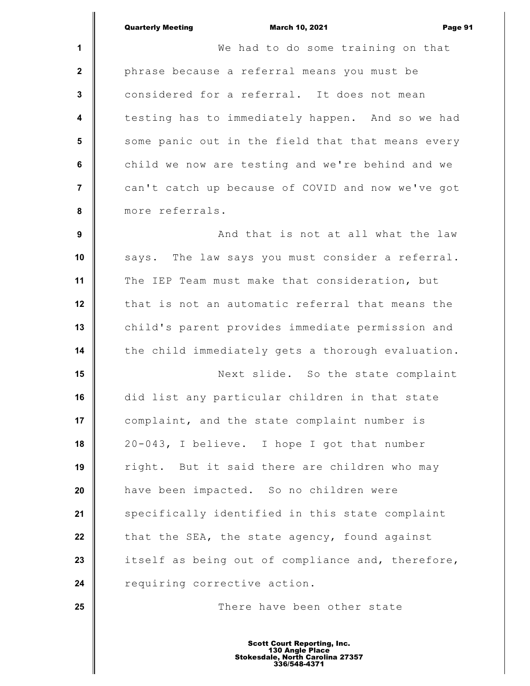| Quarterly Meeting |  |
|-------------------|--|
|                   |  |

|                         | <b>March 10, 2021</b><br><b>Quarterly Meeting</b><br>Page 9 |
|-------------------------|-------------------------------------------------------------|
| $\mathbf{1}$            | We had to do some training on that                          |
| $\mathbf 2$             | phrase because a referral means you must be                 |
| 3                       | considered for a referral. It does not mean                 |
| $\overline{\mathbf{4}}$ | testing has to immediately happen. And so we had            |
| 5                       | some panic out in the field that that means every           |
| $\bf 6$                 | child we now are testing and we're behind and we            |
| $\overline{7}$          | can't catch up because of COVID and now we've got           |
| 8                       | more referrals.                                             |
| 9                       | And that is not at all what the law                         |
| 10                      | says. The law says you must consider a referral.            |
| 11                      | The IEP Team must make that consideration, but              |
| 12                      | that is not an automatic referral that means the            |
| 13                      | child's parent provides immediate permission and            |
| 14                      | the child immediately gets a thorough evaluation.           |
| 15                      | Next slide. So the state complaint                          |
| 16                      | did list any particular children in that state              |
| 17                      | complaint, and the state complaint number is                |
| 18                      | 20-043, I believe. I hope I got that number                 |
| 19                      | right. But it said there are children who may               |
| 20                      | have been impacted. So no children were                     |
| 21                      | specifically identified in this state complaint             |
| 22                      | that the SEA, the state agency, found against               |
| 23                      | itself as being out of compliance and, therefore,           |
| 24                      | requiring corrective action.                                |
| 25                      | There have been other state                                 |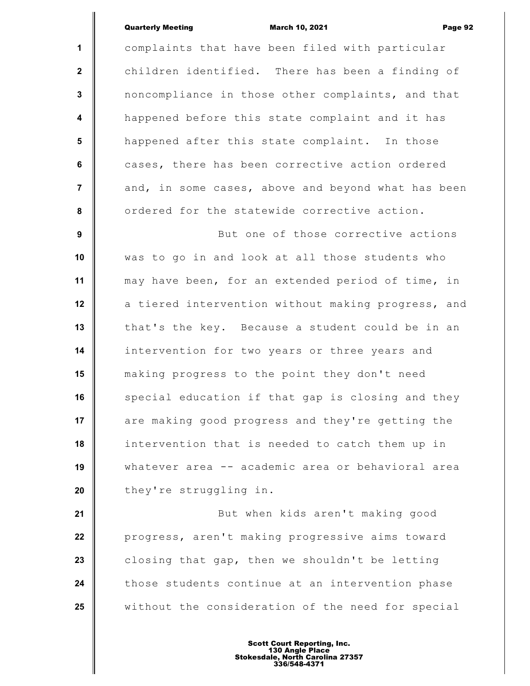## Quarterly Meeting March 10, 2021 Page 92

**1 2 3 4 5 6 7 8 9 10 11 12 13 14 15 16 17 18 19 20** complaints that have been filed with particular children identified. There has been a finding of noncompliance in those other complaints, and that happened before this state complaint and it has happened after this state complaint. In those cases, there has been corrective action ordered and, in some cases, above and beyond what has been ordered for the statewide corrective action. But one of those corrective actions was to go in and look at all those students who may have been, for an extended period of time, in a tiered intervention without making progress, and that's the key. Because a student could be in an intervention for two years or three years and making progress to the point they don't need special education if that gap is closing and they are making good progress and they're getting the intervention that is needed to catch them up in whatever area -- academic area or behavioral area they're struggling in.

**21 22 23 24 25** But when kids aren't making good progress, aren't making progressive aims toward closing that gap, then we shouldn't be letting those students continue at an intervention phase without the consideration of the need for special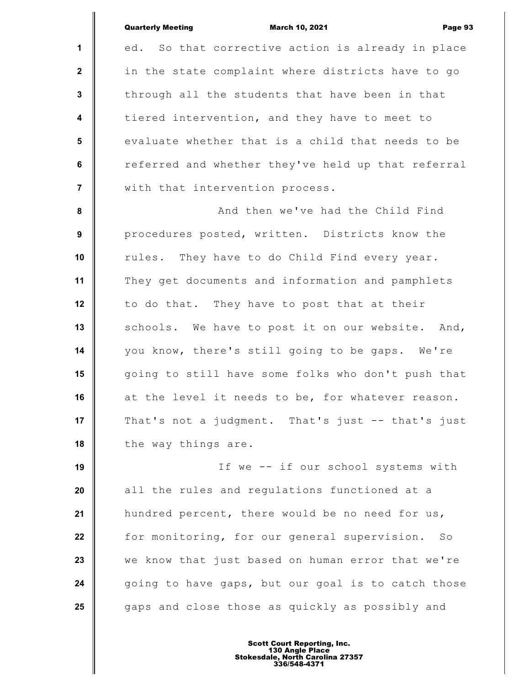|                         | <b>Quarterly Meeting</b><br><b>March 10, 2021</b><br>Page 93 |
|-------------------------|--------------------------------------------------------------|
| 1                       | So that corrective action is already in place<br>ed.         |
| $\mathbf{2}$            | in the state complaint where districts have to go            |
| $\mathbf 3$             | through all the students that have been in that              |
| $\overline{\mathbf{4}}$ | tiered intervention, and they have to meet to                |
| $5\phantom{.0}$         | evaluate whether that is a child that needs to be            |
| 6                       | referred and whether they've held up that referral           |
| $\overline{7}$          | with that intervention process.                              |
| $\pmb{8}$               | And then we've had the Child Find                            |
| 9                       | procedures posted, written. Districts know the               |
| 10                      | rules. They have to do Child Find every year.                |
| 11                      | They get documents and information and pamphlets             |
| 12                      | to do that. They have to post that at their                  |
| 13                      | schools. We have to post it on our website. And,             |
| 14                      | you know, there's still going to be gaps. We're              |
| 15                      | going to still have some folks who don't push that           |
| 16                      | at the level it needs to be, for whatever reason.            |
| 17                      | That's not a judgment. That's just -- that's just            |
| 18                      | the way things are.                                          |
| 19                      | If we -- if our school systems with                          |
| 20                      | all the rules and regulations functioned at a                |
| 21                      | hundred percent, there would be no need for us,              |
| 22                      | for monitoring, for our general supervision. So              |
| 23                      | we know that just based on human error that we're            |
| 24                      | going to have gaps, but our goal is to catch those           |
| 25                      | gaps and close those as quickly as possibly and              |
|                         |                                                              |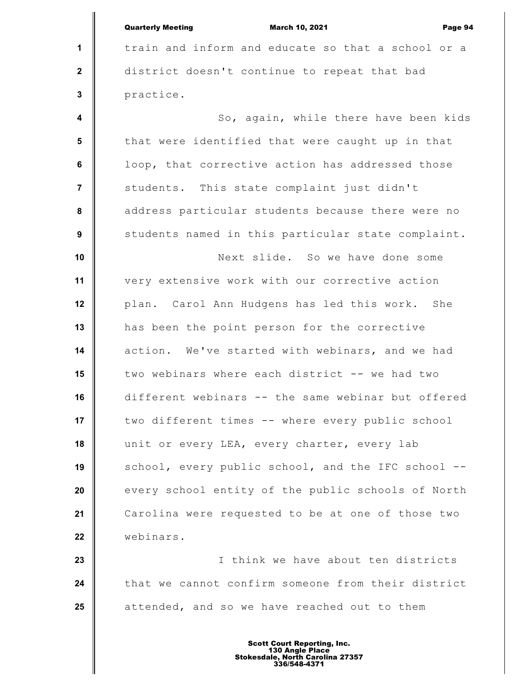|                         | <b>Quarterly Meeting</b><br><b>March 10, 2021</b><br>Page 94 |
|-------------------------|--------------------------------------------------------------|
| $\mathbf 1$             | train and inform and educate so that a school or a           |
| $\mathbf{2}$            | district doesn't continue to repeat that bad                 |
| $\mathbf{3}$            | practice.                                                    |
| $\overline{\mathbf{4}}$ | So, again, while there have been kids                        |
| $5\phantom{.0}$         | that were identified that were caught up in that             |
| 6                       | loop, that corrective action has addressed those             |
| $\overline{7}$          | students. This state complaint just didn't                   |
| 8                       | address particular students because there were no            |
| $\boldsymbol{9}$        | students named in this particular state complaint.           |
| 10                      | Next slide. So we have done some                             |
| 11                      | very extensive work with our corrective action               |
| 12                      | plan. Carol Ann Hudgens has led this work. She               |
| 13                      | has been the point person for the corrective                 |
| 14                      | action. We've started with webinars, and we had              |
| 15                      | two webinars where each district -- we had two               |
| 16                      | different webinars -- the same webinar but offered           |
| 17                      | two different times -- where every public school             |
| 18                      | unit or every LEA, every charter, every lab                  |
| 19                      | school, every public school, and the IFC school --           |
| 20                      | every school entity of the public schools of North           |
| 21                      | Carolina were requested to be at one of those two            |
| 22                      | webinars.                                                    |
| 23                      | I think we have about ten districts                          |
| 24                      | that we cannot confirm someone from their district           |
| 25                      | attended, and so we have reached out to them                 |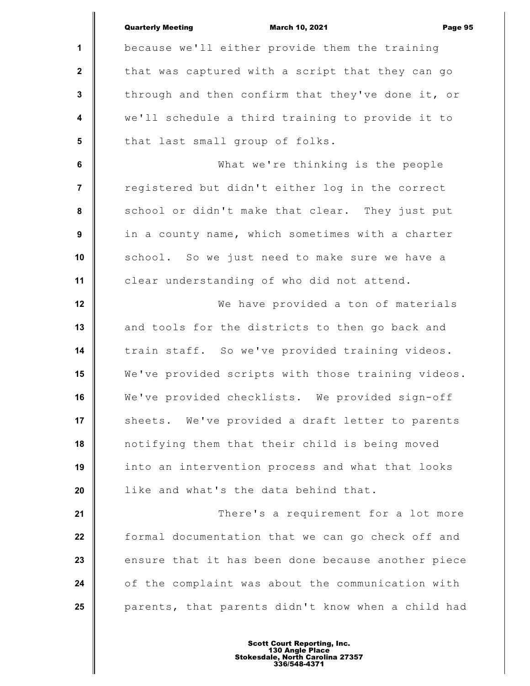|                         | <b>Quarterly Meeting</b><br><b>March 10, 2021</b><br>Page 95 |
|-------------------------|--------------------------------------------------------------|
| $\mathbf 1$             | because we'll either provide them the training               |
| $\mathbf{2}$            | that was captured with a script that they can go             |
| $\mathbf{3}$            | through and then confirm that they've done it, or            |
| $\overline{\mathbf{4}}$ | we'll schedule a third training to provide it to             |
| 5                       | that last small group of folks.                              |
| $\bf 6$                 | What we're thinking is the people                            |
| $\overline{7}$          | registered but didn't either log in the correct              |
| 8                       | school or didn't make that clear. They just put              |
| $\boldsymbol{9}$        | in a county name, which sometimes with a charter             |
| 10                      | school. So we just need to make sure we have a               |
| 11                      | clear understanding of who did not attend.                   |
| 12                      | We have provided a ton of materials                          |
| 13                      | and tools for the districts to then go back and              |
| 14                      | train staff. So we've provided training videos.              |
| 15                      | We've provided scripts with those training videos.           |
| 16                      | We've provided checklists. We provided sign-off              |
| 17                      | sheets. We've provided a draft letter to parents             |
| 18                      | notifying them that their child is being moved               |
| 19                      | into an intervention process and what that looks             |
| 20                      | like and what's the data behind that.                        |
| 21                      | There's a requirement for a lot more                         |
| 22                      | formal documentation that we can go check off and            |
| 23                      | ensure that it has been done because another piece           |
| 24                      | of the complaint was about the communication with            |
| 25                      | parents, that parents didn't know when a child had           |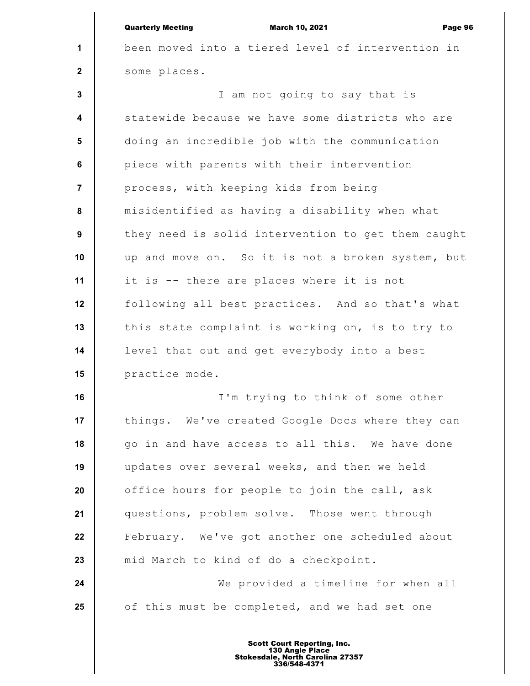|                         | <b>Quarterly Meeting</b><br><b>March 10, 2021</b><br>Page 96 |
|-------------------------|--------------------------------------------------------------|
| $\mathbf 1$             | been moved into a tiered level of intervention in            |
| $\mathbf{2}$            | some places.                                                 |
| $\mathbf{3}$            | I am not going to say that is                                |
| $\overline{\mathbf{4}}$ | statewide because we have some districts who are             |
| 5                       | doing an incredible job with the communication               |
| 6                       | piece with parents with their intervention                   |
| $\overline{7}$          | process, with keeping kids from being                        |
| 8                       | misidentified as having a disability when what               |
| 9                       | they need is solid intervention to get them caught           |
| 10                      | up and move on. So it is not a broken system, but            |
| 11                      | it is -- there are places where it is not                    |
| 12                      | following all best practices. And so that's what             |
| 13                      | this state complaint is working on, is to try to             |
| 14                      | level that out and get everybody into a best                 |
| 15                      | practice mode.                                               |
| 16                      | I'm trying to think of some other                            |
| 17                      | things. We've created Google Docs where they can             |
| 18                      | go in and have access to all this. We have done              |
| 19                      | updates over several weeks, and then we held                 |
| 20                      | office hours for people to join the call, ask                |
| 21                      | questions, problem solve. Those went through                 |
| 22                      | February. We've got another one scheduled about              |
| 23                      | mid March to kind of do a checkpoint.                        |
| 24                      | We provided a timeline for when all                          |
| 25                      | of this must be completed, and we had set one                |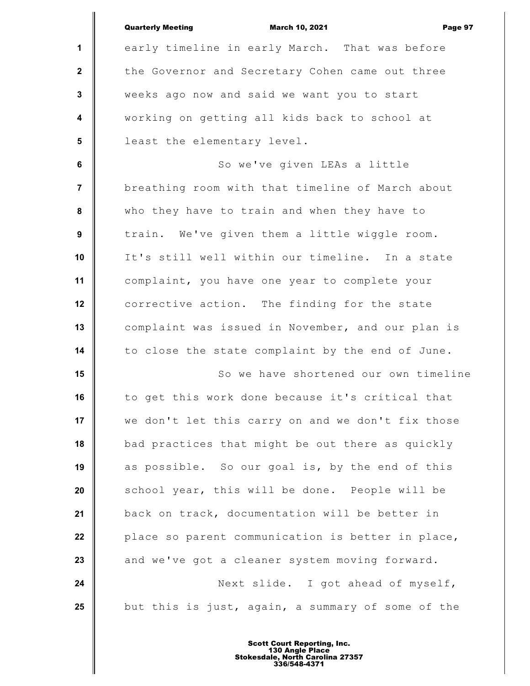|                         | <b>Quarterly Meeting</b><br><b>March 10, 2021</b><br>Page 97 |
|-------------------------|--------------------------------------------------------------|
| $\mathbf 1$             | early timeline in early March. That was before               |
| $\mathbf{2}$            | the Governor and Secretary Cohen came out three              |
| $\mathbf{3}$            | weeks ago now and said we want you to start                  |
| $\overline{\mathbf{4}}$ | working on getting all kids back to school at                |
| 5                       | least the elementary level.                                  |
| 6                       | So we've given LEAs a little                                 |
| $\overline{7}$          | breathing room with that timeline of March about             |
| 8                       | who they have to train and when they have to                 |
| 9                       | train. We've given them a little wiggle room.                |
| 10                      | It's still well within our timeline. In a state              |
| 11                      | complaint, you have one year to complete your                |
| 12                      | corrective action. The finding for the state                 |
| 13                      | complaint was issued in November, and our plan is            |
| 14                      | to close the state complaint by the end of June.             |
| 15                      | So we have shortened our own timeline                        |
| 16                      | to get this work done because it's critical that             |
| 17                      | we don't let this carry on and we don't fix those            |
| 18                      | bad practices that might be out there as quickly             |
| 19                      | as possible. So our goal is, by the end of this              |
| 20                      | school year, this will be done. People will be               |
| 21                      | back on track, documentation will be better in               |
| 22                      | place so parent communication is better in place,            |
| 23                      | and we've got a cleaner system moving forward.               |
| 24                      | Next slide. I got ahead of myself,                           |
| 25                      | but this is just, again, a summary of some of the            |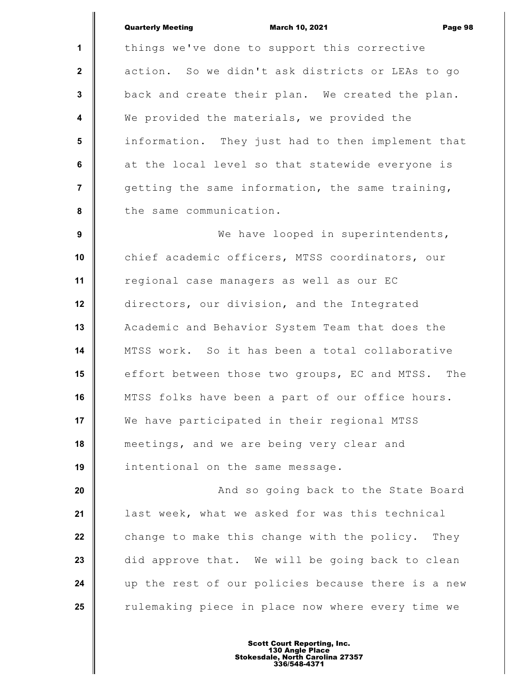Quarterly Meeting March 10, 2021 Page 98

**1 2 3 4 5 6 7 8 9** things we've done to support this corrective action. So we didn't ask districts or LEAs to go back and create their plan. We created the plan. We provided the materials, we provided the information. They just had to then implement that at the local level so that statewide everyone is getting the same information, the same training, the same communication. We have looped in superintendents,

**10 11 12 13 14 15 16 17 18 19** chief academic officers, MTSS coordinators, our regional case managers as well as our EC directors, our division, and the Integrated Academic and Behavior System Team that does the MTSS work. So it has been a total collaborative effort between those two groups, EC and MTSS. The MTSS folks have been a part of our office hours. We have participated in their regional MTSS meetings, and we are being very clear and intentional on the same message.

**20 21 22 23 24 25** And so going back to the State Board last week, what we asked for was this technical change to make this change with the policy. They did approve that. We will be going back to clean up the rest of our policies because there is a new rulemaking piece in place now where every time we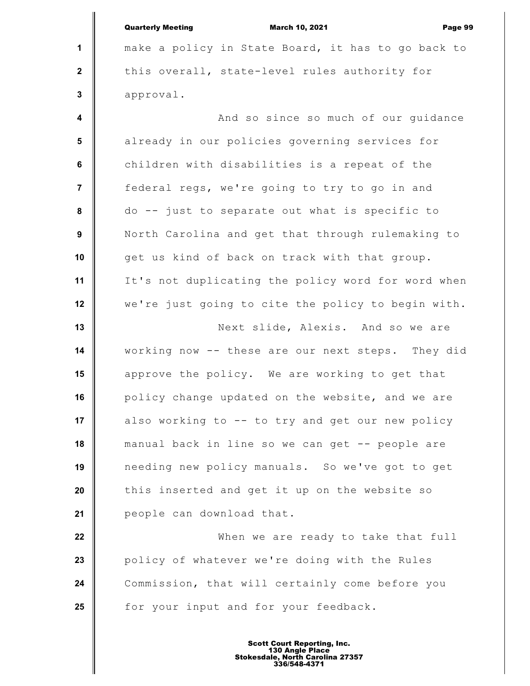**1 2 3 4 5 6 7 8 9 10 11 12 13 14 15 16 17 18 19 20 21 22 23 24 25** Quarterly Meeting March 10, 2021 Page 99 make a policy in State Board, it has to go back to this overall, state-level rules authority for approval. And so since so much of our guidance already in our policies governing services for children with disabilities is a repeat of the federal regs, we're going to try to go in and do -- just to separate out what is specific to North Carolina and get that through rulemaking to get us kind of back on track with that group. It's not duplicating the policy word for word when we're just going to cite the policy to begin with. Next slide, Alexis. And so we are working now -- these are our next steps. They did approve the policy. We are working to get that policy change updated on the website, and we are also working to  $-$  to try and get our new policy manual back in line so we can get -- people are needing new policy manuals. So we've got to get this inserted and get it up on the website so people can download that. When we are ready to take that full policy of whatever we're doing with the Rules Commission, that will certainly come before you for your input and for your feedback.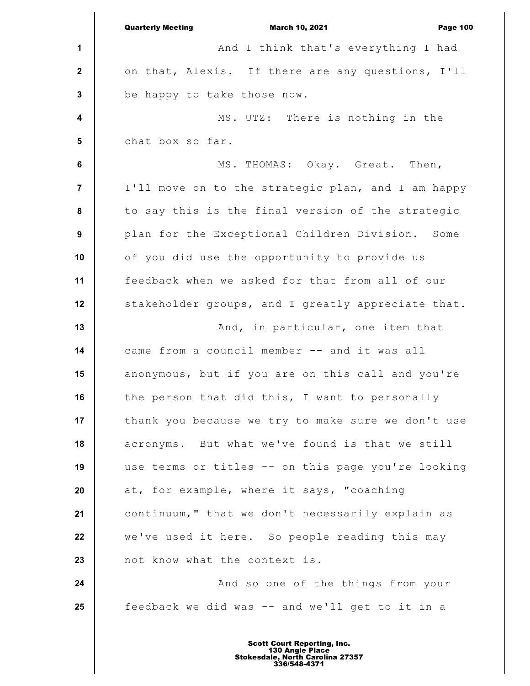|                         | <b>Quarterly Meeting</b><br>March 10, 2021<br><b>Page 100</b> |
|-------------------------|---------------------------------------------------------------|
| 1                       | And I think that's everything I had                           |
| $\mathbf{2}$            | on that, Alexis. If there are any questions, I'll             |
| $\mathbf{3}$            | be happy to take those now.                                   |
| $\overline{\mathbf{4}}$ | MS. UTZ: There is nothing in the                              |
| 5                       | chat box so far.                                              |
| $\bf 6$                 | MS. THOMAS: Okay. Great. Then,                                |
| $\overline{7}$          | I'll move on to the strategic plan, and I am happy            |
| 8                       | to say this is the final version of the strategic             |
| 9                       | plan for the Exceptional Children Division. Some              |
| 10                      | of you did use the opportunity to provide us                  |
| 11                      | feedback when we asked for that from all of our               |
| 12                      | stakeholder groups, and I greatly appreciate that.            |
| 13                      | And, in particular, one item that                             |
| 14                      | came from a council member -- and it was all                  |
| 15                      | anonymous, but if you are on this call and you're             |
| 16                      | the person that did this, I want to personally                |
| 17                      | thank you because we try to make sure we don't use            |
| 18                      | acronyms. But what we've found is that we still               |
| 19                      | use terms or titles -- on this page you're looking            |
| 20                      | at, for example, where it says, "coaching                     |
| 21                      | continuum," that we don't necessarily explain as              |
| 22                      | we've used it here. So people reading this may                |
| 23                      | not know what the context is.                                 |
| 24                      | And so one of the things from your                            |
| 25                      | feedback we did was -- and we'll get to it in a               |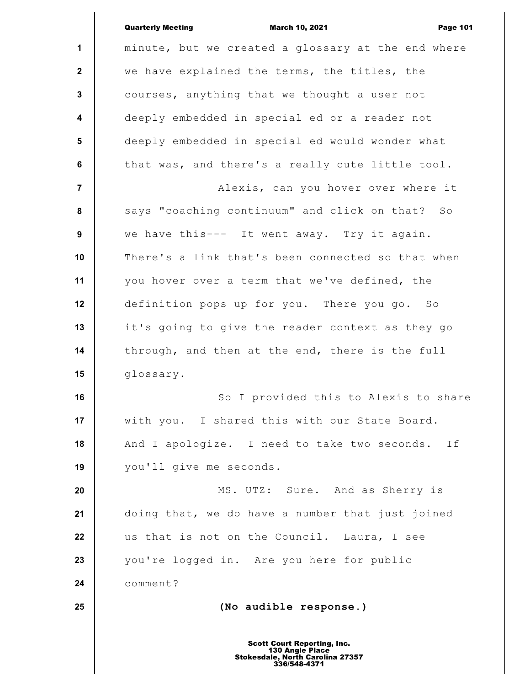|                 | <b>Quarterly Meeting</b><br><b>March 10, 2021</b><br><b>Page 101</b>                                      |
|-----------------|-----------------------------------------------------------------------------------------------------------|
| $\mathbf 1$     | minute, but we created a glossary at the end where                                                        |
| $\mathbf{2}$    | we have explained the terms, the titles, the                                                              |
| $\mathbf{3}$    | courses, anything that we thought a user not                                                              |
| 4               | deeply embedded in special ed or a reader not                                                             |
| $5\phantom{.0}$ | deeply embedded in special ed would wonder what                                                           |
| $\bf 6$         | that was, and there's a really cute little tool.                                                          |
| $\overline{7}$  | Alexis, can you hover over where it                                                                       |
| 8               | says "coaching continuum" and click on that? So                                                           |
| 9               | we have this--- It went away. Try it again.                                                               |
| 10              | There's a link that's been connected so that when                                                         |
| 11              | you hover over a term that we've defined, the                                                             |
| 12              | definition pops up for you. There you go. So                                                              |
| 13              | it's going to give the reader context as they go                                                          |
| 14              | through, and then at the end, there is the full                                                           |
| 15              | glossary.                                                                                                 |
| 16              | So I provided this to Alexis to share                                                                     |
| 17              | with you. I shared this with our State Board.                                                             |
| 18              | And I apologize. I need to take two seconds. If                                                           |
| 19              | you'll give me seconds.                                                                                   |
| 20              | MS. UTZ: Sure. And as Sherry is                                                                           |
| 21              | doing that, we do have a number that just joined                                                          |
| 22              | us that is not on the Council. Laura, I see                                                               |
| 23              | you're logged in. Are you here for public                                                                 |
| 24              | comment?                                                                                                  |
| 25              | (No audible response.)                                                                                    |
|                 | <b>Scott Court Reporting, Inc.</b><br>130 Angle Place<br>Stokesdale, North Carolina 27357<br>336/548-4371 |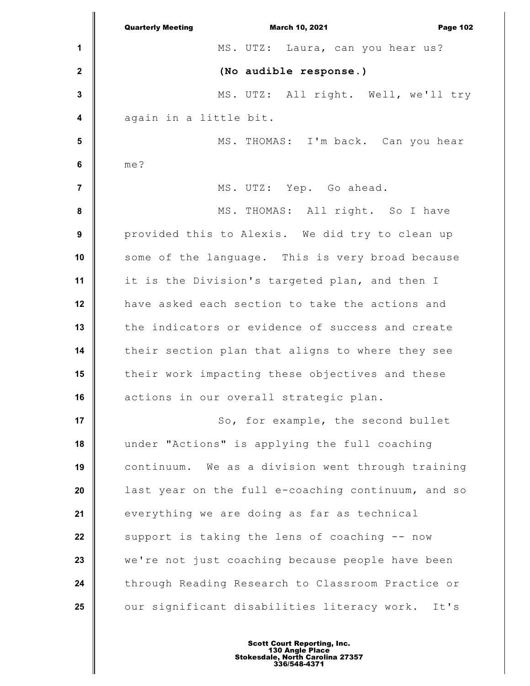**1 2 3 4 5 6 7 8 9 10 11 12 13 14 15 16 17 18 19 20 21 22 23 24 25** Quarterly Meeting March 10, 2021 Page 102 MS. UTZ: Laura, can you hear us? **(No audible response.)** MS. UTZ: All right. Well, we'll try again in a little bit. MS. THOMAS: I'm back. Can you hear me? MS. UTZ: Yep. Go ahead. MS. THOMAS: All right. So I have provided this to Alexis. We did try to clean up some of the language. This is very broad because it is the Division's targeted plan, and then I have asked each section to take the actions and the indicators or evidence of success and create their section plan that aligns to where they see their work impacting these objectives and these actions in our overall strategic plan. So, for example, the second bullet under "Actions" is applying the full coaching continuum. We as a division went through training last year on the full e-coaching continuum, and so everything we are doing as far as technical support is taking the lens of coaching -- now we're not just coaching because people have been through Reading Research to Classroom Practice or our significant disabilities literacy work. It's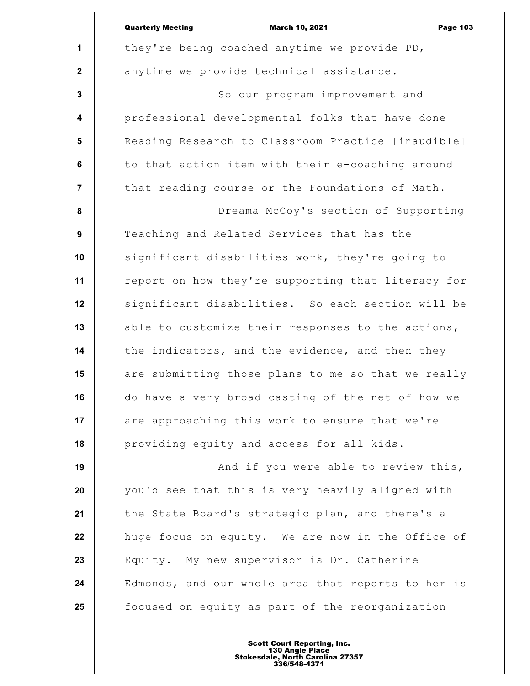|                         | <b>Quarterly Meeting</b><br><b>March 10, 2021</b><br><b>Page 103</b> |
|-------------------------|----------------------------------------------------------------------|
| $\mathbf{1}$            | they're being coached anytime we provide PD,                         |
| $\mathbf{2}$            | anytime we provide technical assistance.                             |
| 3                       | So our program improvement and                                       |
| $\overline{\mathbf{4}}$ | professional developmental folks that have done                      |
| $5\phantom{.0}$         | Reading Research to Classroom Practice [inaudible]                   |
| 6                       | to that action item with their e-coaching around                     |
| $\overline{7}$          | that reading course or the Foundations of Math.                      |
| 8                       | Dreama McCoy's section of Supporting                                 |
| 9                       | Teaching and Related Services that has the                           |
| 10                      | significant disabilities work, they're going to                      |
| 11                      | report on how they're supporting that literacy for                   |
| 12                      | significant disabilities. So each section will be                    |
| 13                      | able to customize their responses to the actions,                    |
| 14                      | the indicators, and the evidence, and then they                      |
| 15                      | are submitting those plans to me so that we really                   |
| 16                      | do have a very broad casting of the net of how we                    |
| 17                      | are approaching this work to ensure that we're                       |
| 18                      | providing equity and access for all kids.                            |
| 19                      | And if you were able to review this,                                 |
| 20                      | you'd see that this is very heavily aligned with                     |
| 21                      | the State Board's strategic plan, and there's a                      |
| 22                      | huge focus on equity. We are now in the Office of                    |
| 23                      | Equity. My new supervisor is Dr. Catherine                           |
| 24                      | Edmonds, and our whole area that reports to her is                   |
| 25                      | focused on equity as part of the reorganization                      |
|                         |                                                                      |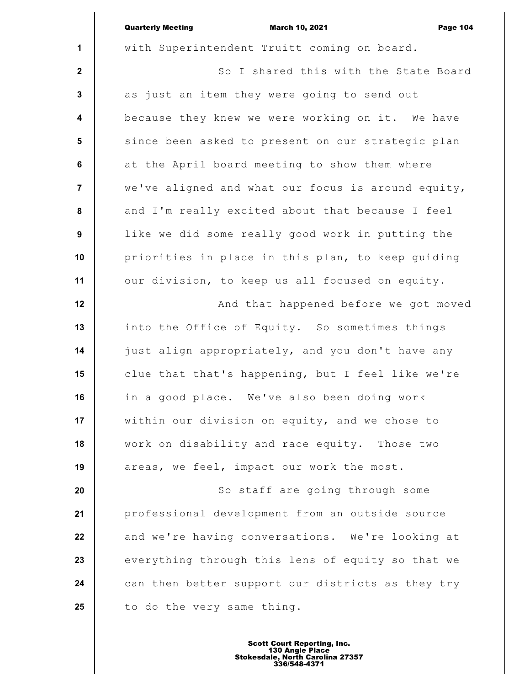|                         | <b>Quarterly Meeting</b><br><b>March 10, 2021</b><br><b>Page 104</b> |
|-------------------------|----------------------------------------------------------------------|
| $\mathbf{1}$            | with Superintendent Truitt coming on board.                          |
| $\mathbf{2}$            | So I shared this with the State Board                                |
| $\mathbf{3}$            | as just an item they were going to send out                          |
| $\overline{\mathbf{4}}$ | because they knew we were working on it. We have                     |
| $5\phantom{.0}$         | since been asked to present on our strategic plan                    |
| $\bf 6$                 | at the April board meeting to show them where                        |
| $\overline{7}$          | we've aligned and what our focus is around equity,                   |
| 8                       | and I'm really excited about that because I feel                     |
| $\boldsymbol{9}$        | like we did some really good work in putting the                     |
| 10                      | priorities in place in this plan, to keep guiding                    |
| 11                      | our division, to keep us all focused on equity.                      |
| 12                      | And that happened before we got moved                                |
| 13                      | into the Office of Equity. So sometimes things                       |
| 14                      | just align appropriately, and you don't have any                     |
| 15                      | clue that that's happening, but I feel like we're                    |
| 16                      | in a good place. We've also been doing work                          |
| 17                      | within our division on equity, and we chose to                       |
| 18                      | work on disability and race equity. Those two                        |
| 19                      | areas, we feel, impact our work the most.                            |
| 20                      | So staff are going through some                                      |
| 21                      | professional development from an outside source                      |
| 22                      | and we're having conversations. We're looking at                     |
| 23                      | everything through this lens of equity so that we                    |
| 24                      | can then better support our districts as they try                    |
| 25                      | to do the very same thing.                                           |
|                         |                                                                      |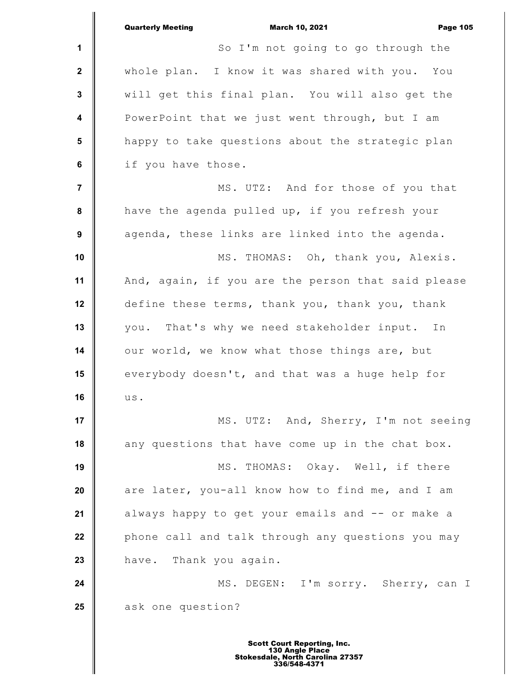**1 2 3 4 5 6 7 8 9 10 11 12 13 14 15 16 17 18 19 20 21 22 23 24 25** Quarterly Meeting March 10, 2021 Page 105 So I'm not going to go through the whole plan. I know it was shared with you. You will get this final plan. You will also get the PowerPoint that we just went through, but I am happy to take questions about the strategic plan if you have those. MS. UTZ: And for those of you that have the agenda pulled up, if you refresh your agenda, these links are linked into the agenda. MS. THOMAS: Oh, thank you, Alexis. And, again, if you are the person that said please define these terms, thank you, thank you, thank you. That's why we need stakeholder input. In our world, we know what those things are, but everybody doesn't, and that was a huge help for us. MS. UTZ: And, Sherry, I'm not seeing any questions that have come up in the chat box. MS. THOMAS: Okay. Well, if there are later, you-all know how to find me, and I am always happy to get your emails and -- or make a phone call and talk through any questions you may have. Thank you again. MS. DEGEN: I'm sorry. Sherry, can I ask one question?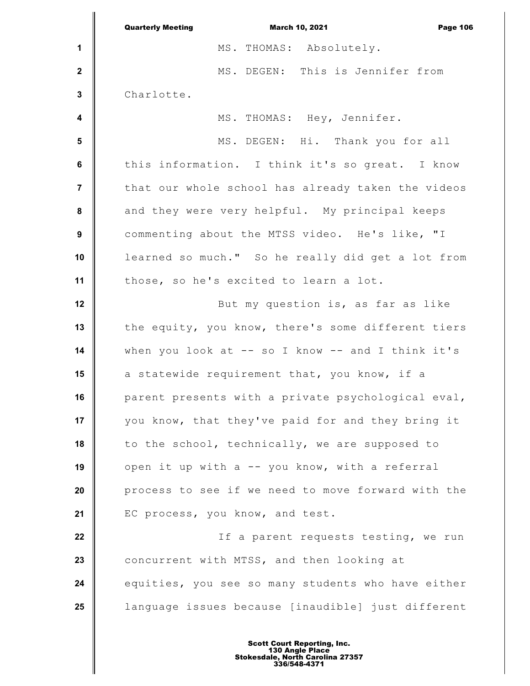**1 2 3 4 5 6 7 8 9 10 11 12 13 14 15 16 17 18 19 20 21 22 23 24 25** Quarterly Meeting March 10, 2021 Page 106 MS. THOMAS: Absolutely. MS. DEGEN: This is Jennifer from Charlotte. MS. THOMAS: Hey, Jennifer. MS. DEGEN: Hi. Thank you for all this information. I think it's so great. I know that our whole school has already taken the videos and they were very helpful. My principal keeps commenting about the MTSS video. He's like, "I learned so much." So he really did get a lot from those, so he's excited to learn a lot. But my question is, as far as like the equity, you know, there's some different tiers when you look at  $--$  so I know  $--$  and I think it's a statewide requirement that, you know, if a parent presents with a private psychological eval, you know, that they've paid for and they bring it to the school, technically, we are supposed to open it up with a -- you know, with a referral process to see if we need to move forward with the EC process, you know, and test. If a parent requests testing, we run concurrent with MTSS, and then looking at equities, you see so many students who have either language issues because [inaudible] just different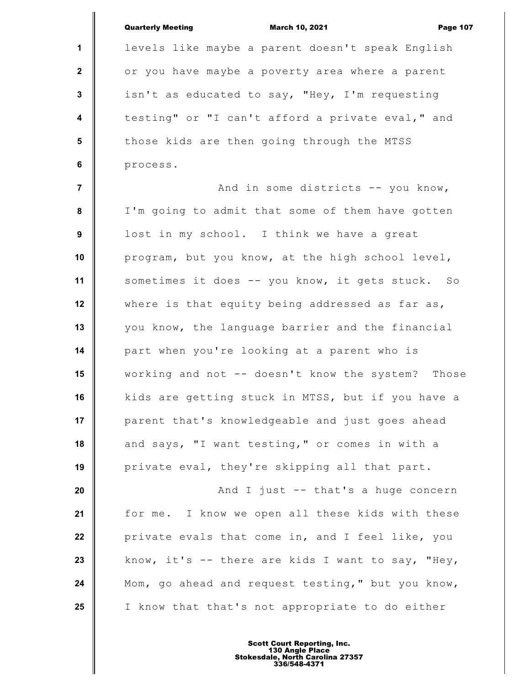|                  | <b>Quarterly Meeting</b><br><b>March 10, 2021</b><br><b>Page 107</b> |
|------------------|----------------------------------------------------------------------|
| 1                | levels like maybe a parent doesn't speak English                     |
| $\mathbf{2}$     | or you have maybe a poverty area where a parent                      |
| $\mathbf{3}$     | isn't as educated to say, "Hey, I'm requesting                       |
| $\boldsymbol{4}$ | testing" or "I can't afford a private eval," and                     |
| 5                | those kids are then going through the MTSS                           |
| 6                | process.                                                             |
| $\overline{7}$   | And in some districts -- you know,                                   |
| 8                | I'm going to admit that some of them have gotten                     |
| 9                | lost in my school. I think we have a great                           |
| 10               | program, but you know, at the high school level,                     |
| 11               | sometimes it does -- you know, it gets stuck. So                     |
| 12               | where is that equity being addressed as far as,                      |
| 13               | you know, the language barrier and the financial                     |
| 14               | part when you're looking at a parent who is                          |
| 15               | working and not -- doesn't know the system? Those                    |
| 16               | kids are getting stuck in MTSS, but if you have a                    |
| 17               | parent that's knowledgeable and just goes ahead                      |
| 18               | and says, "I want testing," or comes in with a                       |
| 19               | private eval, they're skipping all that part.                        |
| 20               | And I just -- that's a huge concern                                  |
| 21               | for me. I know we open all these kids with these                     |
| 22               | private evals that come in, and I feel like, you                     |
| 23               | know, it's -- there are kids I want to say, "Hey,                    |
| 24               | Mom, go ahead and request testing," but you know,                    |
| 25               | I know that that's not appropriate to do either                      |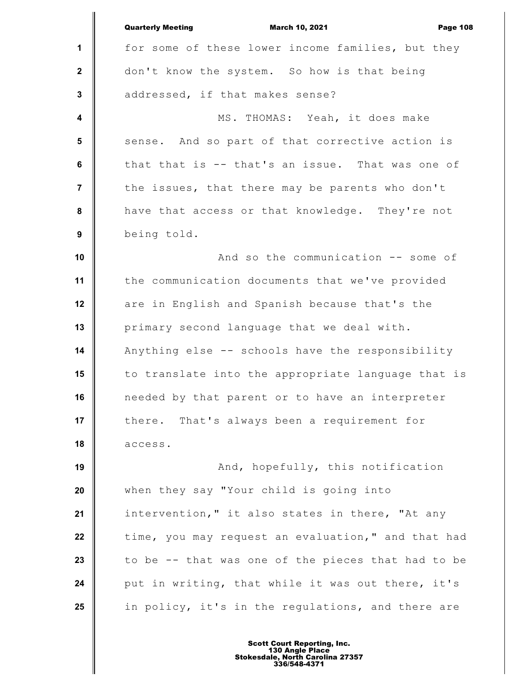|                         | <b>Quarterly Meeting</b><br><b>March 10, 2021</b><br><b>Page 108</b> |
|-------------------------|----------------------------------------------------------------------|
| $\mathbf 1$             | for some of these lower income families, but they                    |
| $\mathbf{2}$            | don't know the system. So how is that being                          |
| $\mathbf{3}$            | addressed, if that makes sense?                                      |
| $\overline{\mathbf{4}}$ | MS. THOMAS: Yeah, it does make                                       |
| 5                       | sense. And so part of that corrective action is                      |
| $\bf 6$                 | that that is -- that's an issue. That was one of                     |
| $\overline{7}$          | the issues, that there may be parents who don't                      |
| 8                       | have that access or that knowledge. They're not                      |
| 9                       | being told.                                                          |
| 10                      | And so the communication -- some of                                  |
| 11                      | the communication documents that we've provided                      |
| 12                      | are in English and Spanish because that's the                        |
| 13                      | primary second language that we deal with.                           |
| 14                      | Anything else -- schools have the responsibility                     |
| 15                      | to translate into the appropriate language that is                   |
| 16                      | needed by that parent or to have an interpreter                      |
| 17                      | That's always been a requirement for<br>there.                       |
| 18                      | access.                                                              |
| 19                      | And, hopefully, this notification                                    |
| 20                      | when they say "Your child is going into                              |
| 21                      | intervention," it also states in there, "At any                      |
| 22                      | time, you may request an evaluation," and that had                   |
| 23                      | to be -- that was one of the pieces that had to be                   |
| 24                      | put in writing, that while it was out there, it's                    |
| 25                      | in policy, it's in the regulations, and there are                    |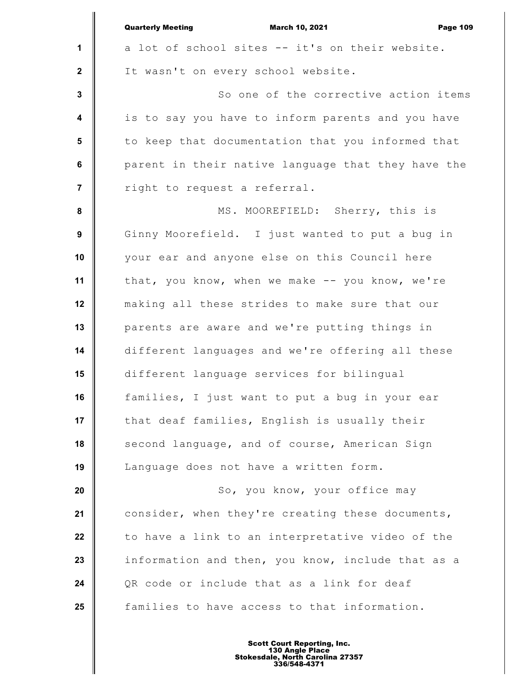|                  | <b>Quarterly Meeting</b><br><b>March 10, 2021</b><br><b>Page 109</b> |
|------------------|----------------------------------------------------------------------|
| $\mathbf{1}$     | a lot of school sites -- it's on their website.                      |
| $\mathbf{2}$     | It wasn't on every school website.                                   |
| $\mathbf{3}$     | So one of the corrective action items                                |
| $\boldsymbol{4}$ | is to say you have to inform parents and you have                    |
| 5                | to keep that documentation that you informed that                    |
| 6                | parent in their native language that they have the                   |
| $\overline{7}$   | right to request a referral.                                         |
| 8                | MS. MOOREFIELD: Sherry, this is                                      |
| 9                | Ginny Moorefield. I just wanted to put a bug in                      |
| 10               | your ear and anyone else on this Council here                        |
| 11               | that, you know, when we make -- you know, we're                      |
| 12               | making all these strides to make sure that our                       |
| 13               | parents are aware and we're putting things in                        |
| 14               | different languages and we're offering all these                     |
| 15               | different language services for bilingual                            |
| 16               | families, I just want to put a bug in your ear                       |
| 17               | that deaf families, English is usually their                         |
| 18               | second language, and of course, American Sign                        |
| 19               | Language does not have a written form.                               |
| 20               | So, you know, your office may                                        |
| 21               | consider, when they're creating these documents,                     |
| 22               | to have a link to an interpretative video of the                     |
| 23               | information and then, you know, include that as a                    |
| 24               | QR code or include that as a link for deaf                           |
| 25               | families to have access to that information.                         |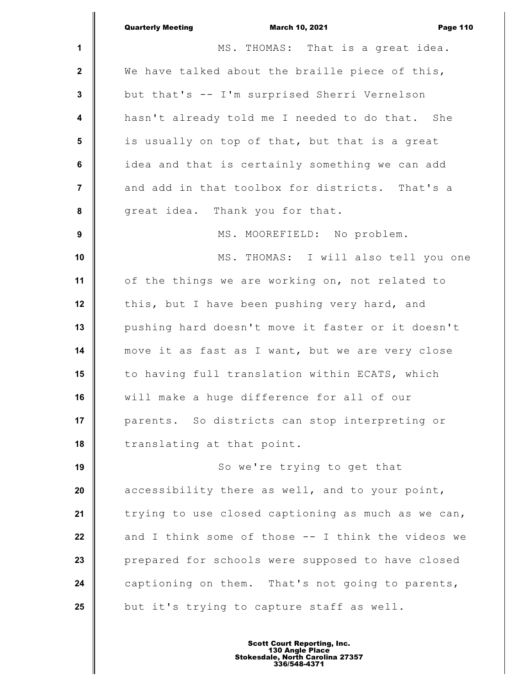|                         | <b>Quarterly Meeting</b><br><b>March 10, 2021</b><br><b>Page 110</b> |
|-------------------------|----------------------------------------------------------------------|
| 1                       | MS. THOMAS: That is a great idea.                                    |
| $\mathbf{2}$            | We have talked about the braille piece of this,                      |
| $\mathbf{3}$            | but that's -- I'm surprised Sherri Vernelson                         |
| $\overline{\mathbf{4}}$ | hasn't already told me I needed to do that. She                      |
| 5                       | is usually on top of that, but that is a great                       |
| 6                       | idea and that is certainly something we can add                      |
| $\overline{7}$          | and add in that toolbox for districts. That's a                      |
| 8                       | great idea. Thank you for that.                                      |
| $\boldsymbol{9}$        | MS. MOOREFIELD: No problem.                                          |
| 10                      | MS. THOMAS: I will also tell you one                                 |
| 11                      | of the things we are working on, not related to                      |
| 12                      | this, but I have been pushing very hard, and                         |
| 13                      | pushing hard doesn't move it faster or it doesn't                    |
| 14                      | move it as fast as I want, but we are very close                     |
| 15                      | to having full translation within ECATS, which                       |
| 16                      | will make a huge difference for all of our                           |
| 17                      | parents. So districts can stop interpreting or                       |
| 18                      | translating at that point.                                           |
| 19                      | So we're trying to get that                                          |
| 20                      | accessibility there as well, and to your point,                      |
| 21                      | trying to use closed captioning as much as we can,                   |
| 22                      | and I think some of those -- I think the videos we                   |
| 23                      | prepared for schools were supposed to have closed                    |
| 24                      | captioning on them. That's not going to parents,                     |
| 25                      | but it's trying to capture staff as well.                            |
|                         |                                                                      |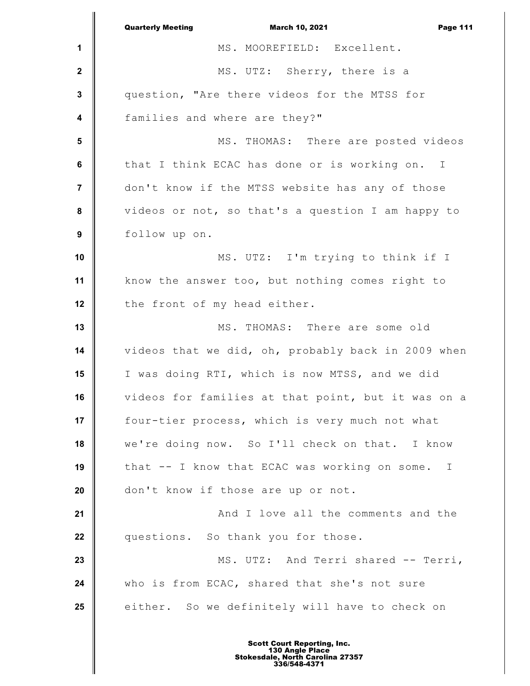|                | <b>Quarterly Meeting</b><br><b>March 10, 2021</b><br><b>Page 111</b> |
|----------------|----------------------------------------------------------------------|
| 1              | MS. MOOREFIELD: Excellent.                                           |
| $\mathbf{2}$   | MS. UTZ: Sherry, there is a                                          |
| $\mathbf{3}$   | question, "Are there videos for the MTSS for                         |
| 4              | families and where are they?"                                        |
| 5              | MS. THOMAS: There are posted videos                                  |
| 6              | that I think ECAC has done or is working on. I                       |
| $\overline{7}$ | don't know if the MTSS website has any of those                      |
| 8              | videos or not, so that's a question I am happy to                    |
| 9              | follow up on.                                                        |
| 10             | MS. UTZ: I'm trying to think if I                                    |
| 11             | know the answer too, but nothing comes right to                      |
| 12             | the front of my head either.                                         |
| 13             | MS. THOMAS: There are some old                                       |
| 14             | videos that we did, oh, probably back in 2009 when                   |
| 15             | I was doing RTI, which is now MTSS, and we did                       |
| 16             | videos for families at that point, but it was on a                   |
| 17             | four-tier process, which is very much not what                       |
| 18             | we're doing now. So I'll check on that. I know                       |
| 19             | that -- I know that ECAC was working on some.<br>$\mathbf I$         |
| 20             | don't know if those are up or not.                                   |
| 21             | And I love all the comments and the                                  |
| 22             | questions. So thank you for those.                                   |
| 23             | MS. UTZ: And Terri shared -- Terri,                                  |
| 24             | who is from ECAC, shared that she's not sure                         |
| 25             | either. So we definitely will have to check on                       |
|                |                                                                      |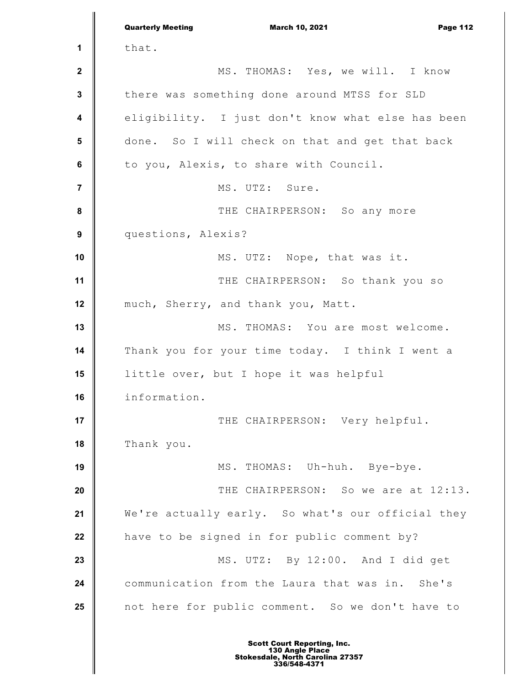**1 2 3 4 5 6 7 8 9 10 11 12 13 14 15 16 17 18 19 20 21 22 23 24 25** Quarterly Meeting March 10, 2021 Page 112 that. MS. THOMAS: Yes, we will. I know there was something done around MTSS for SLD eligibility. I just don't know what else has been done. So I will check on that and get that back to you, Alexis, to share with Council. MS. UTZ: Sure. THE CHAIRPERSON: So any more questions, Alexis? MS. UTZ: Nope, that was it. THE CHAIRPERSON: So thank you so much, Sherry, and thank you, Matt. MS. THOMAS: You are most welcome. Thank you for your time today. I think I went a little over, but I hope it was helpful information. THE CHAIRPERSON: Very helpful. Thank you. MS. THOMAS: Uh-huh. Bye-bye. THE CHAIRPERSON: So we are at 12:13. We're actually early. So what's our official they have to be signed in for public comment by? MS. UTZ: By 12:00. And I did get communication from the Laura that was in. She's not here for public comment. So we don't have to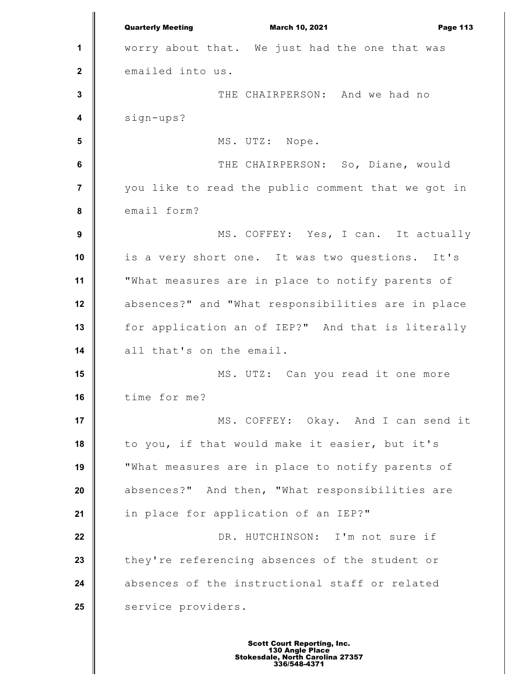**1 2 3 4 5 6 7 8 9 10 11 12 13 14 15 16 17 18 19 20 21 22 23 24 25** Quarterly Meeting March 10, 2021 Page 113 worry about that. We just had the one that was emailed into us. THE CHAIRPERSON: And we had no sign-ups? MS. UTZ: Nope. THE CHAIRPERSON: So, Diane, would you like to read the public comment that we got in email form? MS. COFFEY: Yes, I can. It actually is a very short one. It was two questions. It's "What measures are in place to notify parents of absences?" and "What responsibilities are in place for application an of IEP?" And that is literally all that's on the email. MS. UTZ: Can you read it one more time for me? MS. COFFEY: Okay. And I can send it to you, if that would make it easier, but it's "What measures are in place to notify parents of absences?" And then, "What responsibilities are in place for application of an IEP?" DR. HUTCHINSON: I'm not sure if they're referencing absences of the student or absences of the instructional staff or related service providers.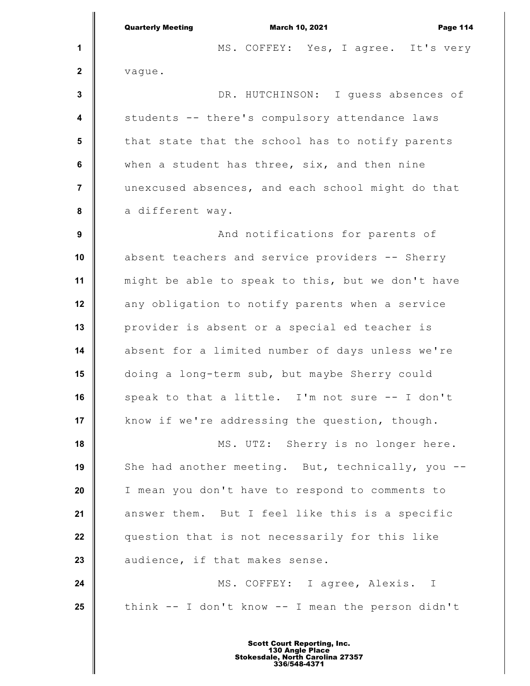|                         | <b>Quarterly Meeting</b><br><b>March 10, 2021</b><br><b>Page 114</b> |
|-------------------------|----------------------------------------------------------------------|
| 1                       | MS. COFFEY: Yes, I agree. It's very                                  |
| $\mathbf{2}$            | vague.                                                               |
| $\mathbf 3$             | DR. HUTCHINSON: I quess absences of                                  |
| $\overline{\mathbf{4}}$ | students -- there's compulsory attendance laws                       |
| $5\phantom{.0}$         | that state that the school has to notify parents                     |
| $\bf 6$                 | when a student has three, six, and then nine                         |
| $\overline{7}$          | unexcused absences, and each school might do that                    |
| 8                       | a different way.                                                     |
| $\boldsymbol{9}$        | And notifications for parents of                                     |
| 10                      | absent teachers and service providers -- Sherry                      |
| 11                      | might be able to speak to this, but we don't have                    |
| 12                      | any obligation to notify parents when a service                      |
| 13                      | provider is absent or a special ed teacher is                        |
| 14                      | absent for a limited number of days unless we're                     |
| 15                      | doing a long-term sub, but maybe Sherry could                        |
| 16                      | speak to that a little. I'm not sure -- I don't                      |
| 17                      | know if we're addressing the question, though.                       |
| 18                      | MS. UTZ: Sherry is no longer here.                                   |
| 19                      | She had another meeting. But, technically, you --                    |
| 20                      | I mean you don't have to respond to comments to                      |
| 21                      | answer them. But I feel like this is a specific                      |
| 22                      | question that is not necessarily for this like                       |
| 23                      | audience, if that makes sense.                                       |
| 24                      | MS. COFFEY: I agree, Alexis. I                                       |
| 25                      | think -- I don't know -- I mean the person didn't                    |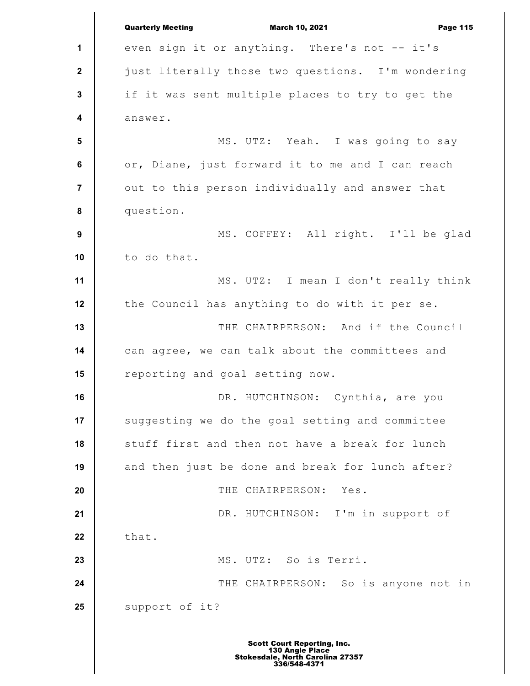**1 2 3 4 5 6 7 8 9 10 11 12 13 14 15 16 17 18 19 20 21 22 23 24 25** Quarterly Meeting March 10, 2021 Page 115 even sign it or anything. There's not -- it's just literally those two questions. I'm wondering if it was sent multiple places to try to get the answer. MS. UTZ: Yeah. I was going to say or, Diane, just forward it to me and I can reach out to this person individually and answer that question. MS. COFFEY: All right. I'll be glad to do that. MS. UTZ: I mean I don't really think the Council has anything to do with it per se. THE CHAIRPERSON: And if the Council can agree, we can talk about the committees and reporting and goal setting now. DR. HUTCHINSON: Cynthia, are you suggesting we do the goal setting and committee stuff first and then not have a break for lunch and then just be done and break for lunch after? THE CHAIRPERSON: Yes. DR. HUTCHINSON: I'm in support of that. MS. UTZ: So is Terri. THE CHAIRPERSON: So is anyone not in support of it?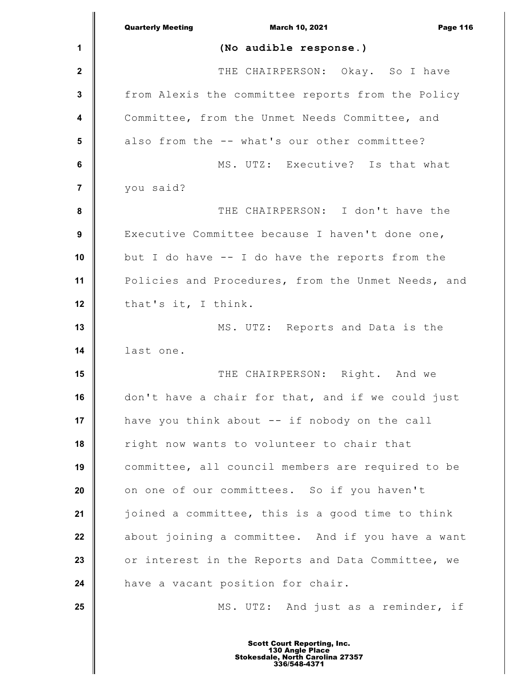|                 | <b>Quarterly Meeting</b><br><b>March 10, 2021</b><br><b>Page 116</b> |
|-----------------|----------------------------------------------------------------------|
| 1               | (No audible response.)                                               |
| $\mathbf{2}$    | THE CHAIRPERSON: Okay. So I have                                     |
| 3               | from Alexis the committee reports from the Policy                    |
| 4               | Committee, from the Unmet Needs Committee, and                       |
| $5\phantom{.0}$ | also from the -- what's our other committee?                         |
| 6               | MS. UTZ: Executive? Is that what                                     |
| $\overline{7}$  | you said?                                                            |
| 8               | THE CHAIRPERSON: I don't have the                                    |
| 9               | Executive Committee because I haven't done one,                      |
| 10              | but I do have $-$ I do have the reports from the                     |
| 11              | Policies and Procedures, from the Unmet Needs, and                   |
| 12              | that's it, I think.                                                  |
| 13              | MS. UTZ: Reports and Data is the                                     |
| 14              | last one.                                                            |
| 15              | THE CHAIRPERSON: Right. And we                                       |
| 16              | don't have a chair for that, and if we could just                    |
| 17              | have you think about -- if nobody on the call                        |
| 18              | right now wants to volunteer to chair that                           |
| 19              | committee, all council members are required to be                    |
| 20              | on one of our committees. So if you haven't                          |
| 21              | joined a committee, this is a good time to think                     |
| 22              | about joining a committee. And if you have a want                    |
| 23              | or interest in the Reports and Data Committee, we                    |
| 24              | have a vacant position for chair.                                    |
| 25              | MS. UTZ: And just as a reminder, if                                  |
|                 |                                                                      |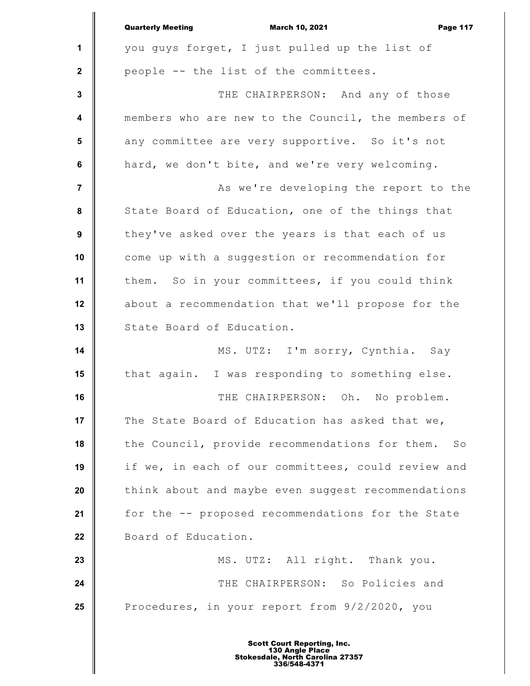|                         | <b>Quarterly Meeting</b><br><b>March 10, 2021</b><br><b>Page 117</b> |
|-------------------------|----------------------------------------------------------------------|
| 1                       | you guys forget, I just pulled up the list of                        |
| $\mathbf 2$             | people -- the list of the committees.                                |
| $\mathbf{3}$            | THE CHAIRPERSON: And any of those                                    |
| $\overline{\mathbf{4}}$ | members who are new to the Council, the members of                   |
| 5                       | any committee are very supportive. So it's not                       |
| $\bf 6$                 | hard, we don't bite, and we're very welcoming.                       |
| $\overline{7}$          | As we're developing the report to the                                |
| $\pmb{8}$               | State Board of Education, one of the things that                     |
| $\boldsymbol{9}$        | they've asked over the years is that each of us                      |
| 10                      | come up with a suggestion or recommendation for                      |
| 11                      | them. So in your committees, if you could think                      |
| 12                      | about a recommendation that we'll propose for the                    |
| 13                      | State Board of Education.                                            |
| 14                      | MS. UTZ: I'm sorry, Cynthia. Say                                     |
| 15                      | that again. I was responding to something else.                      |
| 16                      | THE CHAIRPERSON: Oh. No problem.                                     |
| 17                      | The State Board of Education has asked that we,                      |
| 18                      | the Council, provide recommendations for them.<br>SO                 |
| 19                      | if we, in each of our committees, could review and                   |
| 20                      | think about and maybe even suggest recommendations                   |
| 21                      | for the -- proposed recommendations for the State                    |
| 22                      | Board of Education.                                                  |
| 23                      | MS. UTZ: All right. Thank you.                                       |
| 24                      | THE CHAIRPERSON: So Policies and                                     |
| 25                      | Procedures, in your report from 9/2/2020, you                        |
|                         |                                                                      |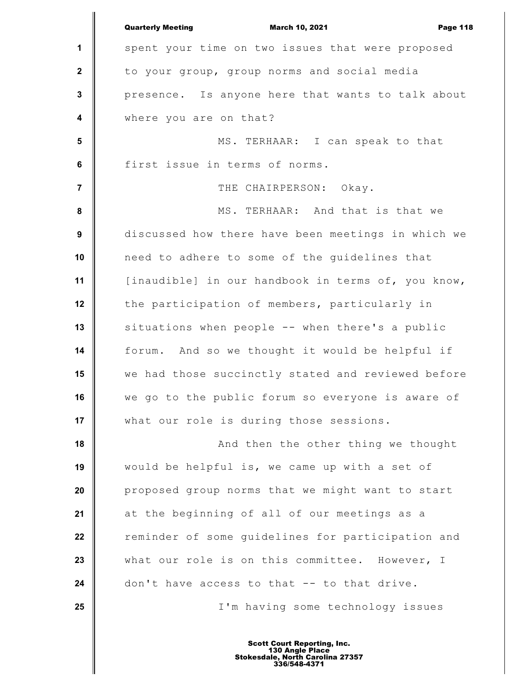|                         | <b>Quarterly Meeting</b><br><b>March 10, 2021</b><br><b>Page 118</b> |
|-------------------------|----------------------------------------------------------------------|
| 1                       | spent your time on two issues that were proposed                     |
| $\mathbf 2$             | to your group, group norms and social media                          |
| $\mathbf{3}$            | presence. Is anyone here that wants to talk about                    |
| $\overline{\mathbf{4}}$ | where you are on that?                                               |
| $5\phantom{1}$          | MS. TERHAAR: I can speak to that                                     |
| $\bf 6$                 | first issue in terms of norms.                                       |
| $\overline{7}$          | THE CHAIRPERSON: Okay.                                               |
| 8                       | MS. TERHAAR: And that is that we                                     |
| $\boldsymbol{9}$        | discussed how there have been meetings in which we                   |
| 10                      | need to adhere to some of the guidelines that                        |
| 11                      | [inaudible] in our handbook in terms of, you know,                   |
| 12                      | the participation of members, particularly in                        |
| 13                      | situations when people -- when there's a public                      |
| 14                      | forum. And so we thought it would be helpful if                      |
| 15                      | we had those succinctly stated and reviewed before                   |
| 16                      | we go to the public forum so everyone is aware of                    |
| 17                      | what our role is during those sessions.                              |
| 18                      | And then the other thing we thought                                  |
| 19                      | would be helpful is, we came up with a set of                        |
| 20                      | proposed group norms that we might want to start                     |
| 21                      | at the beginning of all of our meetings as a                         |
| 22                      | reminder of some guidelines for participation and                    |
| 23                      | what our role is on this committee. However, I                       |
| 24                      | don't have access to that -- to that drive.                          |
| 25                      | I'm having some technology issues                                    |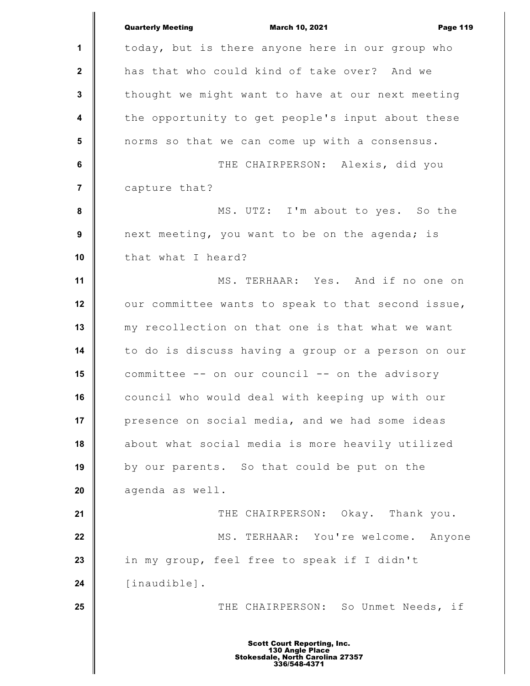|                  | <b>Quarterly Meeting</b><br><b>March 10, 2021</b><br><b>Page 119</b> |
|------------------|----------------------------------------------------------------------|
| 1                | today, but is there anyone here in our group who                     |
| $\mathbf{2}$     | has that who could kind of take over? And we                         |
| $\mathbf{3}$     | thought we might want to have at our next meeting                    |
| 4                | the opportunity to get people's input about these                    |
| $5\phantom{.0}$  | norms so that we can come up with a consensus.                       |
| $\bf 6$          | THE CHAIRPERSON: Alexis, did you                                     |
| $\overline{7}$   | capture that?                                                        |
| $\pmb{8}$        | MS. UTZ: I'm about to yes. So the                                    |
| $\boldsymbol{9}$ | next meeting, you want to be on the agenda; is                       |
| 10               | that what I heard?                                                   |
| 11               | MS. TERHAAR: Yes. And if no one on                                   |
| 12               | our committee wants to speak to that second issue,                   |
| 13               | my recollection on that one is that what we want                     |
| 14               | to do is discuss having a group or a person on our                   |
| 15               | committee -- on our council -- on the advisory                       |
| 16               | council who would deal with keeping up with our                      |
| 17               | presence on social media, and we had some ideas                      |
| 18               | about what social media is more heavily utilized                     |
| 19               | by our parents. So that could be put on the                          |
| 20               | agenda as well.                                                      |
| 21               | THE CHAIRPERSON: Okay. Thank you.                                    |
| 22               | MS. TERHAAR: You're welcome. Anyone                                  |
| 23               | in my group, feel free to speak if I didn't                          |
| 24               | [inaudible].                                                         |
| 25               | THE CHAIRPERSON: So Unmet Needs, if                                  |
|                  | <b>Scott Court Reporting, Inc.</b>                                   |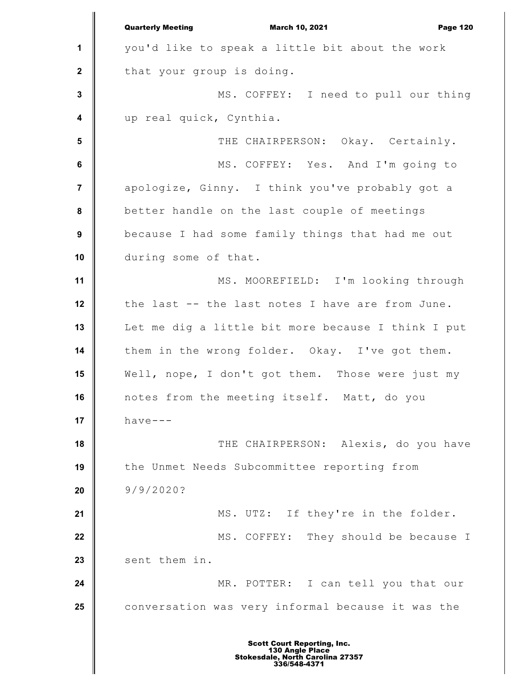**1 2 3 4 5 6 7 8 9 10 11 12 13 14 15 16 17 18 19 20 21 22 23 24 25** Quarterly Meeting March 10, 2021 Page 120 you'd like to speak a little bit about the work that your group is doing. MS. COFFEY: I need to pull our thing up real quick, Cynthia. THE CHAIRPERSON: Okay. Certainly. MS. COFFEY: Yes. And I'm going to apologize, Ginny. I think you've probably got a better handle on the last couple of meetings because I had some family things that had me out during some of that. MS. MOOREFIELD: I'm looking through the last -- the last notes I have are from June. Let me dig a little bit more because I think I put them in the wrong folder. Okay. I've got them. Well, nope, I don't got them. Those were just my notes from the meeting itself. Matt, do you have--- THE CHAIRPERSON: Alexis, do you have the Unmet Needs Subcommittee reporting from 9/9/2020? MS. UTZ: If they're in the folder. MS. COFFEY: They should be because I sent them in. MR. POTTER: I can tell you that our conversation was very informal because it was the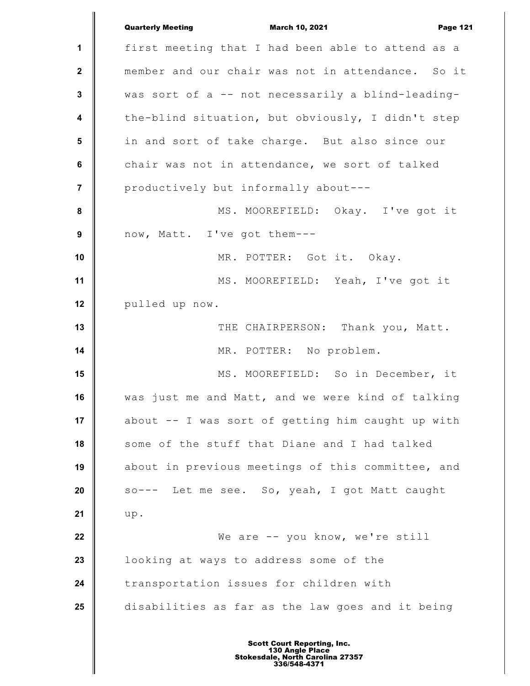|                         | <b>Quarterly Meeting</b><br><b>March 10, 2021</b><br><b>Page 121</b> |
|-------------------------|----------------------------------------------------------------------|
| $\mathbf 1$             | first meeting that I had been able to attend as a                    |
| $\mathbf{2}$            | member and our chair was not in attendance. So it                    |
| 3                       | was sort of a -- not necessarily a blind-leading-                    |
| $\overline{\mathbf{4}}$ | the-blind situation, but obviously, I didn't step                    |
| 5                       | in and sort of take charge. But also since our                       |
| 6                       | chair was not in attendance, we sort of talked                       |
| $\overline{7}$          | productively but informally about---                                 |
| $\pmb{8}$               | MS. MOOREFIELD: Okay. I've got it                                    |
| 9                       | now, Matt. I've got them ---                                         |
| 10                      | MR. POTTER: Got it. Okay.                                            |
| 11                      | MS. MOOREFIELD: Yeah, I've got it                                    |
| 12                      | pulled up now.                                                       |
| 13                      | THE CHAIRPERSON: Thank you, Matt.                                    |
| 14                      | MR. POTTER: No problem.                                              |
| 15                      | MS. MOOREFIELD: So in December, it                                   |
| 16                      | was just me and Matt, and we were kind of talking                    |
| 17                      | about -- I was sort of getting him caught up with                    |
| 18                      | some of the stuff that Diane and I had talked                        |
| 19                      | about in previous meetings of this committee, and                    |
| 20                      | so--- Let me see. So, yeah, I got Matt caught                        |
| 21                      | up.                                                                  |
| 22                      | We are -- you know, we're still                                      |
| 23                      | looking at ways to address some of the                               |
| 24                      | transportation issues for children with                              |
| 25                      | disabilities as far as the law goes and it being                     |
|                         |                                                                      |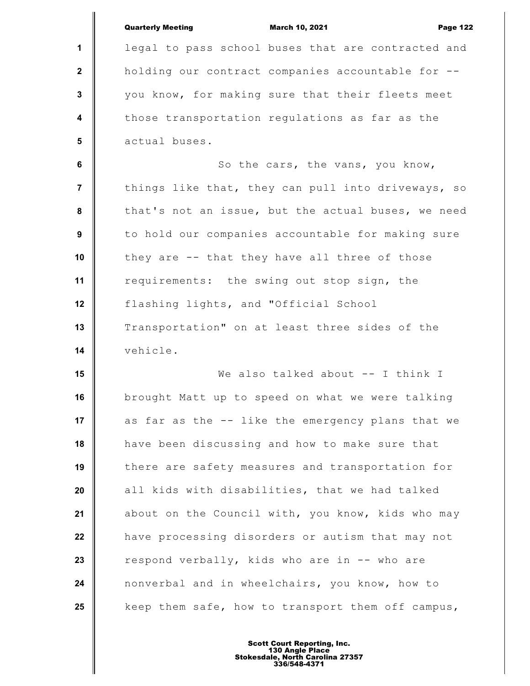|                         | <b>Quarterly Meeting</b><br><b>March 10, 2021</b><br><b>Page 122</b> |
|-------------------------|----------------------------------------------------------------------|
| 1                       | legal to pass school buses that are contracted and                   |
| $\mathbf{2}$            | holding our contract companies accountable for --                    |
| $\mathbf{3}$            | you know, for making sure that their fleets meet                     |
| $\overline{\mathbf{4}}$ | those transportation regulations as far as the                       |
| $5\phantom{1}$          | actual buses.                                                        |
| 6                       | So the cars, the vans, you know,                                     |
| $\overline{7}$          | things like that, they can pull into driveways, so                   |
| 8                       | that's not an issue, but the actual buses, we need                   |
| 9                       | to hold our companies accountable for making sure                    |
| 10                      | they are -- that they have all three of those                        |
| 11                      | requirements: the swing out stop sign, the                           |
| 12                      | flashing lights, and "Official School                                |
| 13                      | Transportation" on at least three sides of the                       |
| 14                      | vehicle.                                                             |
| 15                      | We also talked about -- I think I                                    |
| 16                      | brought Matt up to speed on what we were talking                     |
| 17                      | as far as the -- like the emergency plans that we                    |
| 18                      | have been discussing and how to make sure that                       |
| 19                      | there are safety measures and transportation for                     |
| 20                      | all kids with disabilities, that we had talked                       |
| 21                      | about on the Council with, you know, kids who may                    |
| 22                      | have processing disorders or autism that may not                     |
| 23                      | respond verbally, kids who are in -- who are                         |
| 24                      | nonverbal and in wheelchairs, you know, how to                       |
| 25                      | keep them safe, how to transport them off campus,                    |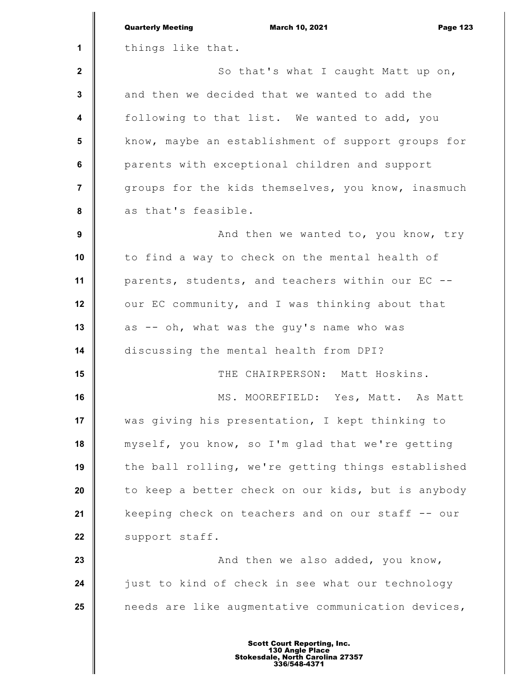|                         | <b>Quarterly Meeting</b><br><b>March 10, 2021</b><br><b>Page 123</b> |
|-------------------------|----------------------------------------------------------------------|
| 1                       | things like that.                                                    |
| $\mathbf{2}$            | So that's what I caught Matt up on,                                  |
| 3                       | and then we decided that we wanted to add the                        |
| $\overline{\mathbf{4}}$ | following to that list. We wanted to add, you                        |
| 5                       | know, maybe an establishment of support groups for                   |
| $\bf 6$                 | parents with exceptional children and support                        |
| $\overline{7}$          | groups for the kids themselves, you know, inasmuch                   |
| 8                       | as that's feasible.                                                  |
| 9                       | And then we wanted to, you know, try                                 |
| 10                      | to find a way to check on the mental health of                       |
| 11                      | parents, students, and teachers within our EC --                     |
| 12                      | our EC community, and I was thinking about that                      |
| 13                      | as -- oh, what was the guy's name who was                            |
| 14                      | discussing the mental health from DPI?                               |
| 15                      | THE CHAIRPERSON: Matt Hoskins.                                       |
| 16                      | MS. MOOREFIELD: Yes, Matt. As Matt                                   |
| 17                      | was giving his presentation, I kept thinking to                      |
| 18                      | myself, you know, so I'm glad that we're getting                     |
| 19                      | the ball rolling, we're getting things established                   |
| 20                      | to keep a better check on our kids, but is anybody                   |
| 21                      | keeping check on teachers and on our staff -- our                    |
| 22                      | support staff.                                                       |
| 23                      | And then we also added, you know,                                    |
| 24                      | just to kind of check in see what our technology                     |
| 25                      | needs are like augmentative communication devices,                   |
|                         |                                                                      |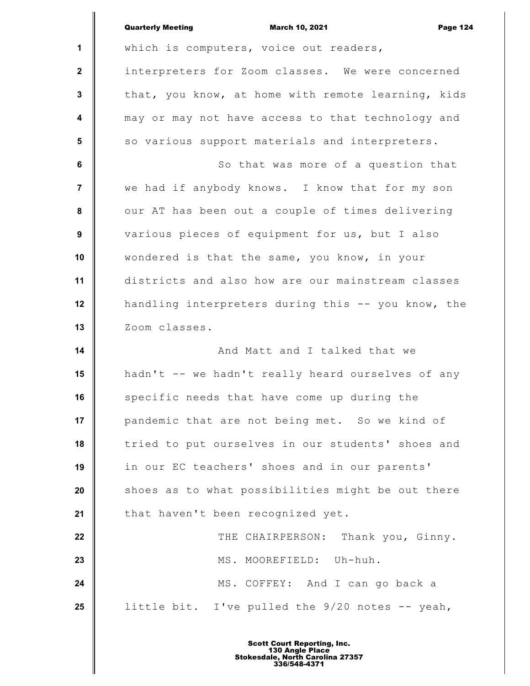|                | <b>Quarterly Meeting</b><br><b>March 10, 2021</b><br><b>Page 124</b> |
|----------------|----------------------------------------------------------------------|
| $\mathbf 1$    | which is computers, voice out readers,                               |
| $\mathbf{2}$   | interpreters for Zoom classes. We were concerned                     |
| 3              | that, you know, at home with remote learning, kids                   |
| 4              | may or may not have access to that technology and                    |
| 5              | so various support materials and interpreters.                       |
| 6              | So that was more of a question that                                  |
| $\overline{7}$ | we had if anybody knows. I know that for my son                      |
| 8              | our AT has been out a couple of times delivering                     |
| 9              | various pieces of equipment for us, but I also                       |
| 10             | wondered is that the same, you know, in your                         |
| 11             | districts and also how are our mainstream classes                    |
| 12             | handling interpreters during this -- you know, the                   |
| 13             | Zoom classes.                                                        |
| 14             | And Matt and I talked that we                                        |
| 15             | hadn't -- we hadn't really heard ourselves of any                    |
| 16             | specific needs that have come up during the                          |
| 17             | pandemic that are not being met. So we kind of                       |
| 18             | tried to put ourselves in our students' shoes and                    |
| 19             | in our EC teachers' shoes and in our parents'                        |
| 20             | shoes as to what possibilities might be out there                    |
| 21             | that haven't been recognized yet.                                    |
| 22             | THE CHAIRPERSON: Thank you, Ginny.                                   |
| 23             | MS. MOOREFIELD: Uh-huh.                                              |
| 24             | MS. COFFEY: And I can go back a                                      |
| 25             | little bit. I've pulled the 9/20 notes -- yeah,                      |
|                |                                                                      |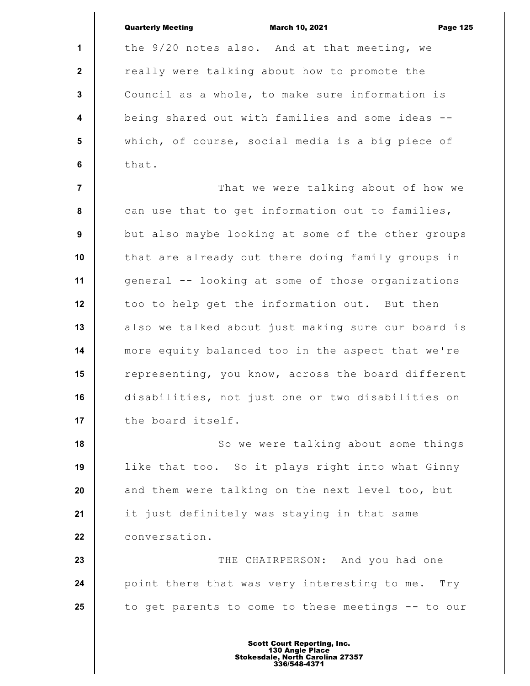|                  | <b>Quarterly Meeting</b><br><b>March 10, 2021</b><br><b>Page 125</b> |
|------------------|----------------------------------------------------------------------|
| $\mathbf{1}$     | the 9/20 notes also. And at that meeting, we                         |
| $\mathbf{2}$     | really were talking about how to promote the                         |
| $\mathbf{3}$     | Council as a whole, to make sure information is                      |
| $\boldsymbol{4}$ | being shared out with families and some ideas --                     |
| 5                | which, of course, social media is a big piece of                     |
| 6                | that.                                                                |
| $\overline{7}$   | That we were talking about of how we                                 |
| 8                | can use that to get information out to families,                     |
| 9                | but also maybe looking at some of the other groups                   |
| 10               | that are already out there doing family groups in                    |
| 11               | general -- looking at some of those organizations                    |
| 12               | too to help get the information out. But then                        |
| 13               | also we talked about just making sure our board is                   |
| 14               | more equity balanced too in the aspect that we're                    |
| 15               | representing, you know, across the board different                   |
| 16               | disabilities, not just one or two disabilities on                    |
| 17               | the board itself.                                                    |
| 18               | So we were talking about some things                                 |
| 19               | like that too. So it plays right into what Ginny                     |
| 20               | and them were talking on the next level too, but                     |
| 21               | it just definitely was staying in that same                          |
| 22               | conversation.                                                        |
| 23               | THE CHAIRPERSON: And you had one                                     |
| 24               | point there that was very interesting to me. Try                     |
| 25               | to get parents to come to these meetings -- to our                   |
|                  |                                                                      |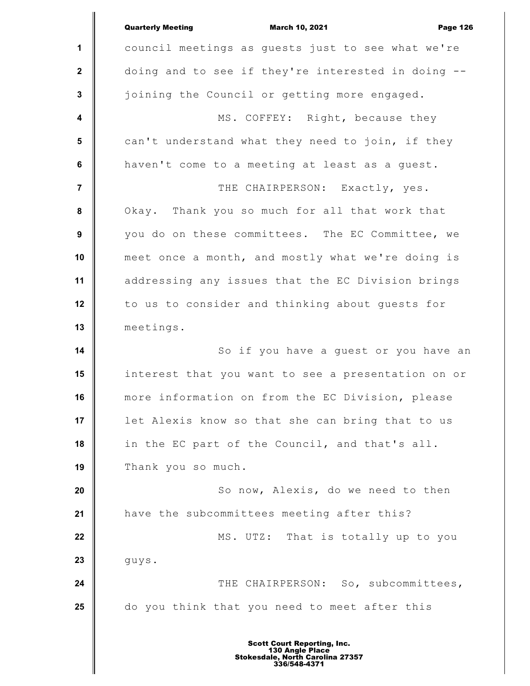|                         | <b>Quarterly Meeting</b><br><b>March 10, 2021</b><br><b>Page 126</b> |
|-------------------------|----------------------------------------------------------------------|
| $\mathbf 1$             | council meetings as guests just to see what we're                    |
| $\boldsymbol{2}$        | doing and to see if they're interested in doing --                   |
| $\mathbf 3$             | joining the Council or getting more engaged.                         |
| $\overline{\mathbf{4}}$ | MS. COFFEY: Right, because they                                      |
| 5                       | can't understand what they need to join, if they                     |
| 6                       | haven't come to a meeting at least as a guest.                       |
| $\overline{7}$          | THE CHAIRPERSON: Exactly, yes.                                       |
| 8                       | Okay. Thank you so much for all that work that                       |
| $\boldsymbol{9}$        | you do on these committees. The EC Committee, we                     |
| 10                      | meet once a month, and mostly what we're doing is                    |
| 11                      | addressing any issues that the EC Division brings                    |
| 12                      | to us to consider and thinking about guests for                      |
| 13                      | meetings.                                                            |
| 14                      | So if you have a guest or you have an                                |
| 15                      | interest that you want to see a presentation on or                   |
| 16                      | more information on from the EC Division, please                     |
| 17                      | let Alexis know so that she can bring that to us                     |
| 18                      | in the EC part of the Council, and that's all.                       |
| 19                      | Thank you so much.                                                   |
| 20                      | So now, Alexis, do we need to then                                   |
| 21                      | have the subcommittees meeting after this?                           |
| 22                      | MS. UTZ: That is totally up to you                                   |
| 23                      | guys.                                                                |
| 24                      | THE CHAIRPERSON: So, subcommittees,                                  |
| 25                      | do you think that you need to meet after this                        |
|                         |                                                                      |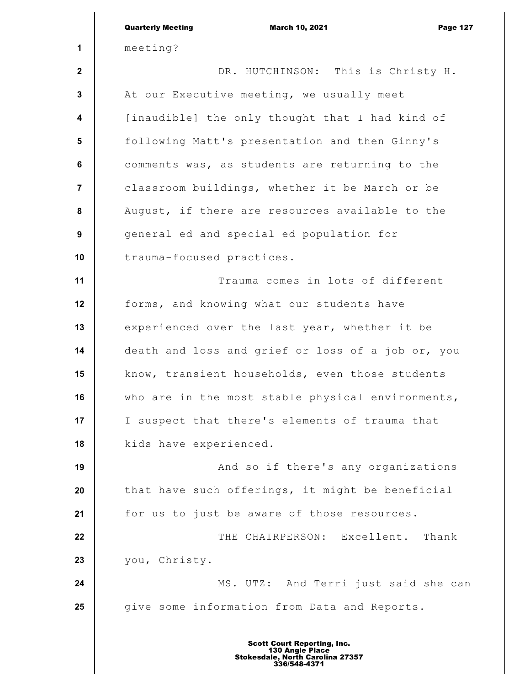|                         | <b>Quarterly Meeting</b><br><b>March 10, 2021</b><br><b>Page 127</b>                                      |
|-------------------------|-----------------------------------------------------------------------------------------------------------|
| 1                       | meeting?                                                                                                  |
| $\mathbf{2}$            | DR. HUTCHINSON: This is Christy H.                                                                        |
| $\mathbf{3}$            | At our Executive meeting, we usually meet                                                                 |
| $\overline{\mathbf{4}}$ | [inaudible] the only thought that I had kind of                                                           |
| $5\phantom{.0}$         | following Matt's presentation and then Ginny's                                                            |
| $6\phantom{a}$          | comments was, as students are returning to the                                                            |
| $\overline{7}$          | classroom buildings, whether it be March or be                                                            |
| $\pmb{8}$               | August, if there are resources available to the                                                           |
| $\boldsymbol{9}$        | general ed and special ed population for                                                                  |
| 10                      | trauma-focused practices.                                                                                 |
| 11                      | Trauma comes in lots of different                                                                         |
| 12                      | forms, and knowing what our students have                                                                 |
| 13                      | experienced over the last year, whether it be                                                             |
| 14                      | death and loss and grief or loss of a job or, you                                                         |
| 15                      | know, transient households, even those students                                                           |
| 16                      | who are in the most stable physical environments,                                                         |
| 17                      | I suspect that there's elements of trauma that                                                            |
| 18                      | kids have experienced.                                                                                    |
| 19                      | And so if there's any organizations                                                                       |
| 20                      | that have such offerings, it might be beneficial                                                          |
| 21                      | for us to just be aware of those resources.                                                               |
| 22                      | THE CHAIRPERSON: Excellent. Thank                                                                         |
| 23                      | you, Christy.                                                                                             |
| 24                      | MS. UTZ: And Terri just said she can                                                                      |
| 25                      | give some information from Data and Reports.                                                              |
|                         | <b>Scott Court Reporting, Inc.</b><br>130 Angle Place<br>Stokesdale, North Carolina 27357<br>336/548-4371 |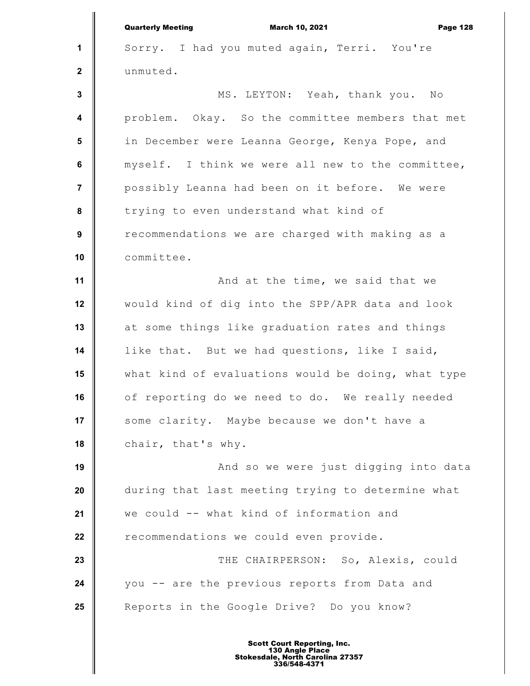|                  | <b>Quarterly Meeting</b><br><b>March 10, 2021</b><br><b>Page 128</b> |
|------------------|----------------------------------------------------------------------|
| $\mathbf{1}$     | Sorry. I had you muted again, Terri. You're                          |
| $\mathbf{2}$     | unmuted.                                                             |
| $\mathbf{3}$     | MS. LEYTON: Yeah, thank you. No                                      |
| $\boldsymbol{4}$ | problem. Okay. So the committee members that met                     |
| $5\phantom{.0}$  | in December were Leanna George, Kenya Pope, and                      |
| 6                | myself. I think we were all new to the committee,                    |
| $\overline{7}$   | possibly Leanna had been on it before. We were                       |
| 8                | trying to even understand what kind of                               |
| 9                | recommendations we are charged with making as a                      |
| 10               | committee.                                                           |
| 11               | And at the time, we said that we                                     |
| 12               | would kind of dig into the SPP/APR data and look                     |
| 13               | at some things like graduation rates and things                      |
| 14               | like that. But we had questions, like I said,                        |
| 15               | what kind of evaluations would be doing, what type                   |
| 16               | of reporting do we need to do. We really needed                      |
| 17               | some clarity. Maybe because we don't have a                          |
| 18               | chair, that's why.                                                   |
| 19               | And so we were just digging into data                                |
| 20               | during that last meeting trying to determine what                    |
| 21               | we could -- what kind of information and                             |
| 22               | recommendations we could even provide.                               |
| 23               | THE CHAIRPERSON: So, Alexis, could                                   |
| 24               | you -- are the previous reports from Data and                        |
| 25               | Reports in the Google Drive? Do you know?                            |
|                  |                                                                      |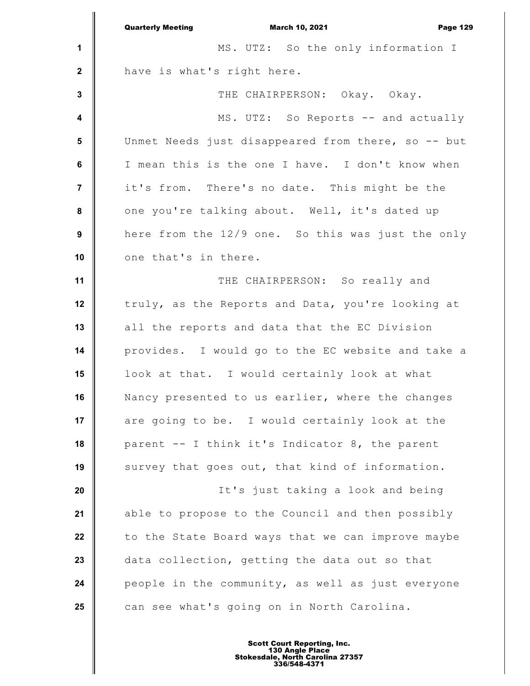|                         | <b>Quarterly Meeting</b><br><b>March 10, 2021</b><br><b>Page 129</b> |
|-------------------------|----------------------------------------------------------------------|
| 1                       | MS. UTZ: So the only information I                                   |
| $\boldsymbol{2}$        | have is what's right here.                                           |
| $\mathbf 3$             | THE CHAIRPERSON: Okay. Okay.                                         |
| $\overline{\mathbf{4}}$ | MS. UTZ: So Reports -- and actually                                  |
| $5\phantom{.0}$         | Unmet Needs just disappeared from there, so -- but                   |
| 6                       | I mean this is the one I have. I don't know when                     |
| $\overline{7}$          | it's from. There's no date. This might be the                        |
| 8                       | one you're talking about. Well, it's dated up                        |
| $\boldsymbol{9}$        | here from the 12/9 one. So this was just the only                    |
| 10                      | one that's in there.                                                 |
| 11                      | THE CHAIRPERSON: So really and                                       |
| 12                      | truly, as the Reports and Data, you're looking at                    |
| 13                      | all the reports and data that the EC Division                        |
| 14                      | provides. I would go to the EC website and take a                    |
| 15                      | look at that. I would certainly look at what                         |
| 16                      | Nancy presented to us earlier, where the changes                     |
| 17                      | are going to be. I would certainly look at the                       |
| 18                      | parent -- I think it's Indicator 8, the parent                       |
| 19                      | survey that goes out, that kind of information.                      |
| 20                      | It's just taking a look and being                                    |
| 21                      | able to propose to the Council and then possibly                     |
| 22                      | to the State Board ways that we can improve maybe                    |
| 23                      | data collection, getting the data out so that                        |
| 24                      | people in the community, as well as just everyone                    |
| 25                      | can see what's going on in North Carolina.                           |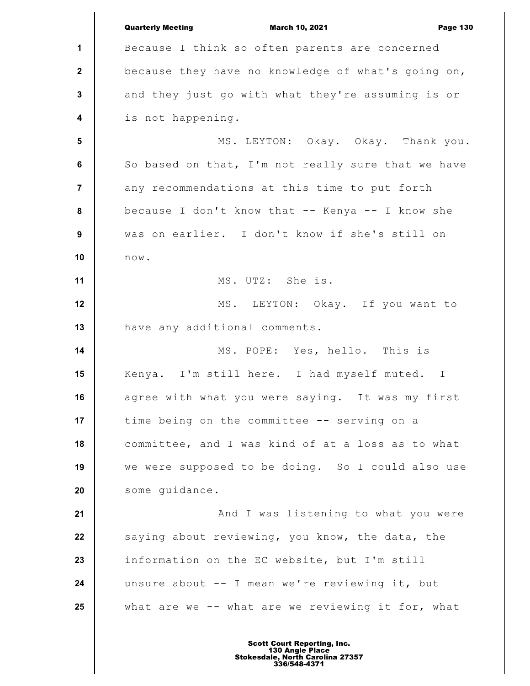**1 2 3 4 5 6 7 8 9 10 11 12 13 14 15 16 17 18 19 20 21 22 23 24 25** Quarterly Meeting March 10, 2021 Page 130 Because I think so often parents are concerned because they have no knowledge of what's going on, and they just go with what they're assuming is or is not happening. MS. LEYTON: Okay. Okay. Thank you. So based on that, I'm not really sure that we have any recommendations at this time to put forth because I don't know that -- Kenya -- I know she was on earlier. I don't know if she's still on now. MS. UTZ: She is. MS. LEYTON: Okay. If you want to have any additional comments. MS. POPE: Yes, hello. This is Kenya. I'm still here. I had myself muted. I agree with what you were saying. It was my first time being on the committee -- serving on a committee, and I was kind of at a loss as to what we were supposed to be doing. So I could also use some guidance. And I was listening to what you were saying about reviewing, you know, the data, the information on the EC website, but I'm still unsure about -- I mean we're reviewing it, but what are we  $--$  what are we reviewing it for, what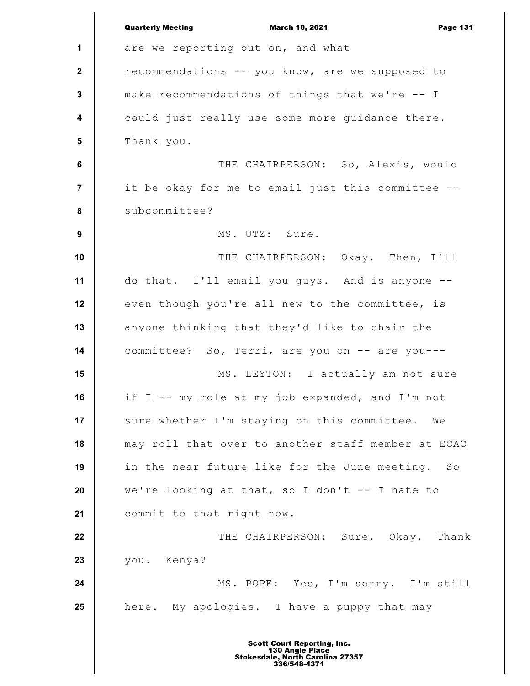|                         | <b>Quarterly Meeting</b><br><b>March 10, 2021</b><br><b>Page 131</b> |
|-------------------------|----------------------------------------------------------------------|
| 1                       | are we reporting out on, and what                                    |
| $\mathbf{2}$            | recommendations -- you know, are we supposed to                      |
| $\mathbf 3$             | make recommendations of things that we're -- I                       |
| $\overline{\mathbf{4}}$ | could just really use some more guidance there.                      |
| $5\phantom{1}$          | Thank you.                                                           |
| $\bf 6$                 | THE CHAIRPERSON: So, Alexis, would                                   |
| $\overline{7}$          | it be okay for me to email just this committee --                    |
| 8                       | subcommittee?                                                        |
| $\boldsymbol{9}$        | MS. UTZ: Sure.                                                       |
| 10                      | THE CHAIRPERSON: Okay. Then, I'll                                    |
| 11                      | do that. I'll email you guys. And is anyone --                       |
| 12                      | even though you're all new to the committee, is                      |
| 13                      | anyone thinking that they'd like to chair the                        |
| 14                      | committee? So, Terri, are you on -- are you---                       |
| 15                      | MS. LEYTON: I actually am not sure                                   |
| 16                      | if I -- my role at my job expanded, and I'm not                      |
| 17                      | sure whether I'm staying on this committee.<br>We                    |
| 18                      | may roll that over to another staff member at ECAC                   |
| 19                      | in the near future like for the June meeting. So                     |
| 20                      | we're looking at that, so I don't $-$ - I hate to                    |
| 21                      | commit to that right now.                                            |
| 22                      | THE CHAIRPERSON: Sure. Okay. Thank                                   |
| 23                      | you. Kenya?                                                          |
| 24                      | MS. POPE: Yes, I'm sorry. I'm still                                  |
| 25                      | here. My apologies. I have a puppy that may                          |
|                         |                                                                      |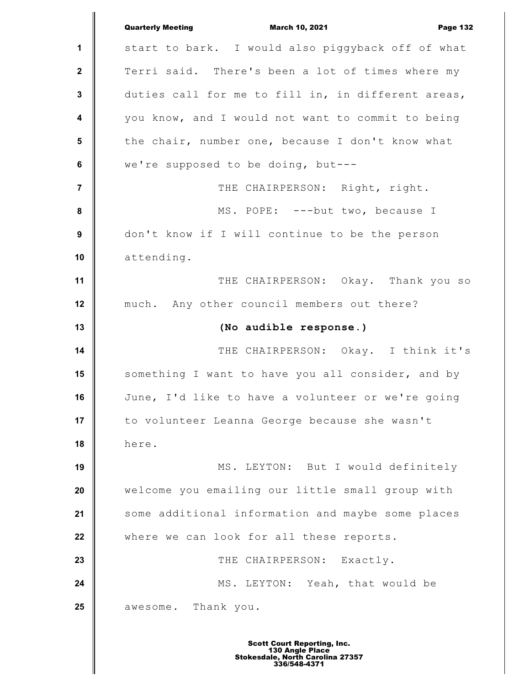|                         | <b>Quarterly Meeting</b><br><b>March 10, 2021</b><br><b>Page 132</b> |
|-------------------------|----------------------------------------------------------------------|
| 1                       | start to bark. I would also piggyback off of what                    |
| $\mathbf{2}$            | Terri said. There's been a lot of times where my                     |
| $\mathbf 3$             | duties call for me to fill in, in different areas,                   |
| $\overline{\mathbf{4}}$ | you know, and I would not want to commit to being                    |
| 5                       | the chair, number one, because I don't know what                     |
| $\bf 6$                 | we're supposed to be doing, but---                                   |
| $\overline{7}$          | THE CHAIRPERSON: Right, right.                                       |
| 8                       | MS. POPE: ---but two, because I                                      |
| $\boldsymbol{9}$        | don't know if I will continue to be the person                       |
| 10                      | attending.                                                           |
| 11                      | THE CHAIRPERSON: Okay. Thank you so                                  |
| 12                      | much. Any other council members out there?                           |
|                         |                                                                      |
| 13                      | (No audible response.)                                               |
| 14                      | THE CHAIRPERSON: Okay. I think it's                                  |
| 15                      | something I want to have you all consider, and by                    |
| 16                      | June, I'd like to have a volunteer or we're going                    |
| 17                      | to volunteer Leanna George because she wasn't                        |
| 18                      | here.                                                                |
| 19                      | MS. LEYTON: But I would definitely                                   |
| 20                      | welcome you emailing our little small group with                     |
| 21                      | some additional information and maybe some places                    |
| 22                      | where we can look for all these reports.                             |
| 23                      | THE CHAIRPERSON: Exactly.                                            |
| 24                      | MS. LEYTON: Yeah, that would be                                      |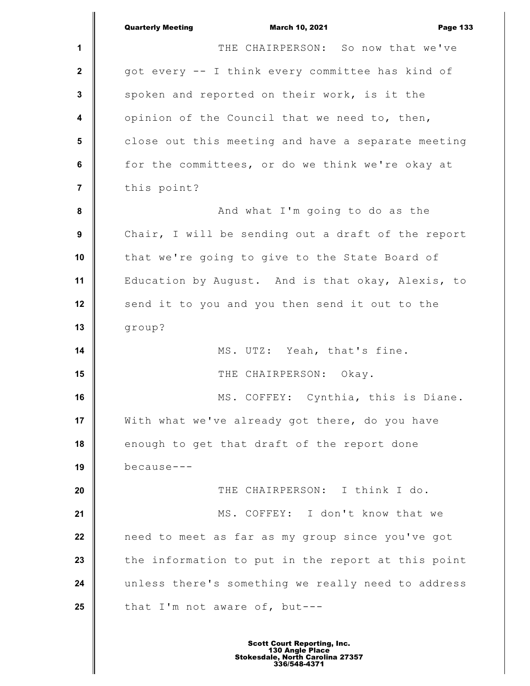|                         | <b>Quarterly Meeting</b><br><b>March 10, 2021</b><br><b>Page 133</b> |
|-------------------------|----------------------------------------------------------------------|
| 1                       | THE CHAIRPERSON: So now that we've                                   |
| $\mathbf{2}$            | got every -- I think every committee has kind of                     |
| $\mathbf{3}$            | spoken and reported on their work, is it the                         |
| $\overline{\mathbf{4}}$ | opinion of the Council that we need to, then,                        |
| 5                       | close out this meeting and have a separate meeting                   |
| 6                       | for the committees, or do we think we're okay at                     |
| $\overline{7}$          | this point?                                                          |
| 8                       | And what I'm going to do as the                                      |
| 9                       | Chair, I will be sending out a draft of the report                   |
| 10                      | that we're going to give to the State Board of                       |
| 11                      | Education by August. And is that okay, Alexis, to                    |
| 12                      | send it to you and you then send it out to the                       |
| 13                      | group?                                                               |
| 14                      | MS. UTZ: Yeah, that's fine.                                          |
| 15                      | THE CHAIRPERSON: Okay.                                               |
| 16                      | MS. COFFEY: Cynthia, this is Diane.                                  |
| 17                      | With what we've already got there, do you have                       |
| 18                      | enough to get that draft of the report done                          |
| 19                      | because---                                                           |
| 20                      | THE CHAIRPERSON: I think I do.                                       |
| 21                      | MS. COFFEY: I don't know that we                                     |
| 22                      | need to meet as far as my group since you've got                     |
| 23                      | the information to put in the report at this point                   |
| 24                      | unless there's something we really need to address                   |
| 25                      | that I'm not aware of, but---                                        |
|                         |                                                                      |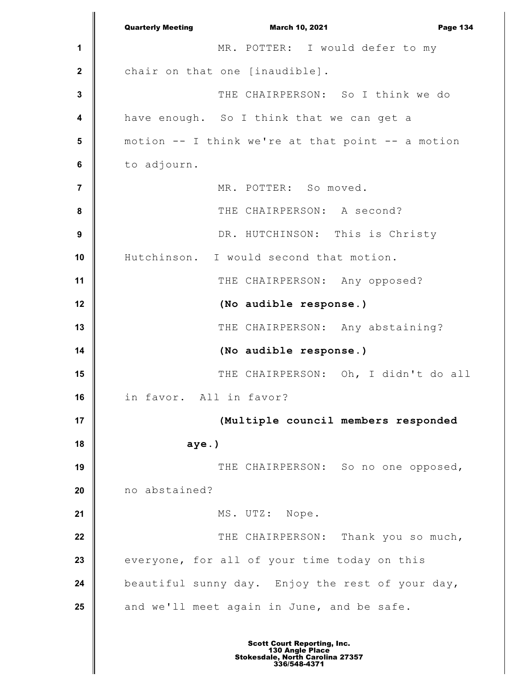**1 2 3 4 5 6 7 8 9 10 11 12 13 14 15 16 17 18 19 20 21 22 23 24 25** Quarterly Meeting March 10, 2021 Page 134 MR. POTTER: I would defer to my chair on that one [inaudible]. THE CHAIRPERSON: So I think we do have enough. So I think that we can get a motion  $--$  I think we're at that point  $--$  a motion to adjourn. MR. POTTER: So moved. THE CHAIRPERSON: A second? DR. HUTCHINSON: This is Christy Hutchinson. I would second that motion. THE CHAIRPERSON: Any opposed? **(No audible response.)** THE CHAIRPERSON: Any abstaining? **(No audible response.)** THE CHAIRPERSON: Oh, I didn't do all in favor. All in favor? **(Multiple council members responded aye.)** THE CHAIRPERSON: So no one opposed, no abstained? MS. UTZ: Nope. THE CHAIRPERSON: Thank you so much, everyone, for all of your time today on this beautiful sunny day. Enjoy the rest of your day, and we'll meet again in June, and be safe.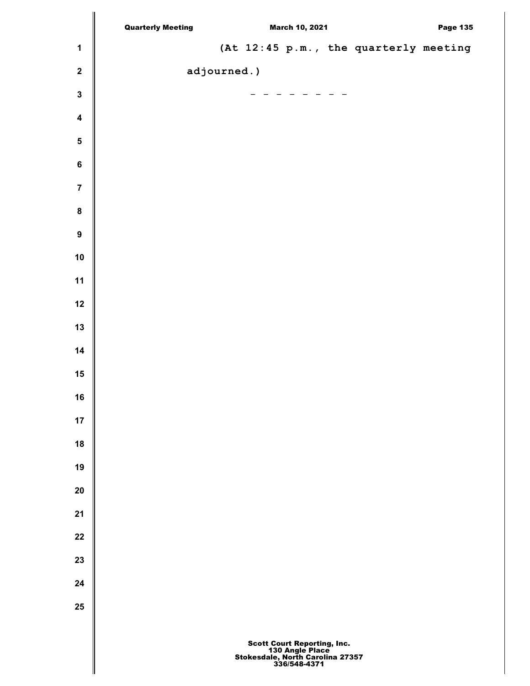|                         | <b>Quarterly Meeting</b> |  | <b>March 10, 2021</b>                                         |                                       | <b>Page 135</b> |
|-------------------------|--------------------------|--|---------------------------------------------------------------|---------------------------------------|-----------------|
| $\mathbf 1$             |                          |  |                                                               | (At 12:45 p.m., the quarterly meeting |                 |
| $\boldsymbol{2}$        | adjourned.)              |  |                                                               |                                       |                 |
| $\mathbf 3$             |                          |  | $\begin{array}{cccccccccccccc} - & - & - & - & - \end{array}$ |                                       |                 |
| $\overline{\mathbf{4}}$ |                          |  |                                                               |                                       |                 |
| $\overline{\mathbf{5}}$ |                          |  |                                                               |                                       |                 |
| $\bf 6$                 |                          |  |                                                               |                                       |                 |
| $\bf 7$                 |                          |  |                                                               |                                       |                 |
| ${\bf 8}$               |                          |  |                                                               |                                       |                 |
| $\boldsymbol{9}$        |                          |  |                                                               |                                       |                 |
| ${\bf 10}$              |                          |  |                                                               |                                       |                 |
| $11$                    |                          |  |                                                               |                                       |                 |
| $12$                    |                          |  |                                                               |                                       |                 |
| 13                      |                          |  |                                                               |                                       |                 |
| 14                      |                          |  |                                                               |                                       |                 |
| 15                      |                          |  |                                                               |                                       |                 |
| $16$                    |                          |  |                                                               |                                       |                 |
| $17$                    |                          |  |                                                               |                                       |                 |
| ${\bf 18}$              |                          |  |                                                               |                                       |                 |
| 19                      |                          |  |                                                               |                                       |                 |
| ${\bf 20}$              |                          |  |                                                               |                                       |                 |
| 21                      |                          |  |                                                               |                                       |                 |
| ${\bf 22}$              |                          |  |                                                               |                                       |                 |
| 23                      |                          |  |                                                               |                                       |                 |
| ${\bf 24}$              |                          |  |                                                               |                                       |                 |
| 25                      |                          |  |                                                               |                                       |                 |
|                         |                          |  | <b>Scott Court Reporting, Inc.</b>                            |                                       |                 |